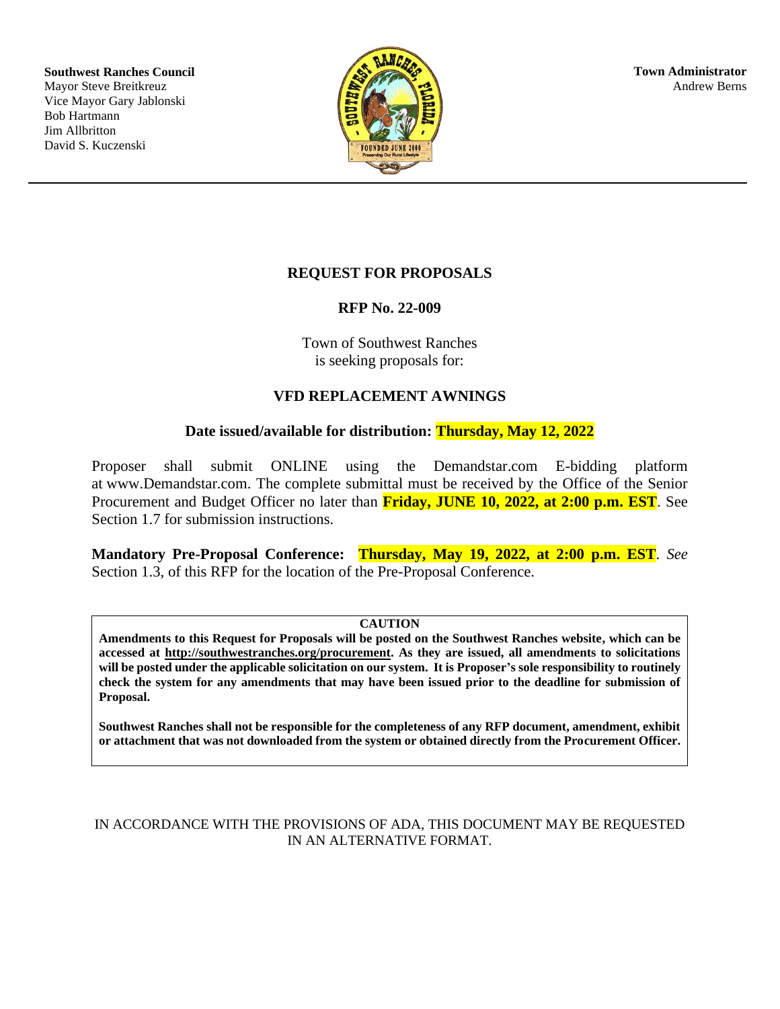**Southwest Ranches Council** Mayor Steve Breitkreuz Vice Mayor Gary Jablonski Bob Hartmann Jim Allbritton David S. Kuczenski



# **REQUEST FOR PROPOSALS**

### **RFP No. 22-009**

Town of Southwest Ranches is seeking proposals for:

# **VFD REPLACEMENT AWNINGS**

# **Date issued/available for distribution: Thursday, May 12, 2022**

Proposer shall submit ONLINE using the Demandstar.com E-bidding platform at www.Demandstar.com. The complete submittal must be received by the Office of the Senior Procurement and Budget Officer no later than **Friday, JUNE 10, 2022, at 2:00 p.m. EST**. See Section 1.7 for submission instructions.

**Mandatory Pre-Proposal Conference: Thursday, May 19, 2022, at 2:00 p.m. EST**. *See* Section 1.3, of this RFP for the location of the Pre-Proposal Conference.

#### **CAUTION**

**Amendments to this Request for Proposals will be posted on the Southwest Ranches website, which can be accessed at http://southwestranches.org/procurement. As they are issued, all amendments to solicitations will be posted under the applicable solicitation on our system. It is Proposer's sole responsibility to routinely check the system for any amendments that may have been issued prior to the deadline for submission of Proposal.**

**Southwest Ranches shall not be responsible for the completeness of any RFP document, amendment, exhibit or attachment that was not downloaded from the system or obtained directly from the Procurement Officer.**

### IN ACCORDANCE WITH THE PROVISIONS OF ADA, THIS DOCUMENT MAY BE REQUESTED IN AN ALTERNATIVE FORMAT.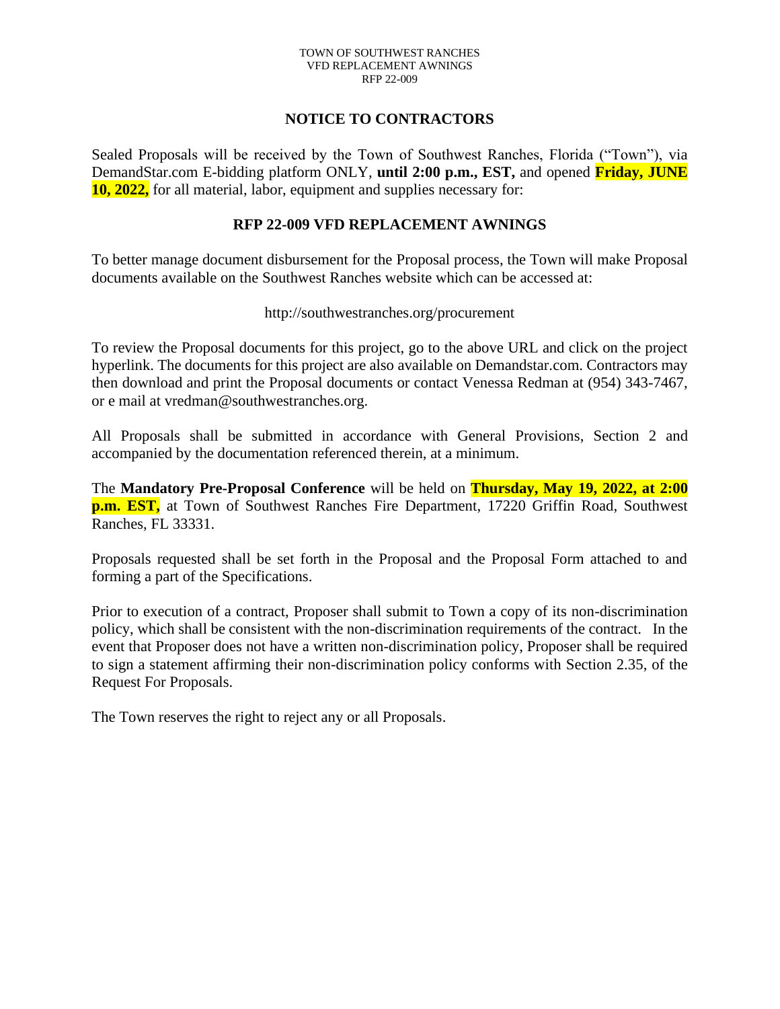### **NOTICE TO CONTRACTORS**

Sealed Proposals will be received by the Town of Southwest Ranches, Florida ("Town"), via DemandStar.com E-bidding platform ONLY, **until 2:00 p.m., EST,** and opened **Friday, JUNE 10, 2022,** for all material, labor, equipment and supplies necessary for:

#### **RFP 22-009 VFD REPLACEMENT AWNINGS**

To better manage document disbursement for the Proposal process, the Town will make Proposal documents available on the Southwest Ranches website which can be accessed at:

#### http://southwestranches.org/procurement

To review the Proposal documents for this project, go to the above URL and click on the project hyperlink. The documents for this project are also available on Demandstar.com. Contractors may then download and print the Proposal documents or contact Venessa Redman at (954) 343-7467, or e mail at vredman@southwestranches.org.

All Proposals shall be submitted in accordance with General Provisions, Section 2 and accompanied by the documentation referenced therein, at a minimum.

The **Mandatory Pre-Proposal Conference** will be held on **Thursday, May 19, 2022, at 2:00 p.m. EST,** at Town of Southwest Ranches Fire Department, 17220 Griffin Road, Southwest Ranches, FL 33331.

Proposals requested shall be set forth in the Proposal and the Proposal Form attached to and forming a part of the Specifications.

Prior to execution of a contract, Proposer shall submit to Town a copy of its non-discrimination policy, which shall be consistent with the non-discrimination requirements of the contract. In the event that Proposer does not have a written non-discrimination policy, Proposer shall be required to sign a statement affirming their non-discrimination policy conforms with Section 2.35, of the Request For Proposals.

The Town reserves the right to reject any or all Proposals.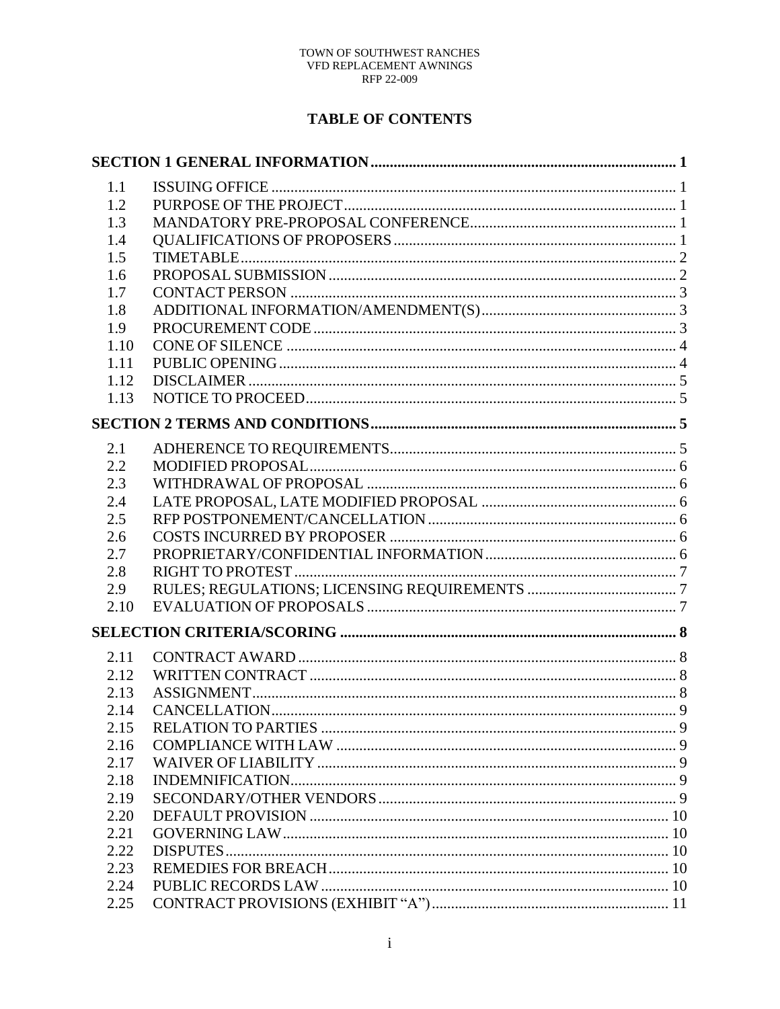# **TABLE OF CONTENTS**

| 1.1  |  |
|------|--|
| 1.2  |  |
| 1.3  |  |
| 1.4  |  |
| 1.5  |  |
| 1.6  |  |
| 1.7  |  |
| 1.8  |  |
| 1.9  |  |
| 1.10 |  |
| 1.11 |  |
| 1.12 |  |
| 1.13 |  |
|      |  |
| 2.1  |  |
| 2.2  |  |
| 2.3  |  |
| 2.4  |  |
| 2.5  |  |
| 2.6  |  |
| 2.7  |  |
| 2.8  |  |
| 2.9  |  |
| 2.10 |  |
|      |  |
|      |  |
| 2.11 |  |
| 2.12 |  |
| 2.13 |  |
| 2.14 |  |
| 2.15 |  |
| 2.16 |  |
| 2.17 |  |
| 2.18 |  |
| 2.19 |  |
| 2.20 |  |
| 2.21 |  |
| 2.22 |  |
| 2.23 |  |
| 2.24 |  |
| 2.25 |  |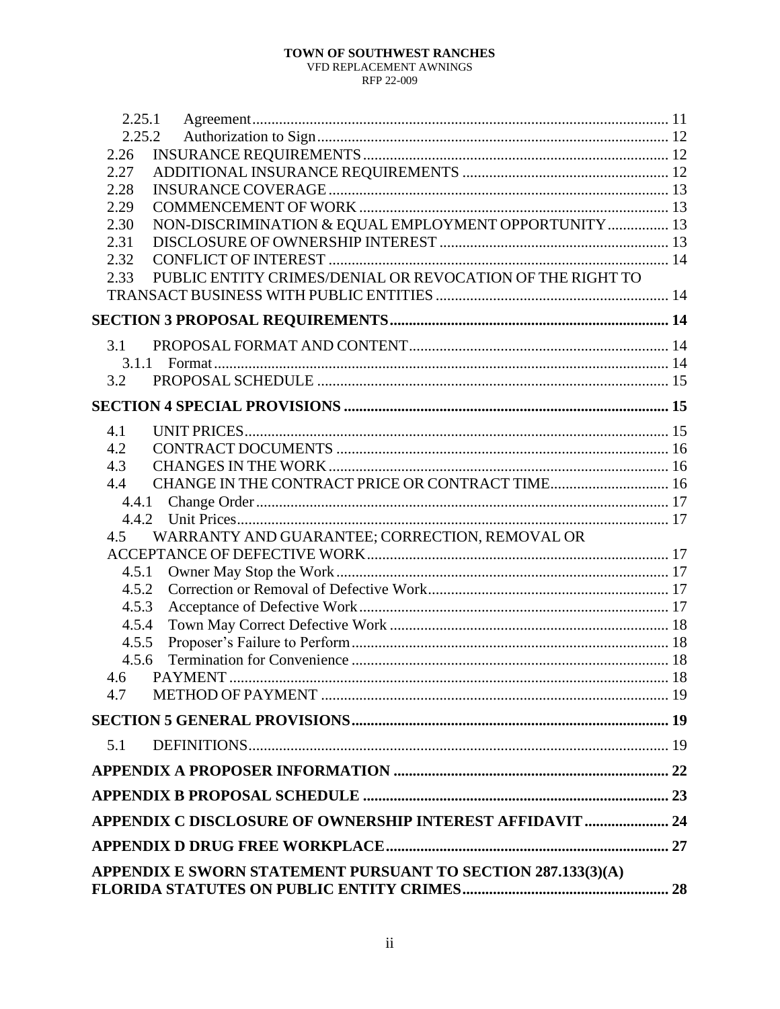### TOWN OF SOUTHWEST RANCHES

VFD REPLACEMENT AWNINGS RFP 22-009

| 2.25.1                                                            |  |
|-------------------------------------------------------------------|--|
| 2.25.2                                                            |  |
| 2.26                                                              |  |
| 2.27                                                              |  |
| 2.28                                                              |  |
| 2.29                                                              |  |
| NON-DISCRIMINATION & EQUAL EMPLOYMENT OPPORTUNITY  13<br>2.30     |  |
| 2.31                                                              |  |
| 2.32                                                              |  |
| PUBLIC ENTITY CRIMES/DENIAL OR REVOCATION OF THE RIGHT TO<br>2.33 |  |
|                                                                   |  |
|                                                                   |  |
| 3.1                                                               |  |
| 3.1.1                                                             |  |
| 3.2                                                               |  |
|                                                                   |  |
| 4.1                                                               |  |
| 4.2                                                               |  |
| 4.3                                                               |  |
| CHANGE IN THE CONTRACT PRICE OR CONTRACT TIME 16<br>4.4           |  |
|                                                                   |  |
|                                                                   |  |
| WARRANTY AND GUARANTEE; CORRECTION, REMOVAL OR<br>$4.5^{\circ}$   |  |
|                                                                   |  |
| 4.5.1                                                             |  |
| 4.5.2                                                             |  |
| 4.5.3                                                             |  |
| 4.5.4                                                             |  |
| 4.5.5                                                             |  |
| 4.5.6                                                             |  |
| 4.6 PAYMENT                                                       |  |
| 4.7                                                               |  |
|                                                                   |  |
| 5.1                                                               |  |
|                                                                   |  |
|                                                                   |  |
| APPENDIX C DISCLOSURE OF OWNERSHIP INTEREST AFFIDAVIT  24         |  |
|                                                                   |  |
| APPENDIX E SWORN STATEMENT PURSUANT TO SECTION 287.133(3)(A)      |  |
|                                                                   |  |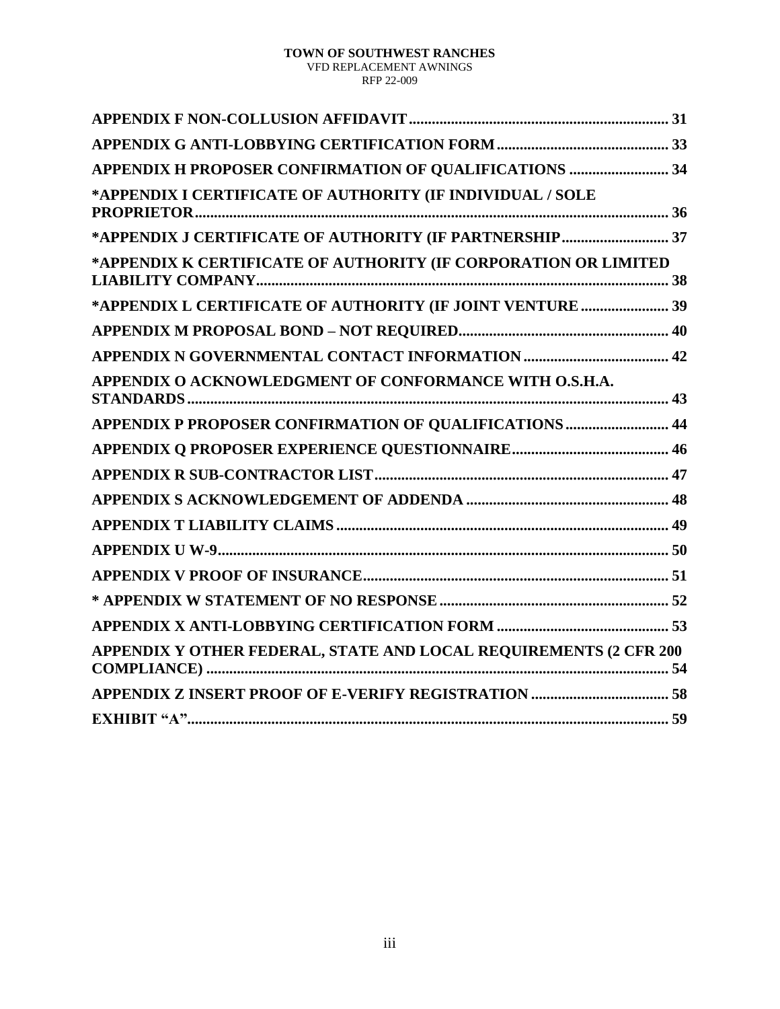| APPENDIX H PROPOSER CONFIRMATION OF QUALIFICATIONS  34            |
|-------------------------------------------------------------------|
| *APPENDIX I CERTIFICATE OF AUTHORITY (IF INDIVIDUAL / SOLE        |
| *APPENDIX J CERTIFICATE OF AUTHORITY (IF PARTNERSHIP 37           |
| *APPENDIX K CERTIFICATE OF AUTHORITY (IF CORPORATION OR LIMITED   |
| *APPENDIX L CERTIFICATE OF AUTHORITY (IF JOINT VENTURE  39        |
|                                                                   |
|                                                                   |
| APPENDIX O ACKNOWLEDGMENT OF CONFORMANCE WITH O.S.H.A.            |
| APPENDIX P PROPOSER CONFIRMATION OF QUALIFICATIONS  44            |
|                                                                   |
|                                                                   |
|                                                                   |
|                                                                   |
|                                                                   |
|                                                                   |
|                                                                   |
|                                                                   |
| APPENDIX Y OTHER FEDERAL, STATE AND LOCAL REQUIREMENTS (2 CFR 200 |
|                                                                   |
|                                                                   |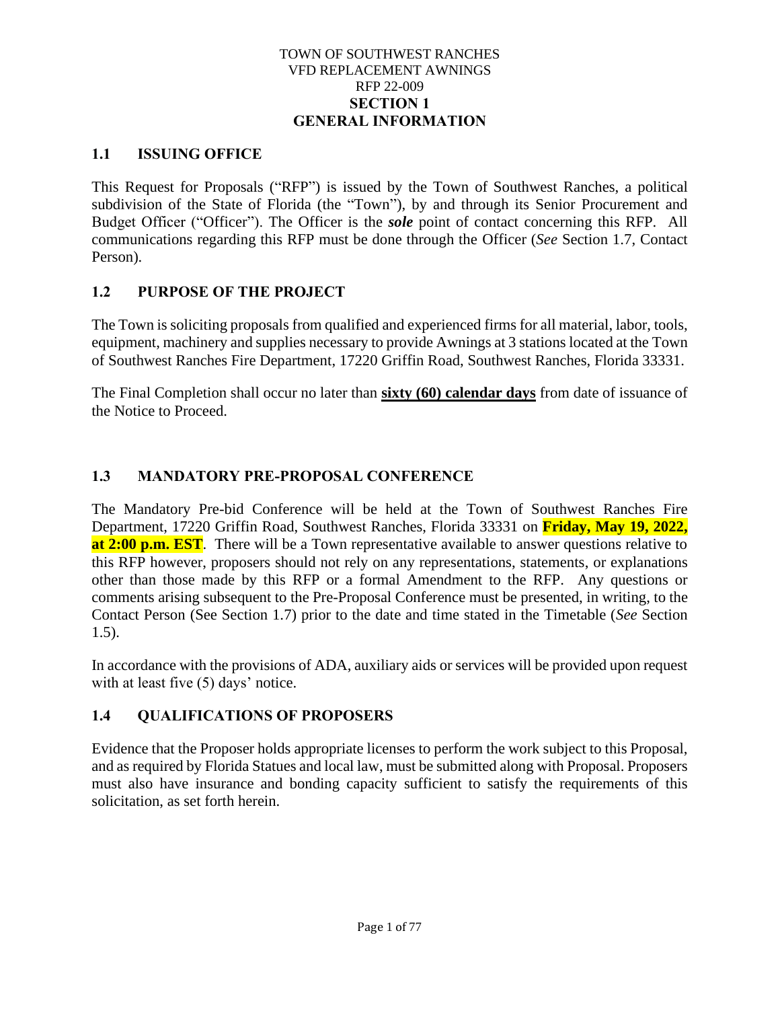#### TOWN OF SOUTHWEST RANCHES VFD REPLACEMENT AWNINGS RFP 22-009 **SECTION 1 GENERAL INFORMATION**

# <span id="page-5-1"></span><span id="page-5-0"></span>**1.1 ISSUING OFFICE**

This Request for Proposals ("RFP") is issued by the Town of Southwest Ranches, a political subdivision of the State of Florida (the "Town"), by and through its Senior Procurement and Budget Officer ("Officer"). The Officer is the *sole* point of contact concerning this RFP. All communications regarding this RFP must be done through the Officer (*See* Section 1.7, Contact Person).

# <span id="page-5-2"></span>**1.2 PURPOSE OF THE PROJECT**

The Town is soliciting proposals from qualified and experienced firms for all material, labor, tools, equipment, machinery and supplies necessary to provide Awnings at 3 stations located at the Town of Southwest Ranches Fire Department, 17220 Griffin Road, Southwest Ranches, Florida 33331.

The Final Completion shall occur no later than **sixty (60) calendar days** from date of issuance of the Notice to Proceed.

# <span id="page-5-3"></span>**1.3 MANDATORY PRE-PROPOSAL CONFERENCE**

The Mandatory Pre-bid Conference will be held at the Town of Southwest Ranches Fire Department, 17220 Griffin Road, Southwest Ranches, Florida 33331 on **Friday, May 19, 2022, at 2:00 p.m. EST**. There will be a Town representative available to answer questions relative to this RFP however, proposers should not rely on any representations, statements, or explanations other than those made by this RFP or a formal Amendment to the RFP. Any questions or comments arising subsequent to the Pre-Proposal Conference must be presented, in writing, to the Contact Person (See Section 1.7) prior to the date and time stated in the Timetable (*See* Section 1.5).

In accordance with the provisions of ADA, auxiliary aids or services will be provided upon request with at least five (5) days' notice.

# <span id="page-5-4"></span>**1.4 QUALIFICATIONS OF PROPOSERS**

Evidence that the Proposer holds appropriate licenses to perform the work subject to this Proposal, and as required by Florida Statues and local law, must be submitted along with Proposal. Proposers must also have insurance and bonding capacity sufficient to satisfy the requirements of this solicitation, as set forth herein.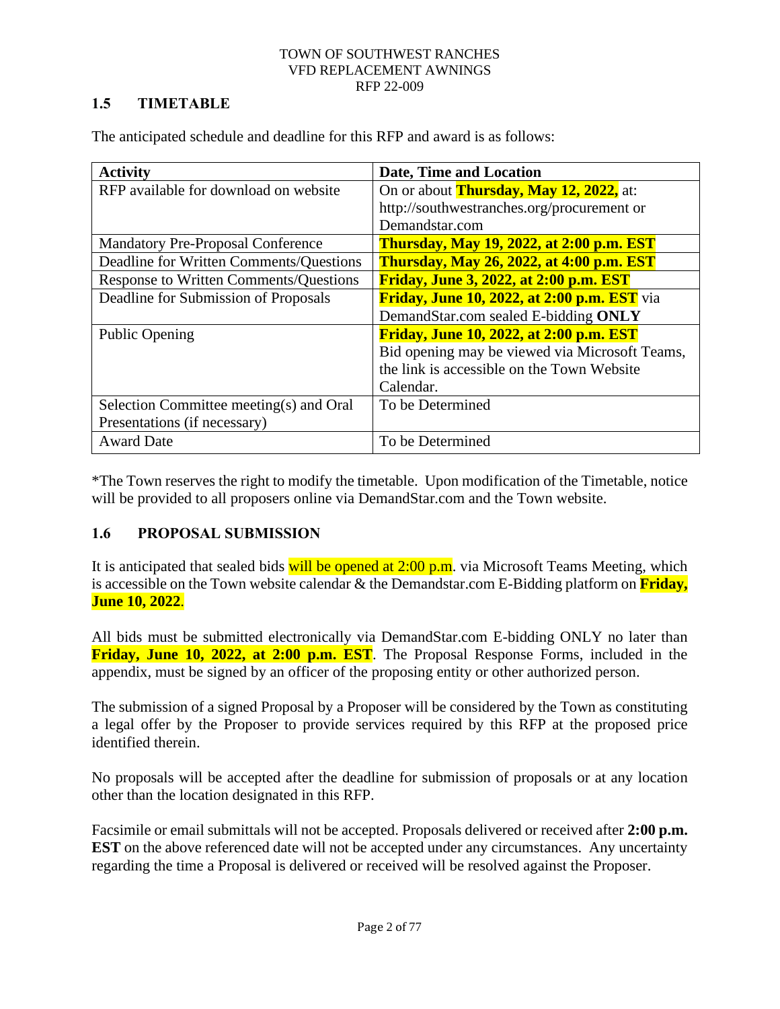# <span id="page-6-0"></span>**1.5 TIMETABLE**

The anticipated schedule and deadline for this RFP and award is as follows:

| <b>Activity</b>                               | Date, Time and Location                            |
|-----------------------------------------------|----------------------------------------------------|
| RFP available for download on website         | On or about <b>Thursday, May 12, 2022</b> , at:    |
|                                               | http://southwestranches.org/procurement or         |
|                                               | Demandstar.com                                     |
| <b>Mandatory Pre-Proposal Conference</b>      | <b>Thursday, May 19, 2022, at 2:00 p.m. EST</b>    |
| Deadline for Written Comments/Questions       | <b>Thursday, May 26, 2022, at 4:00 p.m. EST</b>    |
| <b>Response to Written Comments/Questions</b> | <b>Friday, June 3, 2022, at 2:00 p.m. EST</b>      |
| Deadline for Submission of Proposals          | <b>Friday, June 10, 2022, at 2:00 p.m. EST</b> via |
|                                               | DemandStar.com sealed E-bidding ONLY               |
| <b>Public Opening</b>                         | Friday, June 10, 2022, at 2:00 p.m. EST            |
|                                               | Bid opening may be viewed via Microsoft Teams,     |
|                                               | the link is accessible on the Town Website         |
|                                               | Calendar.                                          |
| Selection Committee meeting(s) and Oral       | To be Determined                                   |
| Presentations (if necessary)                  |                                                    |
| <b>Award Date</b>                             | To be Determined                                   |

\*The Town reserves the right to modify the timetable. Upon modification of the Timetable, notice will be provided to all proposers online via DemandStar.com and the Town website.

# <span id="page-6-1"></span>**1.6 PROPOSAL SUBMISSION**

It is anticipated that sealed bids will be opened at  $2:00$  p.m. via Microsoft Teams Meeting, which is accessible on the Town website calendar & the Demandstar.com E-Bidding platform on **Friday, June 10, 2022**.

All bids must be submitted electronically via DemandStar.com E-bidding ONLY no later than **Friday, June 10, 2022, at 2:00 p.m. EST**. The Proposal Response Forms, included in the appendix, must be signed by an officer of the proposing entity or other authorized person.

The submission of a signed Proposal by a Proposer will be considered by the Town as constituting a legal offer by the Proposer to provide services required by this RFP at the proposed price identified therein.

No proposals will be accepted after the deadline for submission of proposals or at any location other than the location designated in this RFP.

Facsimile or email submittals will not be accepted. Proposals delivered or received after **2:00 p.m. EST** on the above referenced date will not be accepted under any circumstances. Any uncertainty regarding the time a Proposal is delivered or received will be resolved against the Proposer.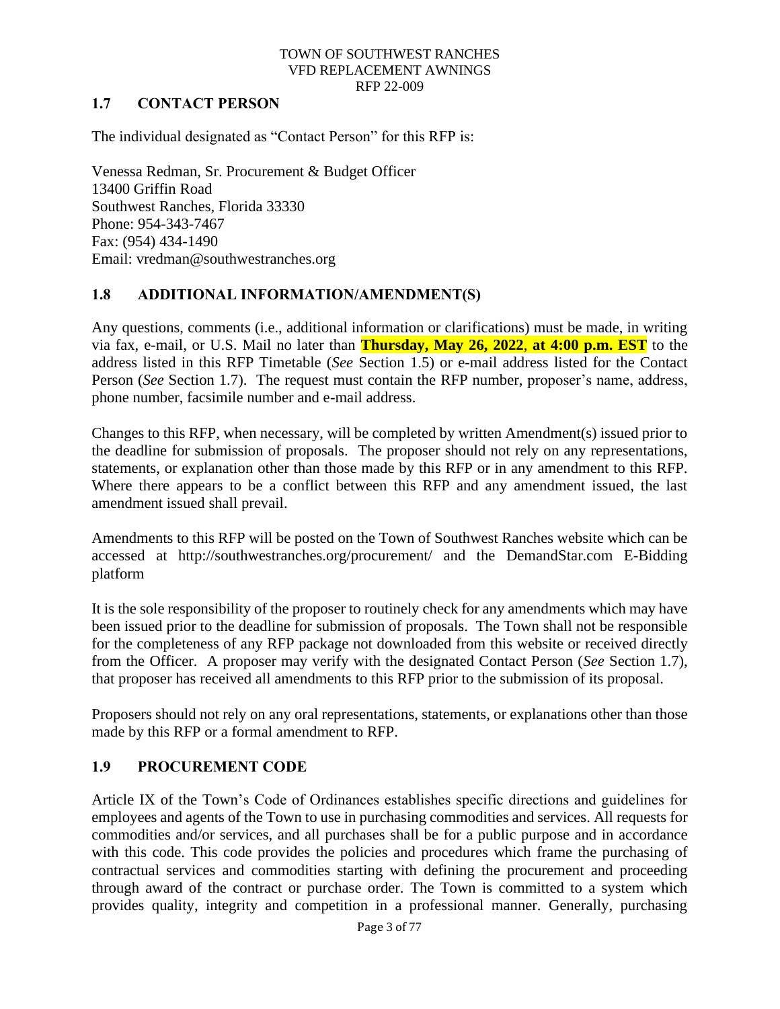# <span id="page-7-0"></span>**1.7 CONTACT PERSON**

The individual designated as "Contact Person" for this RFP is:

Venessa Redman, Sr. Procurement & Budget Officer 13400 Griffin Road Southwest Ranches, Florida 33330 Phone: 954-343-7467 Fax: (954) 434-1490 Email: vredman@southwestranches.org

# <span id="page-7-1"></span>**1.8 ADDITIONAL INFORMATION/AMENDMENT(S)**

Any questions, comments (i.e., additional information or clarifications) must be made, in writing via fax, e-mail, or U.S. Mail no later than **Thursday, May 26, 2022**, **at 4:00 p.m. EST** to the address listed in this RFP Timetable (*See* Section 1.5) or e-mail address listed for the Contact Person (*See* Section 1.7). The request must contain the RFP number, proposer's name, address, phone number, facsimile number and e-mail address.

Changes to this RFP, when necessary, will be completed by written Amendment(s) issued prior to the deadline for submission of proposals. The proposer should not rely on any representations, statements, or explanation other than those made by this RFP or in any amendment to this RFP. Where there appears to be a conflict between this RFP and any amendment issued, the last amendment issued shall prevail.

Amendments to this RFP will be posted on the Town of Southwest Ranches website which can be accessed at http://southwestranches.org/procurement/ and the DemandStar.com E-Bidding platform

It is the sole responsibility of the proposer to routinely check for any amendments which may have been issued prior to the deadline for submission of proposals. The Town shall not be responsible for the completeness of any RFP package not downloaded from this website or received directly from the Officer. A proposer may verify with the designated Contact Person (*See* Section 1.7), that proposer has received all amendments to this RFP prior to the submission of its proposal.

Proposers should not rely on any oral representations, statements, or explanations other than those made by this RFP or a formal amendment to RFP.

# <span id="page-7-2"></span>**1.9 PROCUREMENT CODE**

Article IX of the Town's Code of Ordinances establishes specific directions and guidelines for employees and agents of the Town to use in purchasing commodities and services. All requests for commodities and/or services, and all purchases shall be for a public purpose and in accordance with this code. This code provides the policies and procedures which frame the purchasing of contractual services and commodities starting with defining the procurement and proceeding through award of the contract or purchase order. The Town is committed to a system which provides quality, integrity and competition in a professional manner. Generally, purchasing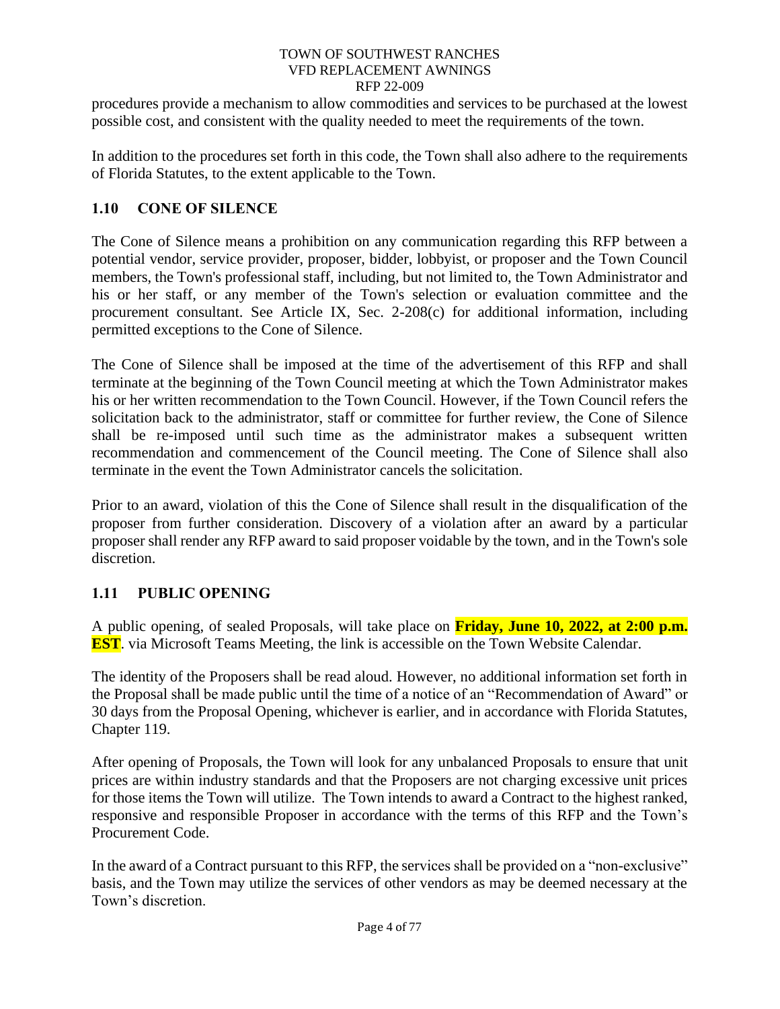procedures provide a mechanism to allow commodities and services to be purchased at the lowest possible cost, and consistent with the quality needed to meet the requirements of the town.

In addition to the procedures set forth in this code, the Town shall also adhere to the requirements of Florida Statutes, to the extent applicable to the Town.

# <span id="page-8-0"></span>**1.10 CONE OF SILENCE**

The Cone of Silence means a prohibition on any communication regarding this RFP between a potential vendor, service provider, proposer, bidder, lobbyist, or proposer and the Town Council members, the Town's professional staff, including, but not limited to, the Town Administrator and his or her staff, or any member of the Town's selection or evaluation committee and the procurement consultant. See Article IX, Sec. 2-208(c) for additional information, including permitted exceptions to the Cone of Silence.

The Cone of Silence shall be imposed at the time of the advertisement of this RFP and shall terminate at the beginning of the Town Council meeting at which the Town Administrator makes his or her written recommendation to the Town Council. However, if the Town Council refers the solicitation back to the administrator, staff or committee for further review, the Cone of Silence shall be re-imposed until such time as the administrator makes a subsequent written recommendation and commencement of the Council meeting. The Cone of Silence shall also terminate in the event the Town Administrator cancels the solicitation.

Prior to an award, violation of this the Cone of Silence shall result in the disqualification of the proposer from further consideration. Discovery of a violation after an award by a particular proposer shall render any RFP award to said proposer voidable by the town, and in the Town's sole discretion.

# <span id="page-8-1"></span>**1.11 PUBLIC OPENING**

A public opening, of sealed Proposals, will take place on **Friday, June 10, 2022, at 2:00 p.m. EST**. via Microsoft Teams Meeting, the link is accessible on the Town Website Calendar.

The identity of the Proposers shall be read aloud. However, no additional information set forth in the Proposal shall be made public until the time of a notice of an "Recommendation of Award" or 30 days from the Proposal Opening, whichever is earlier, and in accordance with Florida Statutes, Chapter 119.

After opening of Proposals, the Town will look for any unbalanced Proposals to ensure that unit prices are within industry standards and that the Proposers are not charging excessive unit prices for those items the Town will utilize. The Town intends to award a Contract to the highest ranked, responsive and responsible Proposer in accordance with the terms of this RFP and the Town's Procurement Code.

In the award of a Contract pursuant to this RFP, the services shall be provided on a "non-exclusive" basis, and the Town may utilize the services of other vendors as may be deemed necessary at the Town's discretion.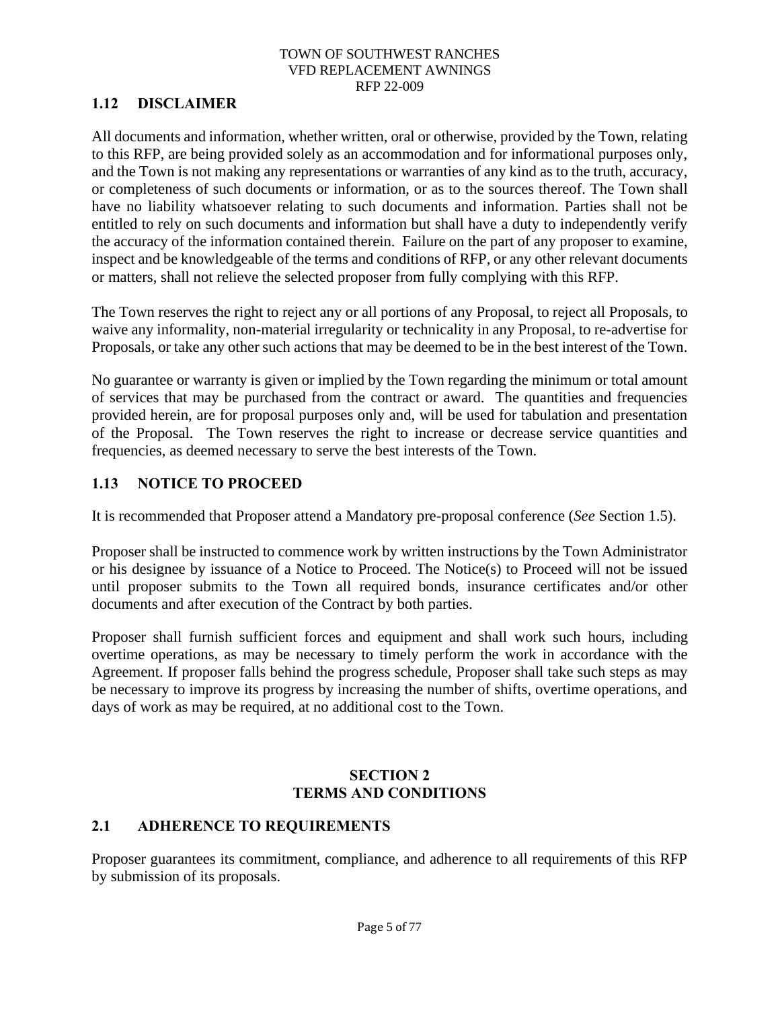# <span id="page-9-0"></span>**1.12 DISCLAIMER**

All documents and information, whether written, oral or otherwise, provided by the Town, relating to this RFP, are being provided solely as an accommodation and for informational purposes only, and the Town is not making any representations or warranties of any kind as to the truth, accuracy, or completeness of such documents or information, or as to the sources thereof. The Town shall have no liability whatsoever relating to such documents and information. Parties shall not be entitled to rely on such documents and information but shall have a duty to independently verify the accuracy of the information contained therein. Failure on the part of any proposer to examine, inspect and be knowledgeable of the terms and conditions of RFP, or any other relevant documents or matters, shall not relieve the selected proposer from fully complying with this RFP.

The Town reserves the right to reject any or all portions of any Proposal, to reject all Proposals, to waive any informality, non-material irregularity or technicality in any Proposal, to re-advertise for Proposals, or take any other such actions that may be deemed to be in the best interest of the Town.

No guarantee or warranty is given or implied by the Town regarding the minimum or total amount of services that may be purchased from the contract or award. The quantities and frequencies provided herein, are for proposal purposes only and, will be used for tabulation and presentation of the Proposal. The Town reserves the right to increase or decrease service quantities and frequencies, as deemed necessary to serve the best interests of the Town.

# <span id="page-9-1"></span>**1.13 NOTICE TO PROCEED**

It is recommended that Proposer attend a Mandatory pre-proposal conference (*See* Section 1.5).

Proposer shall be instructed to commence work by written instructions by the Town Administrator or his designee by issuance of a Notice to Proceed. The Notice(s) to Proceed will not be issued until proposer submits to the Town all required bonds, insurance certificates and/or other documents and after execution of the Contract by both parties.

Proposer shall furnish sufficient forces and equipment and shall work such hours, including overtime operations, as may be necessary to timely perform the work in accordance with the Agreement. If proposer falls behind the progress schedule, Proposer shall take such steps as may be necessary to improve its progress by increasing the number of shifts, overtime operations, and days of work as may be required, at no additional cost to the Town.

# **SECTION 2 TERMS AND CONDITIONS**

# <span id="page-9-3"></span><span id="page-9-2"></span>**2.1 ADHERENCE TO REQUIREMENTS**

Proposer guarantees its commitment, compliance, and adherence to all requirements of this RFP by submission of its proposals.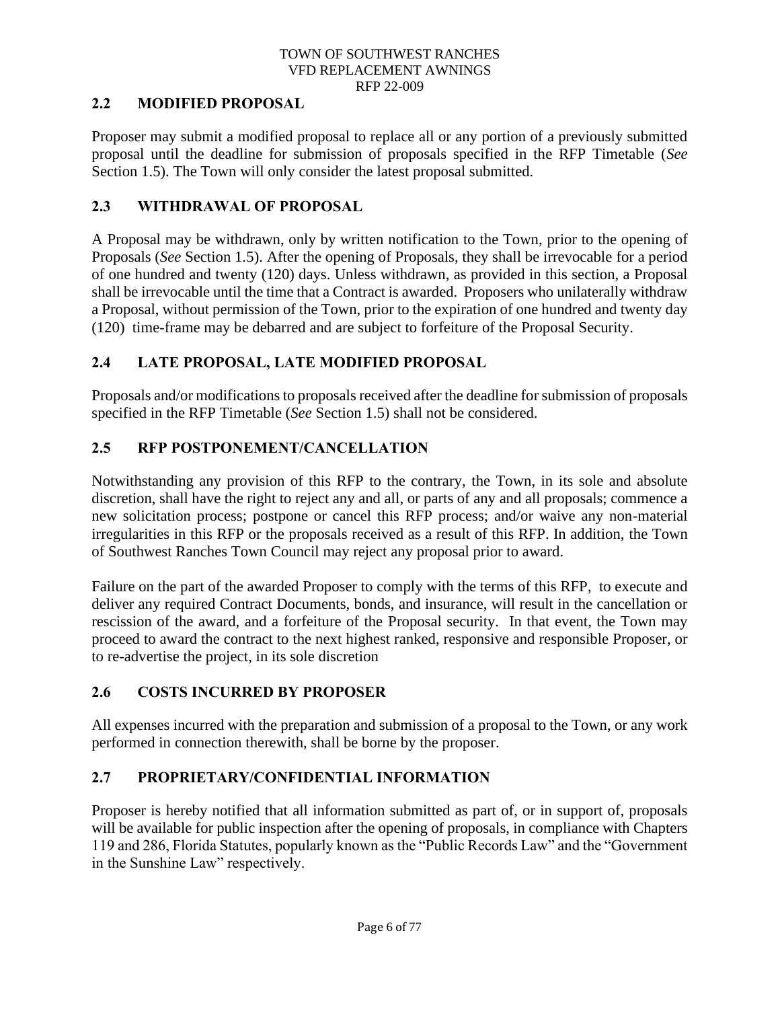# <span id="page-10-0"></span>**2.2 MODIFIED PROPOSAL**

Proposer may submit a modified proposal to replace all or any portion of a previously submitted proposal until the deadline for submission of proposals specified in the RFP Timetable (*See*  Section 1.5). The Town will only consider the latest proposal submitted.

### <span id="page-10-1"></span>**2.3 WITHDRAWAL OF PROPOSAL**

A Proposal may be withdrawn, only by written notification to the Town, prior to the opening of Proposals (*See* Section 1.5). After the opening of Proposals, they shall be irrevocable for a period of one hundred and twenty (120) days. Unless withdrawn, as provided in this section, a Proposal shall be irrevocable until the time that a Contract is awarded. Proposers who unilaterally withdraw a Proposal, without permission of the Town, prior to the expiration of one hundred and twenty day (120) time-frame may be debarred and are subject to forfeiture of the Proposal Security.

# <span id="page-10-2"></span>**2.4 LATE PROPOSAL, LATE MODIFIED PROPOSAL**

Proposals and/or modifications to proposals received after the deadline for submission of proposals specified in the RFP Timetable (*See* Section 1.5) shall not be considered.

# <span id="page-10-3"></span>**2.5 RFP POSTPONEMENT/CANCELLATION**

Notwithstanding any provision of this RFP to the contrary, the Town, in its sole and absolute discretion, shall have the right to reject any and all, or parts of any and all proposals; commence a new solicitation process; postpone or cancel this RFP process; and/or waive any non-material irregularities in this RFP or the proposals received as a result of this RFP. In addition, the Town of Southwest Ranches Town Council may reject any proposal prior to award.

Failure on the part of the awarded Proposer to comply with the terms of this RFP, to execute and deliver any required Contract Documents, bonds, and insurance, will result in the cancellation or rescission of the award, and a forfeiture of the Proposal security. In that event, the Town may proceed to award the contract to the next highest ranked, responsive and responsible Proposer, or to re-advertise the project, in its sole discretion

# <span id="page-10-4"></span>**2.6 COSTS INCURRED BY PROPOSER**

All expenses incurred with the preparation and submission of a proposal to the Town, or any work performed in connection therewith, shall be borne by the proposer.

# <span id="page-10-5"></span>**2.7 PROPRIETARY/CONFIDENTIAL INFORMATION**

Proposer is hereby notified that all information submitted as part of, or in support of, proposals will be available for public inspection after the opening of proposals, in compliance with Chapters 119 and 286, Florida Statutes, popularly known as the "Public Records Law" and the "Government in the Sunshine Law" respectively.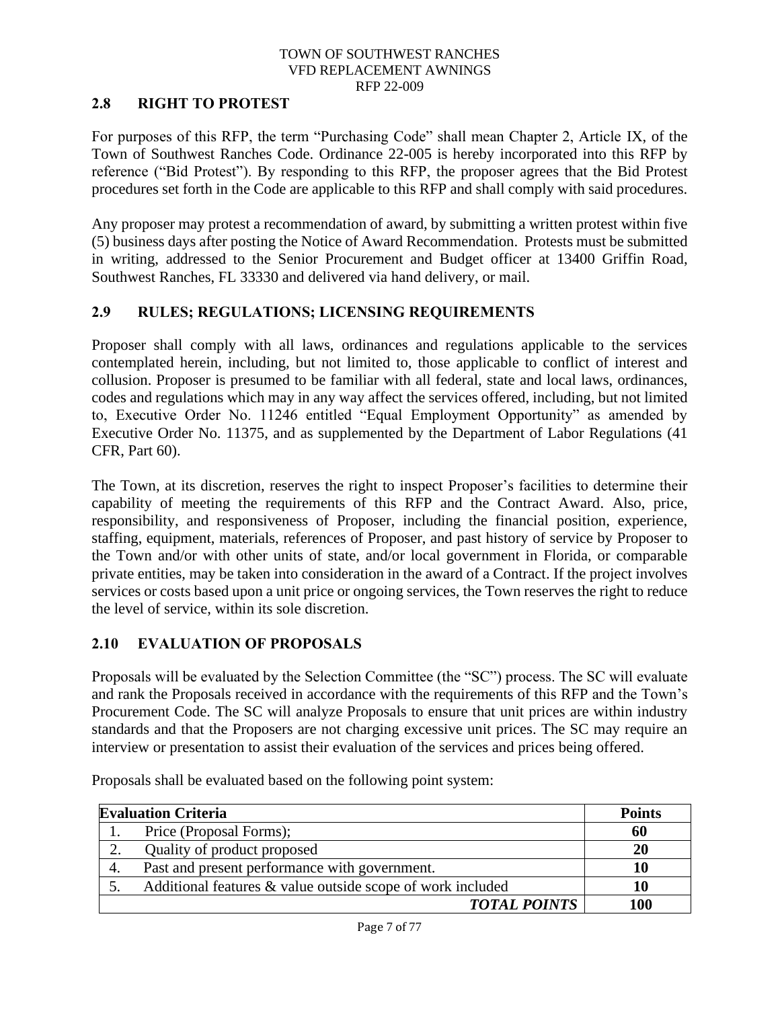# <span id="page-11-0"></span>**2.8 RIGHT TO PROTEST**

For purposes of this RFP, the term "Purchasing Code" shall mean Chapter 2, Article IX, of the Town of Southwest Ranches Code. Ordinance 22-005 is hereby incorporated into this RFP by reference ("Bid Protest"). By responding to this RFP, the proposer agrees that the Bid Protest procedures set forth in the Code are applicable to this RFP and shall comply with said procedures.

Any proposer may protest a recommendation of award, by submitting a written protest within five (5) business days after posting the Notice of Award Recommendation. Protests must be submitted in writing, addressed to the Senior Procurement and Budget officer at 13400 Griffin Road, Southwest Ranches, FL 33330 and delivered via hand delivery, or mail.

# <span id="page-11-1"></span>**2.9 RULES; REGULATIONS; LICENSING REQUIREMENTS**

Proposer shall comply with all laws, ordinances and regulations applicable to the services contemplated herein, including, but not limited to, those applicable to conflict of interest and collusion. Proposer is presumed to be familiar with all federal, state and local laws, ordinances, codes and regulations which may in any way affect the services offered, including, but not limited to, Executive Order No. 11246 entitled "Equal Employment Opportunity" as amended by Executive Order No. 11375, and as supplemented by the Department of Labor Regulations (41 CFR, Part 60).

The Town, at its discretion, reserves the right to inspect Proposer's facilities to determine their capability of meeting the requirements of this RFP and the Contract Award. Also, price, responsibility, and responsiveness of Proposer, including the financial position, experience, staffing, equipment, materials, references of Proposer, and past history of service by Proposer to the Town and/or with other units of state, and/or local government in Florida, or comparable private entities, may be taken into consideration in the award of a Contract. If the project involves services or costs based upon a unit price or ongoing services, the Town reserves the right to reduce the level of service, within its sole discretion.

# <span id="page-11-2"></span>**2.10 EVALUATION OF PROPOSALS**

Proposals will be evaluated by the Selection Committee (the "SC") process. The SC will evaluate and rank the Proposals received in accordance with the requirements of this RFP and the Town's Procurement Code. The SC will analyze Proposals to ensure that unit prices are within industry standards and that the Proposers are not charging excessive unit prices. The SC may require an interview or presentation to assist their evaluation of the services and prices being offered.

| <b>Evaluation Criteria</b> |                                                            | <b>Points</b> |
|----------------------------|------------------------------------------------------------|---------------|
|                            | Price (Proposal Forms);                                    | 60            |
| 2.                         | Quality of product proposed                                | <b>20</b>     |
| 4.                         | Past and present performance with government.              | 10            |
|                            | Additional features & value outside scope of work included | 10            |
|                            | <b>TOTAL POINTS</b>                                        | 100           |

Proposals shall be evaluated based on the following point system: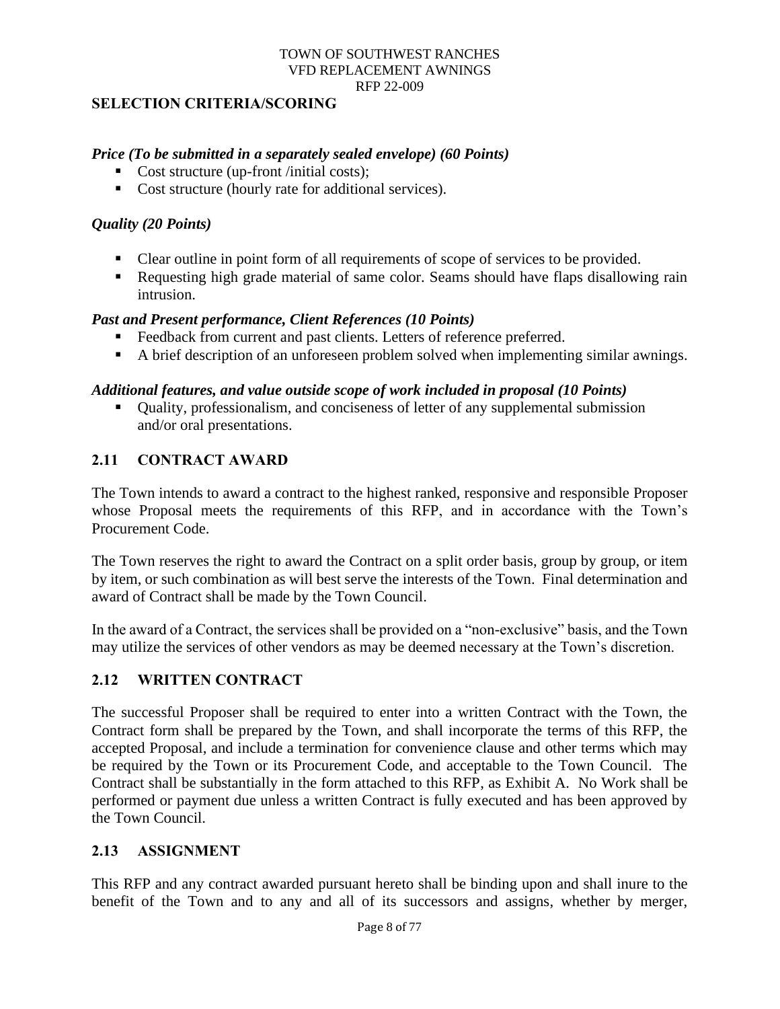### <span id="page-12-0"></span>**SELECTION CRITERIA/SCORING**

#### *Price (To be submitted in a separately sealed envelope) (60 Points)*

- Cost structure (up-front /initial costs);
- Cost structure (hourly rate for additional services).

### *Quality (20 Points)*

- Clear outline in point form of all requirements of scope of services to be provided.
- Requesting high grade material of same color. Seams should have flaps disallowing rain intrusion.

### *Past and Present performance, Client References (10 Points)*

- Feedback from current and past clients. Letters of reference preferred.
- A brief description of an unforeseen problem solved when implementing similar awnings.

#### *Additional features, and value outside scope of work included in proposal (10 Points)*

■ Quality, professionalism, and conciseness of letter of any supplemental submission and/or oral presentations.

#### <span id="page-12-1"></span>**2.11 CONTRACT AWARD**

The Town intends to award a contract to the highest ranked, responsive and responsible Proposer whose Proposal meets the requirements of this RFP, and in accordance with the Town's Procurement Code.

The Town reserves the right to award the Contract on a split order basis, group by group, or item by item, or such combination as will best serve the interests of the Town. Final determination and award of Contract shall be made by the Town Council.

In the award of a Contract, the services shall be provided on a "non-exclusive" basis, and the Town may utilize the services of other vendors as may be deemed necessary at the Town's discretion.

### <span id="page-12-2"></span>**2.12 WRITTEN CONTRACT**

The successful Proposer shall be required to enter into a written Contract with the Town, the Contract form shall be prepared by the Town, and shall incorporate the terms of this RFP, the accepted Proposal, and include a termination for convenience clause and other terms which may be required by the Town or its Procurement Code, and acceptable to the Town Council. The Contract shall be substantially in the form attached to this RFP, as Exhibit A. No Work shall be performed or payment due unless a written Contract is fully executed and has been approved by the Town Council.

# <span id="page-12-3"></span>**2.13 ASSIGNMENT**

This RFP and any contract awarded pursuant hereto shall be binding upon and shall inure to the benefit of the Town and to any and all of its successors and assigns, whether by merger,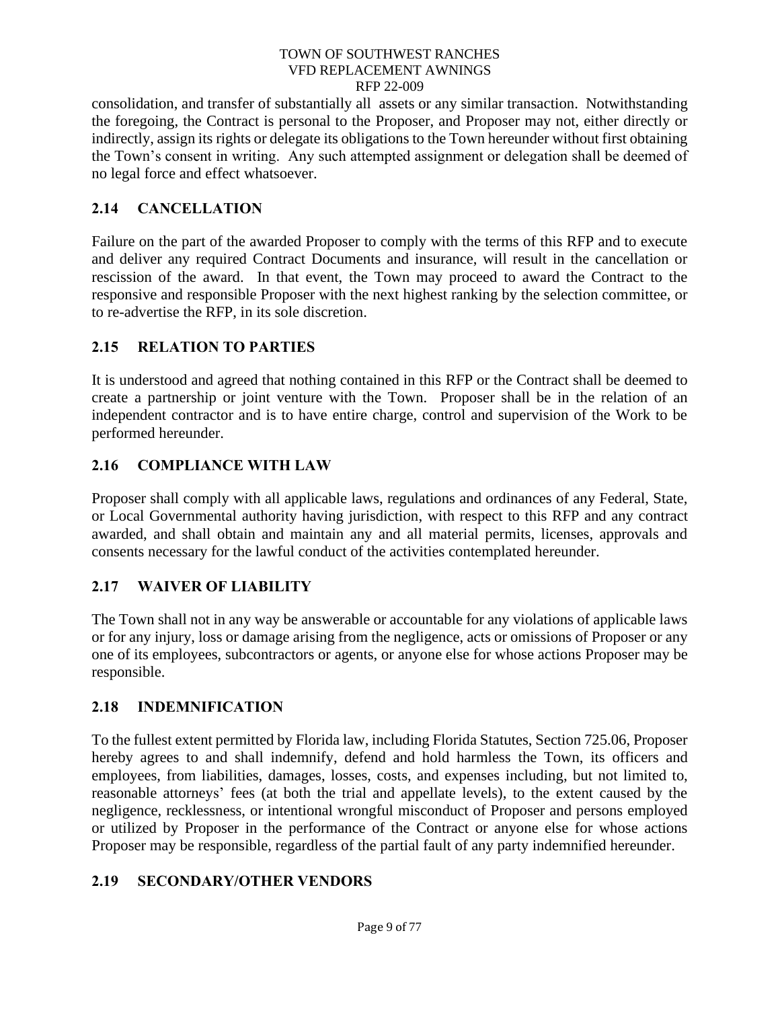consolidation, and transfer of substantially all assets or any similar transaction. Notwithstanding the foregoing, the Contract is personal to the Proposer, and Proposer may not, either directly or indirectly, assign its rights or delegate its obligations to the Town hereunder without first obtaining the Town's consent in writing. Any such attempted assignment or delegation shall be deemed of no legal force and effect whatsoever.

# <span id="page-13-0"></span>**2.14 CANCELLATION**

Failure on the part of the awarded Proposer to comply with the terms of this RFP and to execute and deliver any required Contract Documents and insurance, will result in the cancellation or rescission of the award. In that event, the Town may proceed to award the Contract to the responsive and responsible Proposer with the next highest ranking by the selection committee, or to re-advertise the RFP, in its sole discretion.

# <span id="page-13-1"></span>**2.15 RELATION TO PARTIES**

It is understood and agreed that nothing contained in this RFP or the Contract shall be deemed to create a partnership or joint venture with the Town. Proposer shall be in the relation of an independent contractor and is to have entire charge, control and supervision of the Work to be performed hereunder.

# <span id="page-13-2"></span>**2.16 COMPLIANCE WITH LAW**

Proposer shall comply with all applicable laws, regulations and ordinances of any Federal, State, or Local Governmental authority having jurisdiction, with respect to this RFP and any contract awarded, and shall obtain and maintain any and all material permits, licenses, approvals and consents necessary for the lawful conduct of the activities contemplated hereunder.

# <span id="page-13-3"></span>**2.17 WAIVER OF LIABILITY**

The Town shall not in any way be answerable or accountable for any violations of applicable laws or for any injury, loss or damage arising from the negligence, acts or omissions of Proposer or any one of its employees, subcontractors or agents, or anyone else for whose actions Proposer may be responsible.

# <span id="page-13-4"></span>**2.18 INDEMNIFICATION**

To the fullest extent permitted by Florida law, including Florida Statutes, Section 725.06, Proposer hereby agrees to and shall indemnify, defend and hold harmless the Town, its officers and employees, from liabilities, damages, losses, costs, and expenses including, but not limited to, reasonable attorneys' fees (at both the trial and appellate levels), to the extent caused by the negligence, recklessness, or intentional wrongful misconduct of Proposer and persons employed or utilized by Proposer in the performance of the Contract or anyone else for whose actions Proposer may be responsible, regardless of the partial fault of any party indemnified hereunder.

# <span id="page-13-5"></span>**2.19 SECONDARY/OTHER VENDORS**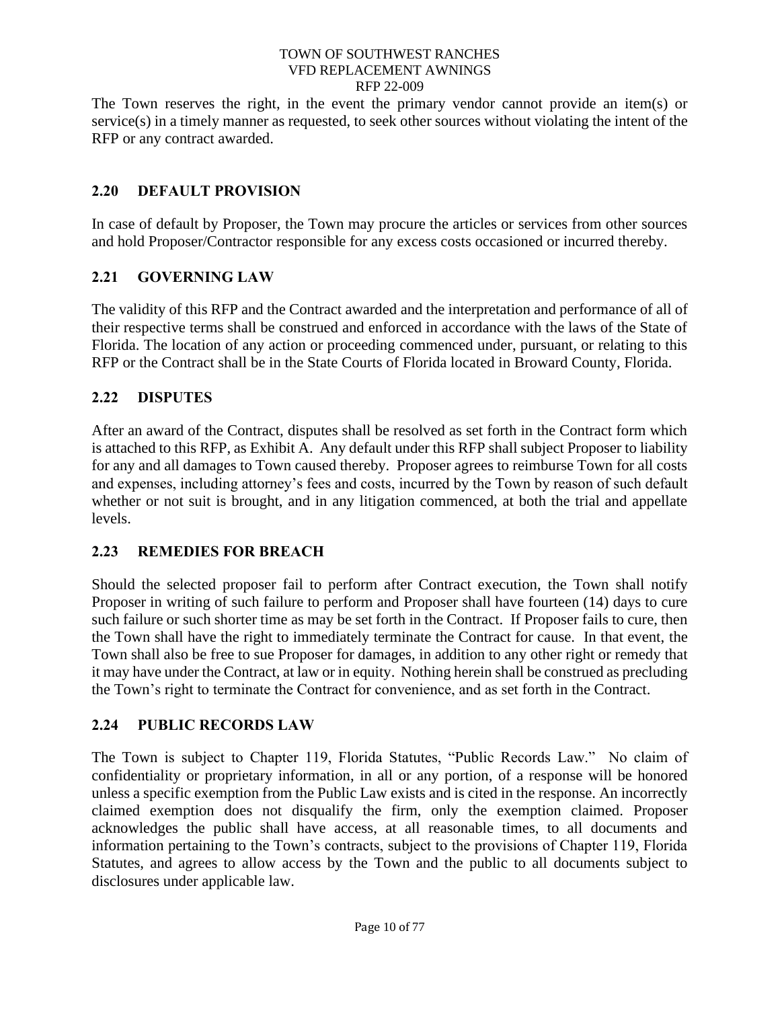The Town reserves the right, in the event the primary vendor cannot provide an item(s) or service(s) in a timely manner as requested, to seek other sources without violating the intent of the RFP or any contract awarded.

# <span id="page-14-0"></span>**2.20 DEFAULT PROVISION**

In case of default by Proposer, the Town may procure the articles or services from other sources and hold Proposer/Contractor responsible for any excess costs occasioned or incurred thereby.

# <span id="page-14-1"></span>**2.21 GOVERNING LAW**

The validity of this RFP and the Contract awarded and the interpretation and performance of all of their respective terms shall be construed and enforced in accordance with the laws of the State of Florida. The location of any action or proceeding commenced under, pursuant, or relating to this RFP or the Contract shall be in the State Courts of Florida located in Broward County, Florida.

# <span id="page-14-2"></span>**2.22 DISPUTES**

After an award of the Contract, disputes shall be resolved as set forth in the Contract form which is attached to this RFP, as Exhibit A. Any default under this RFP shall subject Proposer to liability for any and all damages to Town caused thereby. Proposer agrees to reimburse Town for all costs and expenses, including attorney's fees and costs, incurred by the Town by reason of such default whether or not suit is brought, and in any litigation commenced, at both the trial and appellate levels.

# <span id="page-14-3"></span>**2.23 REMEDIES FOR BREACH**

Should the selected proposer fail to perform after Contract execution, the Town shall notify Proposer in writing of such failure to perform and Proposer shall have fourteen (14) days to cure such failure or such shorter time as may be set forth in the Contract. If Proposer fails to cure, then the Town shall have the right to immediately terminate the Contract for cause. In that event, the Town shall also be free to sue Proposer for damages, in addition to any other right or remedy that it may have under the Contract, at law or in equity. Nothing herein shall be construed as precluding the Town's right to terminate the Contract for convenience, and as set forth in the Contract.

# <span id="page-14-4"></span>**2.24 PUBLIC RECORDS LAW**

The Town is subject to Chapter 119, Florida Statutes, "Public Records Law." No claim of confidentiality or proprietary information, in all or any portion, of a response will be honored unless a specific exemption from the Public Law exists and is cited in the response. An incorrectly claimed exemption does not disqualify the firm, only the exemption claimed. Proposer acknowledges the public shall have access, at all reasonable times, to all documents and information pertaining to the Town's contracts, subject to the provisions of Chapter 119, Florida Statutes, and agrees to allow access by the Town and the public to all documents subject to disclosures under applicable law.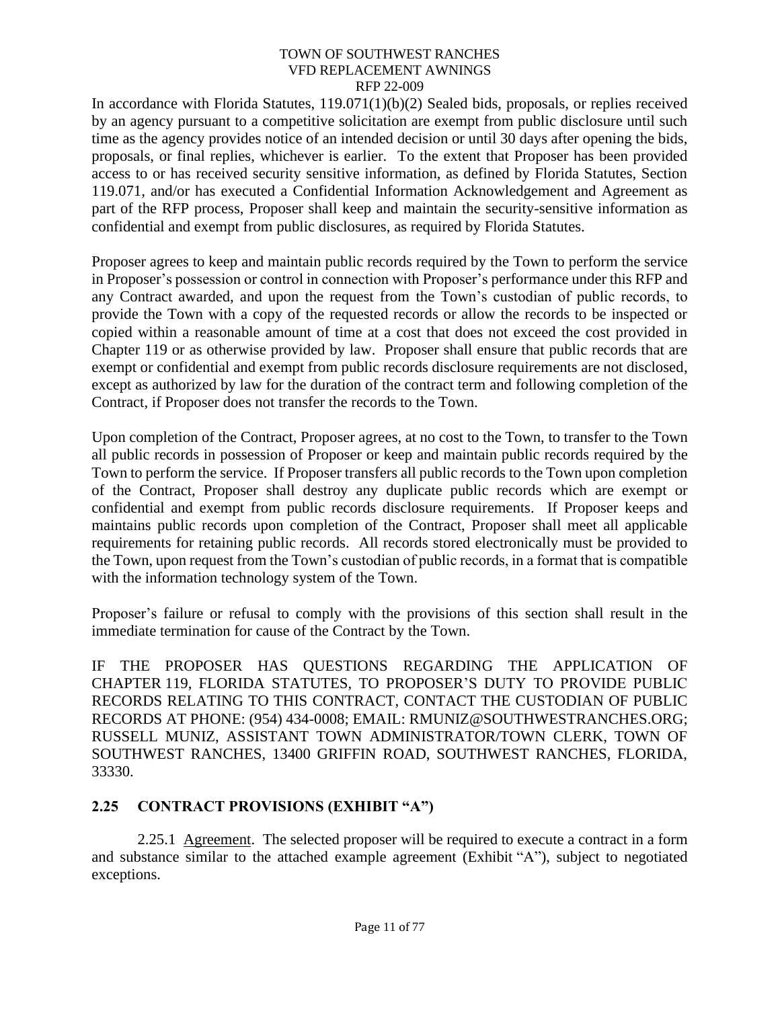In accordance with Florida Statutes, 119.071(1)(b)(2) Sealed bids, proposals, or replies received by an agency pursuant to a competitive solicitation are exempt from public disclosure until such time as the agency provides notice of an intended decision or until 30 days after opening the bids, proposals, or final replies, whichever is earlier. To the extent that Proposer has been provided access to or has received security sensitive information, as defined by Florida Statutes, Section 119.071, and/or has executed a Confidential Information Acknowledgement and Agreement as part of the RFP process, Proposer shall keep and maintain the security-sensitive information as confidential and exempt from public disclosures, as required by Florida Statutes.

Proposer agrees to keep and maintain public records required by the Town to perform the service in Proposer's possession or control in connection with Proposer's performance under this RFP and any Contract awarded, and upon the request from the Town's custodian of public records, to provide the Town with a copy of the requested records or allow the records to be inspected or copied within a reasonable amount of time at a cost that does not exceed the cost provided in Chapter 119 or as otherwise provided by law. Proposer shall ensure that public records that are exempt or confidential and exempt from public records disclosure requirements are not disclosed, except as authorized by law for the duration of the contract term and following completion of the Contract, if Proposer does not transfer the records to the Town.

Upon completion of the Contract, Proposer agrees, at no cost to the Town, to transfer to the Town all public records in possession of Proposer or keep and maintain public records required by the Town to perform the service. If Proposer transfers all public records to the Town upon completion of the Contract, Proposer shall destroy any duplicate public records which are exempt or confidential and exempt from public records disclosure requirements. If Proposer keeps and maintains public records upon completion of the Contract, Proposer shall meet all applicable requirements for retaining public records. All records stored electronically must be provided to the Town, upon request from the Town's custodian of public records, in a format that is compatible with the information technology system of the Town.

Proposer's failure or refusal to comply with the provisions of this section shall result in the immediate termination for cause of the Contract by the Town.

IF THE PROPOSER HAS QUESTIONS REGARDING THE APPLICATION OF CHAPTER 119, FLORIDA STATUTES, TO PROPOSER'S DUTY TO PROVIDE PUBLIC RECORDS RELATING TO THIS CONTRACT, CONTACT THE CUSTODIAN OF PUBLIC RECORDS AT PHONE: (954) 434-0008; EMAIL: RMUNIZ@SOUTHWESTRANCHES.ORG; RUSSELL MUNIZ, ASSISTANT TOWN ADMINISTRATOR/TOWN CLERK, TOWN OF SOUTHWEST RANCHES, 13400 GRIFFIN ROAD, SOUTHWEST RANCHES, FLORIDA, 33330.

# <span id="page-15-0"></span>**2.25 CONTRACT PROVISIONS (EXHIBIT "A")**

<span id="page-15-1"></span>2.25.1 Agreement. The selected proposer will be required to execute a contract in a form and substance similar to the attached example agreement (Exhibit "A"), subject to negotiated exceptions.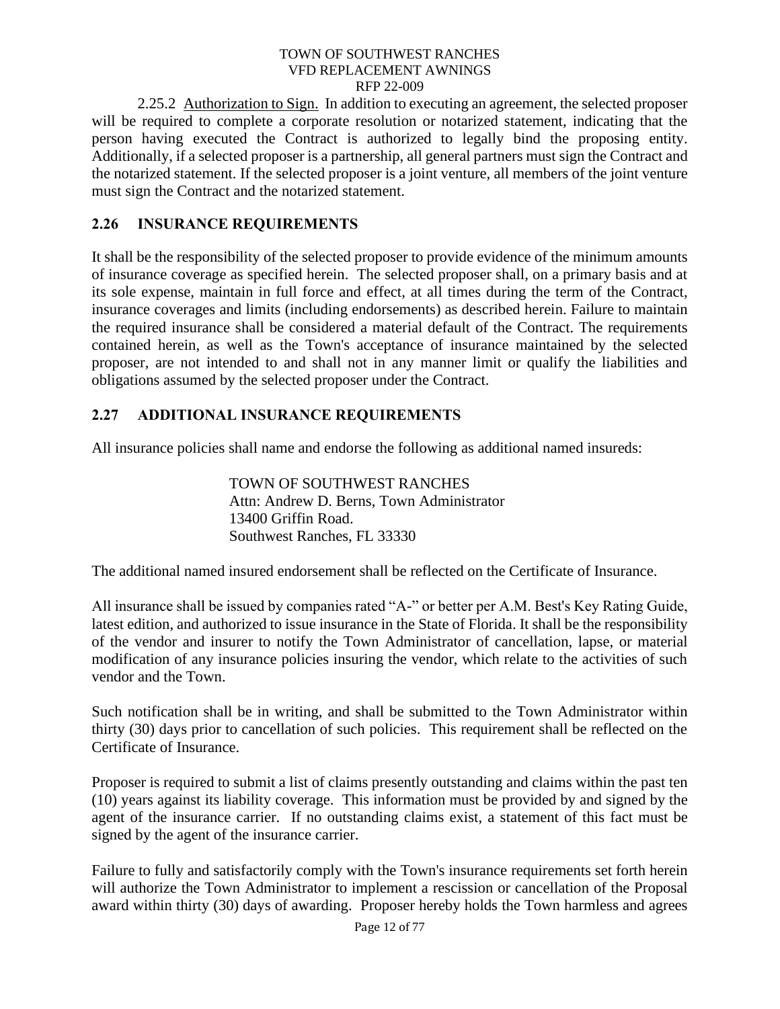<span id="page-16-0"></span>2.25.2 Authorization to Sign. In addition to executing an agreement, the selected proposer will be required to complete a corporate resolution or notarized statement, indicating that the person having executed the Contract is authorized to legally bind the proposing entity. Additionally, if a selected proposer is a partnership, all general partners must sign the Contract and the notarized statement. If the selected proposer is a joint venture, all members of the joint venture must sign the Contract and the notarized statement.

# <span id="page-16-1"></span>**2.26 INSURANCE REQUIREMENTS**

It shall be the responsibility of the selected proposer to provide evidence of the minimum amounts of insurance coverage as specified herein. The selected proposer shall, on a primary basis and at its sole expense, maintain in full force and effect, at all times during the term of the Contract, insurance coverages and limits (including endorsements) as described herein. Failure to maintain the required insurance shall be considered a material default of the Contract. The requirements contained herein, as well as the Town's acceptance of insurance maintained by the selected proposer, are not intended to and shall not in any manner limit or qualify the liabilities and obligations assumed by the selected proposer under the Contract.

# <span id="page-16-2"></span>**2.27 ADDITIONAL INSURANCE REQUIREMENTS**

All insurance policies shall name and endorse the following as additional named insureds:

TOWN OF SOUTHWEST RANCHES Attn: Andrew D. Berns, Town Administrator 13400 Griffin Road. Southwest Ranches, FL 33330

The additional named insured endorsement shall be reflected on the Certificate of Insurance.

All insurance shall be issued by companies rated "A-" or better per A.M. Best's Key Rating Guide, latest edition, and authorized to issue insurance in the State of Florida. It shall be the responsibility of the vendor and insurer to notify the Town Administrator of cancellation, lapse, or material modification of any insurance policies insuring the vendor, which relate to the activities of such vendor and the Town.

Such notification shall be in writing, and shall be submitted to the Town Administrator within thirty (30) days prior to cancellation of such policies. This requirement shall be reflected on the Certificate of Insurance.

Proposer is required to submit a list of claims presently outstanding and claims within the past ten (10) years against its liability coverage. This information must be provided by and signed by the agent of the insurance carrier. If no outstanding claims exist, a statement of this fact must be signed by the agent of the insurance carrier.

Failure to fully and satisfactorily comply with the Town's insurance requirements set forth herein will authorize the Town Administrator to implement a rescission or cancellation of the Proposal award within thirty (30) days of awarding. Proposer hereby holds the Town harmless and agrees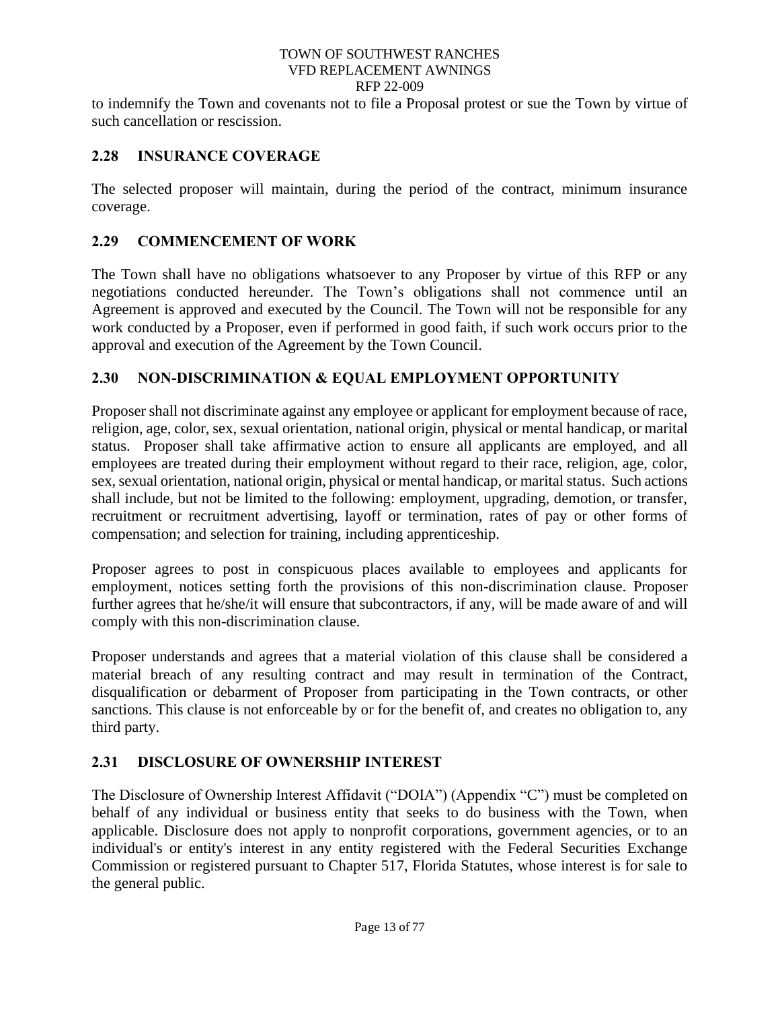to indemnify the Town and covenants not to file a Proposal protest or sue the Town by virtue of such cancellation or rescission.

# <span id="page-17-0"></span>**2.28 INSURANCE COVERAGE**

The selected proposer will maintain, during the period of the contract, minimum insurance coverage.

# <span id="page-17-1"></span>**2.29 COMMENCEMENT OF WORK**

The Town shall have no obligations whatsoever to any Proposer by virtue of this RFP or any negotiations conducted hereunder. The Town's obligations shall not commence until an Agreement is approved and executed by the Council. The Town will not be responsible for any work conducted by a Proposer, even if performed in good faith, if such work occurs prior to the approval and execution of the Agreement by the Town Council.

# <span id="page-17-2"></span>**2.30 NON-DISCRIMINATION & EQUAL EMPLOYMENT OPPORTUNITY**

Proposer shall not discriminate against any employee or applicant for employment because of race, religion, age, color, sex, sexual orientation, national origin, physical or mental handicap, or marital status. Proposer shall take affirmative action to ensure all applicants are employed, and all employees are treated during their employment without regard to their race, religion, age, color, sex, sexual orientation, national origin, physical or mental handicap, or marital status. Such actions shall include, but not be limited to the following: employment, upgrading, demotion, or transfer, recruitment or recruitment advertising, layoff or termination, rates of pay or other forms of compensation; and selection for training, including apprenticeship.

Proposer agrees to post in conspicuous places available to employees and applicants for employment, notices setting forth the provisions of this non-discrimination clause. Proposer further agrees that he/she/it will ensure that subcontractors, if any, will be made aware of and will comply with this non-discrimination clause.

Proposer understands and agrees that a material violation of this clause shall be considered a material breach of any resulting contract and may result in termination of the Contract, disqualification or debarment of Proposer from participating in the Town contracts, or other sanctions. This clause is not enforceable by or for the benefit of, and creates no obligation to, any third party.

# <span id="page-17-3"></span>**2.31 DISCLOSURE OF OWNERSHIP INTEREST**

The Disclosure of Ownership Interest Affidavit ("DOIA") (Appendix "C") must be completed on behalf of any individual or business entity that seeks to do business with the Town, when applicable. Disclosure does not apply to nonprofit corporations, government agencies, or to an individual's or entity's interest in any entity registered with the Federal Securities Exchange Commission or registered pursuant to Chapter 517, Florida Statutes, whose interest is for sale to the general public.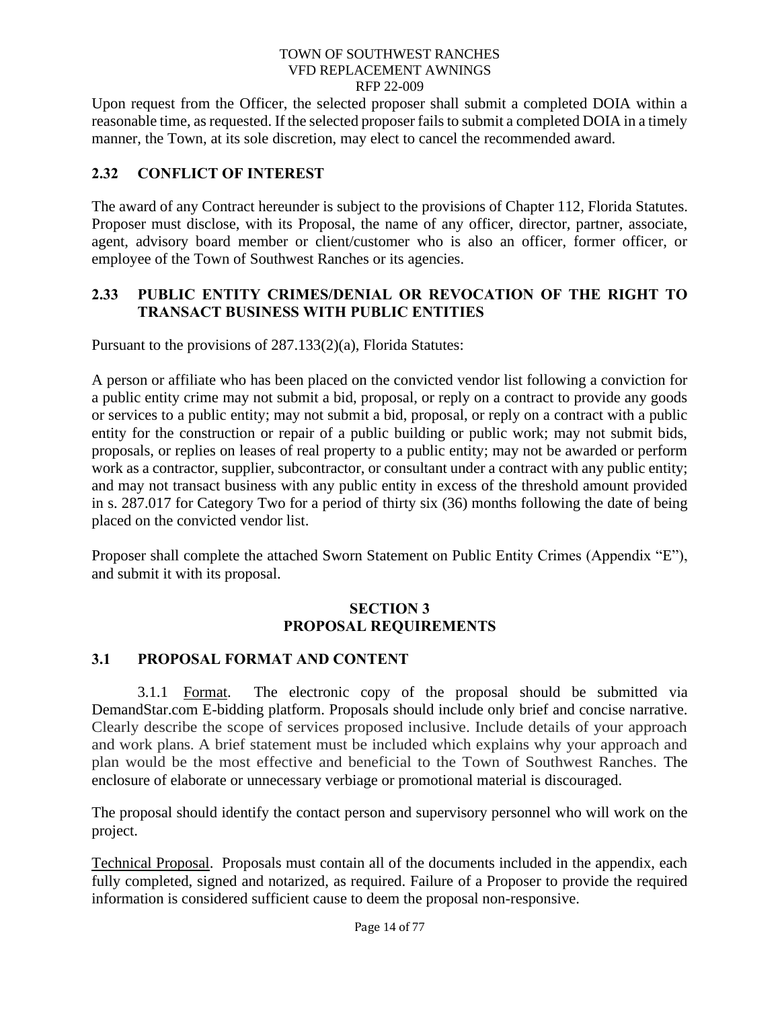Upon request from the Officer, the selected proposer shall submit a completed DOIA within a reasonable time, as requested. If the selected proposer fails to submit a completed DOIA in a timely manner, the Town, at its sole discretion, may elect to cancel the recommended award.

# <span id="page-18-0"></span>**2.32 CONFLICT OF INTEREST**

The award of any Contract hereunder is subject to the provisions of Chapter 112, Florida Statutes. Proposer must disclose, with its Proposal, the name of any officer, director, partner, associate, agent, advisory board member or client/customer who is also an officer, former officer, or employee of the Town of Southwest Ranches or its agencies.

# <span id="page-18-1"></span>**2.33 PUBLIC ENTITY CRIMES/DENIAL OR REVOCATION OF THE RIGHT TO TRANSACT BUSINESS WITH PUBLIC ENTITIES**

Pursuant to the provisions of 287.133(2)(a), Florida Statutes:

A person or affiliate who has been placed on the convicted vendor list following a conviction for a public entity crime may not submit a bid, proposal, or reply on a contract to provide any goods or services to a public entity; may not submit a bid, proposal, or reply on a contract with a public entity for the construction or repair of a public building or public work; may not submit bids, proposals, or replies on leases of real property to a public entity; may not be awarded or perform work as a contractor, supplier, subcontractor, or consultant under a contract with any public entity; and may not transact business with any public entity in excess of the threshold amount provided in s. 287.017 for Category Two for a period of thirty six (36) months following the date of being placed on the convicted vendor list.

Proposer shall complete the attached Sworn Statement on Public Entity Crimes (Appendix "E"), and submit it with its proposal.

# **SECTION 3 PROPOSAL REQUIREMENTS**

# <span id="page-18-3"></span><span id="page-18-2"></span>**3.1 PROPOSAL FORMAT AND CONTENT**

<span id="page-18-4"></span>3.1.1 Format. The electronic copy of the proposal should be submitted via DemandStar.com E-bidding platform. Proposals should include only brief and concise narrative. Clearly describe the scope of services proposed inclusive. Include details of your approach and work plans. A brief statement must be included which explains why your approach and plan would be the most effective and beneficial to the Town of Southwest Ranches. The enclosure of elaborate or unnecessary verbiage or promotional material is discouraged.

The proposal should identify the contact person and supervisory personnel who will work on the project.

Technical Proposal. Proposals must contain all of the documents included in the appendix, each fully completed, signed and notarized, as required. Failure of a Proposer to provide the required information is considered sufficient cause to deem the proposal non-responsive.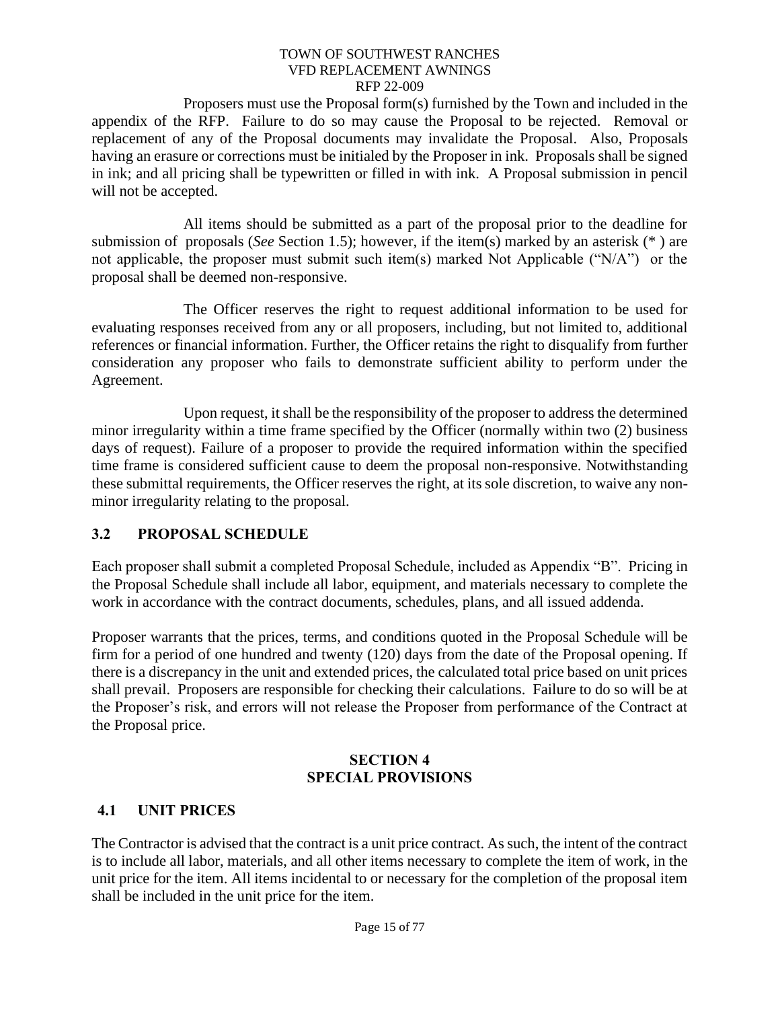Proposers must use the Proposal form(s) furnished by the Town and included in the appendix of the RFP. Failure to do so may cause the Proposal to be rejected. Removal or replacement of any of the Proposal documents may invalidate the Proposal. Also, Proposals having an erasure or corrections must be initialed by the Proposer in ink. Proposals shall be signed in ink; and all pricing shall be typewritten or filled in with ink. A Proposal submission in pencil will not be accepted.

All items should be submitted as a part of the proposal prior to the deadline for submission of proposals (*See* Section 1.5); however, if the item(s) marked by an asterisk (\* ) are not applicable, the proposer must submit such item(s) marked Not Applicable ("N/A") or the proposal shall be deemed non-responsive.

The Officer reserves the right to request additional information to be used for evaluating responses received from any or all proposers, including, but not limited to, additional references or financial information. Further, the Officer retains the right to disqualify from further consideration any proposer who fails to demonstrate sufficient ability to perform under the Agreement.

Upon request, it shall be the responsibility of the proposer to address the determined minor irregularity within a time frame specified by the Officer (normally within two (2) business days of request). Failure of a proposer to provide the required information within the specified time frame is considered sufficient cause to deem the proposal non-responsive. Notwithstanding these submittal requirements, the Officer reserves the right, at its sole discretion, to waive any nonminor irregularity relating to the proposal.

# <span id="page-19-0"></span>**3.2 PROPOSAL SCHEDULE**

Each proposer shall submit a completed Proposal Schedule, included as Appendix "B". Pricing in the Proposal Schedule shall include all labor, equipment, and materials necessary to complete the work in accordance with the contract documents, schedules, plans, and all issued addenda.

Proposer warrants that the prices, terms, and conditions quoted in the Proposal Schedule will be firm for a period of one hundred and twenty (120) days from the date of the Proposal opening. If there is a discrepancy in the unit and extended prices, the calculated total price based on unit prices shall prevail. Proposers are responsible for checking their calculations. Failure to do so will be at the Proposer's risk, and errors will not release the Proposer from performance of the Contract at the Proposal price.

### **SECTION 4 SPECIAL PROVISIONS**

# <span id="page-19-2"></span><span id="page-19-1"></span>**4.1 UNIT PRICES**

The Contractor is advised that the contract is a unit price contract. As such, the intent of the contract is to include all labor, materials, and all other items necessary to complete the item of work, in the unit price for the item. All items incidental to or necessary for the completion of the proposal item shall be included in the unit price for the item.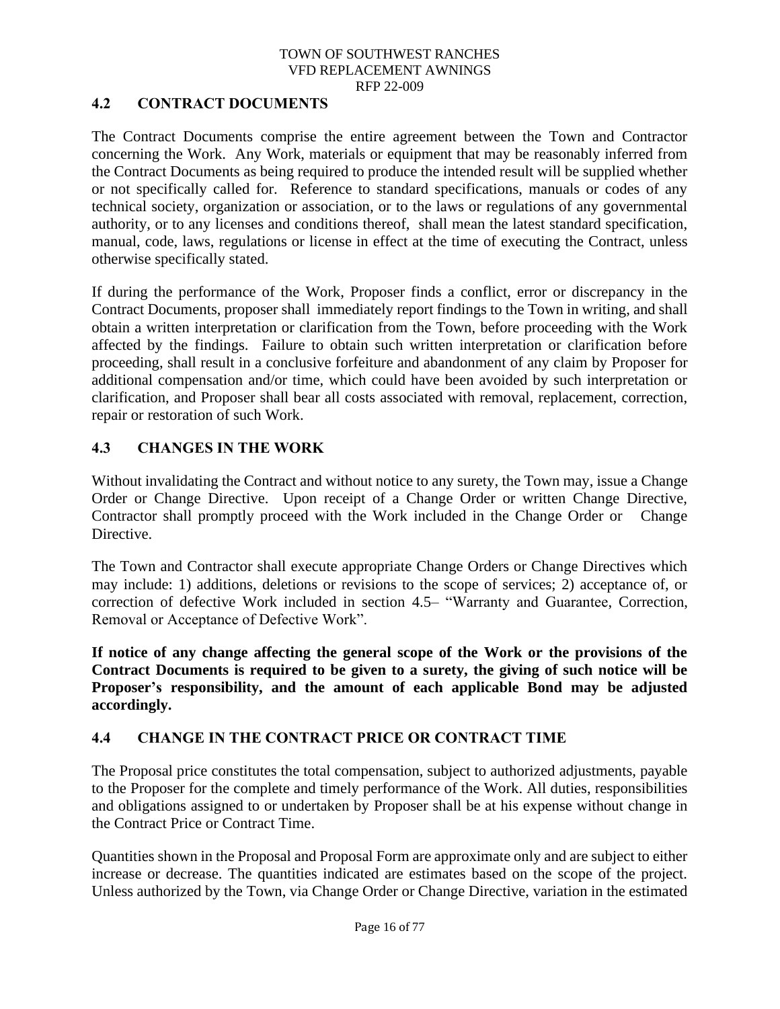# <span id="page-20-0"></span>**4.2 CONTRACT DOCUMENTS**

The Contract Documents comprise the entire agreement between the Town and Contractor concerning the Work. Any Work, materials or equipment that may be reasonably inferred from the Contract Documents as being required to produce the intended result will be supplied whether or not specifically called for. Reference to standard specifications, manuals or codes of any technical society, organization or association, or to the laws or regulations of any governmental authority, or to any licenses and conditions thereof, shall mean the latest standard specification, manual, code, laws, regulations or license in effect at the time of executing the Contract, unless otherwise specifically stated.

If during the performance of the Work, Proposer finds a conflict, error or discrepancy in the Contract Documents, proposer shall immediately report findings to the Town in writing, and shall obtain a written interpretation or clarification from the Town, before proceeding with the Work affected by the findings. Failure to obtain such written interpretation or clarification before proceeding, shall result in a conclusive forfeiture and abandonment of any claim by Proposer for additional compensation and/or time, which could have been avoided by such interpretation or clarification, and Proposer shall bear all costs associated with removal, replacement, correction, repair or restoration of such Work.

### <span id="page-20-1"></span>**4.3 CHANGES IN THE WORK**

Without invalidating the Contract and without notice to any surety, the Town may, issue a Change Order or Change Directive. Upon receipt of a Change Order or written Change Directive, Contractor shall promptly proceed with the Work included in the Change Order or Change Directive.

The Town and Contractor shall execute appropriate Change Orders or Change Directives which may include: 1) additions, deletions or revisions to the scope of services; 2) acceptance of, or correction of defective Work included in section 4.5– "Warranty and Guarantee, Correction, Removal or Acceptance of Defective Work".

**If notice of any change affecting the general scope of the Work or the provisions of the Contract Documents is required to be given to a surety, the giving of such notice will be Proposer's responsibility, and the amount of each applicable Bond may be adjusted accordingly.**

# <span id="page-20-2"></span>**4.4 CHANGE IN THE CONTRACT PRICE OR CONTRACT TIME**

The Proposal price constitutes the total compensation, subject to authorized adjustments, payable to the Proposer for the complete and timely performance of the Work. All duties, responsibilities and obligations assigned to or undertaken by Proposer shall be at his expense without change in the Contract Price or Contract Time.

Quantities shown in the Proposal and Proposal Form are approximate only and are subject to either increase or decrease. The quantities indicated are estimates based on the scope of the project. Unless authorized by the Town, via Change Order or Change Directive, variation in the estimated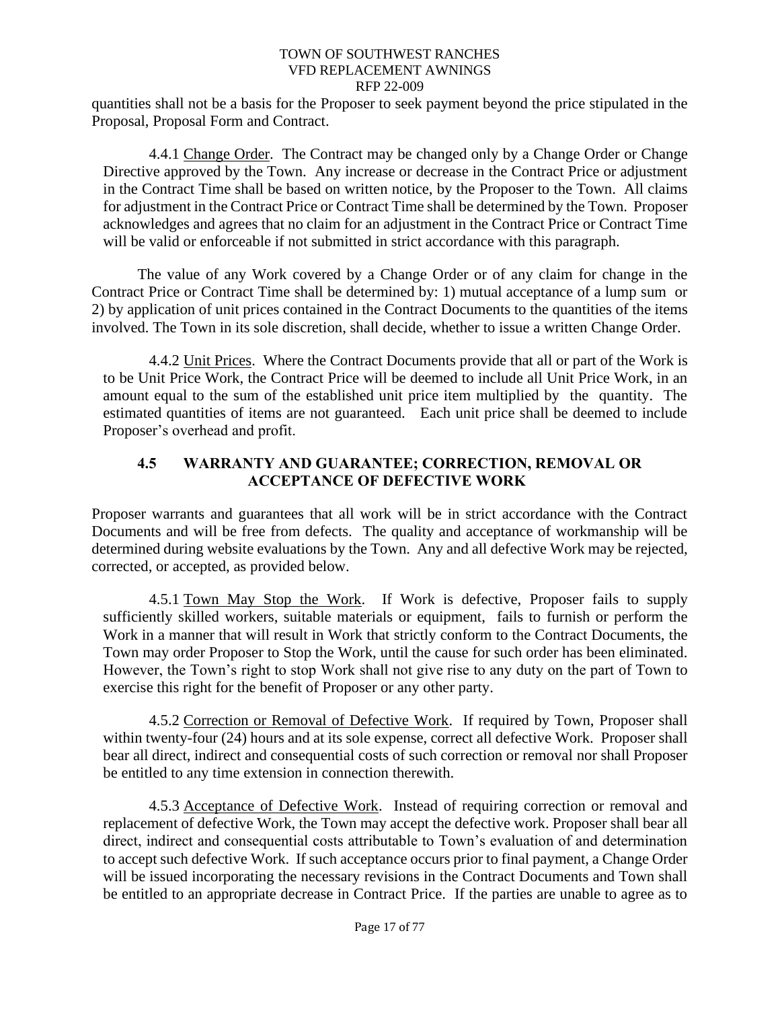quantities shall not be a basis for the Proposer to seek payment beyond the price stipulated in the Proposal, Proposal Form and Contract.

<span id="page-21-0"></span>4.4.1 Change Order. The Contract may be changed only by a Change Order or Change Directive approved by the Town. Any increase or decrease in the Contract Price or adjustment in the Contract Time shall be based on written notice, by the Proposer to the Town. All claims for adjustment in the Contract Price or Contract Time shall be determined by the Town. Proposer acknowledges and agrees that no claim for an adjustment in the Contract Price or Contract Time will be valid or enforceable if not submitted in strict accordance with this paragraph.

The value of any Work covered by a Change Order or of any claim for change in the Contract Price or Contract Time shall be determined by: 1) mutual acceptance of a lump sum or 2) by application of unit prices contained in the Contract Documents to the quantities of the items involved. The Town in its sole discretion, shall decide, whether to issue a written Change Order.

<span id="page-21-1"></span>4.4.2 Unit Prices. Where the Contract Documents provide that all or part of the Work is to be Unit Price Work, the Contract Price will be deemed to include all Unit Price Work, in an amount equal to the sum of the established unit price item multiplied by the quantity. The estimated quantities of items are not guaranteed. Each unit price shall be deemed to include Proposer's overhead and profit.

# <span id="page-21-2"></span>**4.5 WARRANTY AND GUARANTEE; CORRECTION, REMOVAL OR ACCEPTANCE OF DEFECTIVE WORK**

Proposer warrants and guarantees that all work will be in strict accordance with the Contract Documents and will be free from defects. The quality and acceptance of workmanship will be determined during website evaluations by the Town. Any and all defective Work may be rejected, corrected, or accepted, as provided below.

<span id="page-21-3"></span>4.5.1 Town May Stop the Work. If Work is defective, Proposer fails to supply sufficiently skilled workers, suitable materials or equipment, fails to furnish or perform the Work in a manner that will result in Work that strictly conform to the Contract Documents, the Town may order Proposer to Stop the Work, until the cause for such order has been eliminated. However, the Town's right to stop Work shall not give rise to any duty on the part of Town to exercise this right for the benefit of Proposer or any other party.

<span id="page-21-4"></span>4.5.2 Correction or Removal of Defective Work. If required by Town, Proposer shall within twenty-four (24) hours and at its sole expense, correct all defective Work. Proposer shall bear all direct, indirect and consequential costs of such correction or removal nor shall Proposer be entitled to any time extension in connection therewith.

<span id="page-21-5"></span>4.5.3 Acceptance of Defective Work. Instead of requiring correction or removal and replacement of defective Work, the Town may accept the defective work. Proposer shall bear all direct, indirect and consequential costs attributable to Town's evaluation of and determination to accept such defective Work. If such acceptance occurs prior to final payment, a Change Order will be issued incorporating the necessary revisions in the Contract Documents and Town shall be entitled to an appropriate decrease in Contract Price. If the parties are unable to agree as to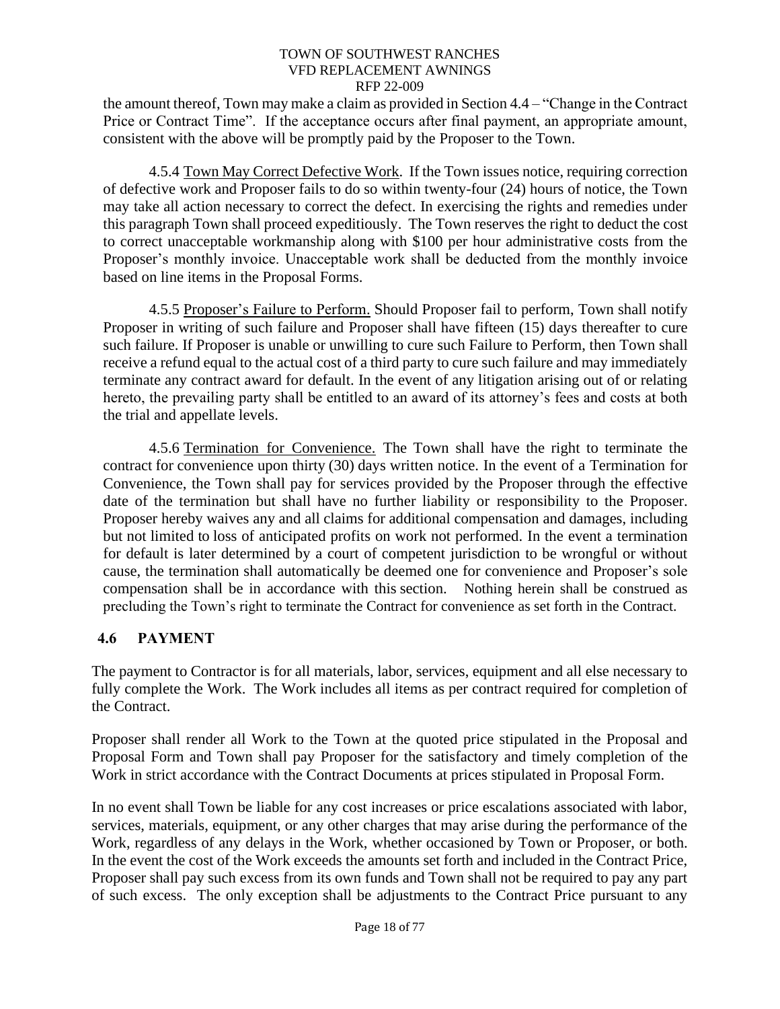the amount thereof, Town may make a claim as provided in Section 4.4 – "Change in the Contract Price or Contract Time". If the acceptance occurs after final payment, an appropriate amount, consistent with the above will be promptly paid by the Proposer to the Town.

<span id="page-22-0"></span>4.5.4 Town May Correct Defective Work. If the Town issues notice, requiring correction of defective work and Proposer fails to do so within twenty-four (24) hours of notice, the Town may take all action necessary to correct the defect. In exercising the rights and remedies under this paragraph Town shall proceed expeditiously. The Town reserves the right to deduct the cost to correct unacceptable workmanship along with \$100 per hour administrative costs from the Proposer's monthly invoice. Unacceptable work shall be deducted from the monthly invoice based on line items in the Proposal Forms.

<span id="page-22-1"></span>4.5.5 Proposer's Failure to Perform. Should Proposer fail to perform, Town shall notify Proposer in writing of such failure and Proposer shall have fifteen (15) days thereafter to cure such failure. If Proposer is unable or unwilling to cure such Failure to Perform, then Town shall receive a refund equal to the actual cost of a third party to cure such failure and may immediately terminate any contract award for default. In the event of any litigation arising out of or relating hereto, the prevailing party shall be entitled to an award of its attorney's fees and costs at both the trial and appellate levels.

<span id="page-22-2"></span>4.5.6 Termination for Convenience. The Town shall have the right to terminate the contract for convenience upon thirty (30) days written notice. In the event of a Termination for Convenience, the Town shall pay for services provided by the Proposer through the effective date of the termination but shall have no further liability or responsibility to the Proposer. Proposer hereby waives any and all claims for additional compensation and damages, including but not limited to loss of anticipated profits on work not performed. In the event a termination for default is later determined by a court of competent jurisdiction to be wrongful or without cause, the termination shall automatically be deemed one for convenience and Proposer's sole compensation shall be in accordance with this section. Nothing herein shall be construed as precluding the Town's right to terminate the Contract for convenience as set forth in the Contract.

# <span id="page-22-3"></span>**4.6 PAYMENT**

The payment to Contractor is for all materials, labor, services, equipment and all else necessary to fully complete the Work. The Work includes all items as per contract required for completion of the Contract.

Proposer shall render all Work to the Town at the quoted price stipulated in the Proposal and Proposal Form and Town shall pay Proposer for the satisfactory and timely completion of the Work in strict accordance with the Contract Documents at prices stipulated in Proposal Form.

In no event shall Town be liable for any cost increases or price escalations associated with labor, services, materials, equipment, or any other charges that may arise during the performance of the Work, regardless of any delays in the Work, whether occasioned by Town or Proposer, or both. In the event the cost of the Work exceeds the amounts set forth and included in the Contract Price, Proposer shall pay such excess from its own funds and Town shall not be required to pay any part of such excess. The only exception shall be adjustments to the Contract Price pursuant to any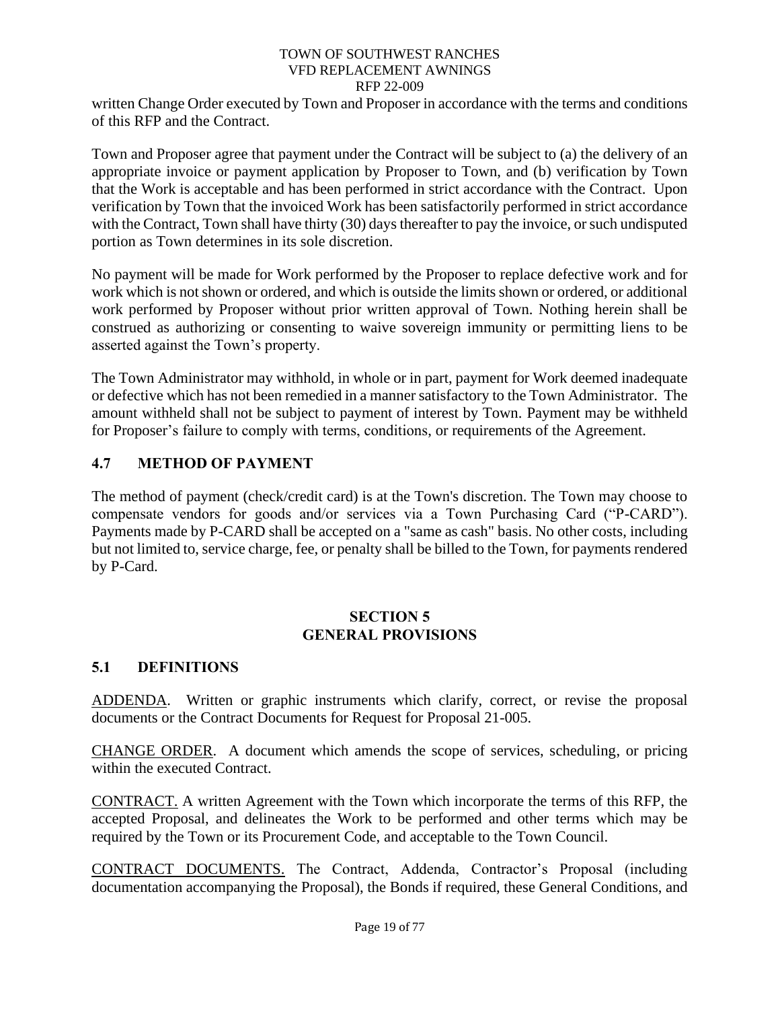written Change Order executed by Town and Proposer in accordance with the terms and conditions of this RFP and the Contract.

Town and Proposer agree that payment under the Contract will be subject to (a) the delivery of an appropriate invoice or payment application by Proposer to Town, and (b) verification by Town that the Work is acceptable and has been performed in strict accordance with the Contract. Upon verification by Town that the invoiced Work has been satisfactorily performed in strict accordance with the Contract, Town shall have thirty (30) days thereafter to pay the invoice, or such undisputed portion as Town determines in its sole discretion.

No payment will be made for Work performed by the Proposer to replace defective work and for work which is not shown or ordered, and which is outside the limits shown or ordered, or additional work performed by Proposer without prior written approval of Town. Nothing herein shall be construed as authorizing or consenting to waive sovereign immunity or permitting liens to be asserted against the Town's property.

The Town Administrator may withhold, in whole or in part, payment for Work deemed inadequate or defective which has not been remedied in a manner satisfactory to the Town Administrator. The amount withheld shall not be subject to payment of interest by Town. Payment may be withheld for Proposer's failure to comply with terms, conditions, or requirements of the Agreement.

# <span id="page-23-0"></span>**4.7 METHOD OF PAYMENT**

The method of payment (check/credit card) is at the Town's discretion. The Town may choose to compensate vendors for goods and/or services via a Town Purchasing Card ("P-CARD"). Payments made by P-CARD shall be accepted on a "same as cash" basis. No other costs, including but not limited to, service charge, fee, or penalty shall be billed to the Town, for payments rendered by P-Card.

### **SECTION 5 GENERAL PROVISIONS**

# <span id="page-23-2"></span><span id="page-23-1"></span>**5.1 DEFINITIONS**

ADDENDA. Written or graphic instruments which clarify, correct, or revise the proposal documents or the Contract Documents for Request for Proposal 21-005.

CHANGE ORDER. A document which amends the scope of services, scheduling, or pricing within the executed Contract.

CONTRACT. A written Agreement with the Town which incorporate the terms of this RFP, the accepted Proposal, and delineates the Work to be performed and other terms which may be required by the Town or its Procurement Code, and acceptable to the Town Council.

CONTRACT DOCUMENTS. The Contract, Addenda, Contractor's Proposal (including documentation accompanying the Proposal), the Bonds if required, these General Conditions, and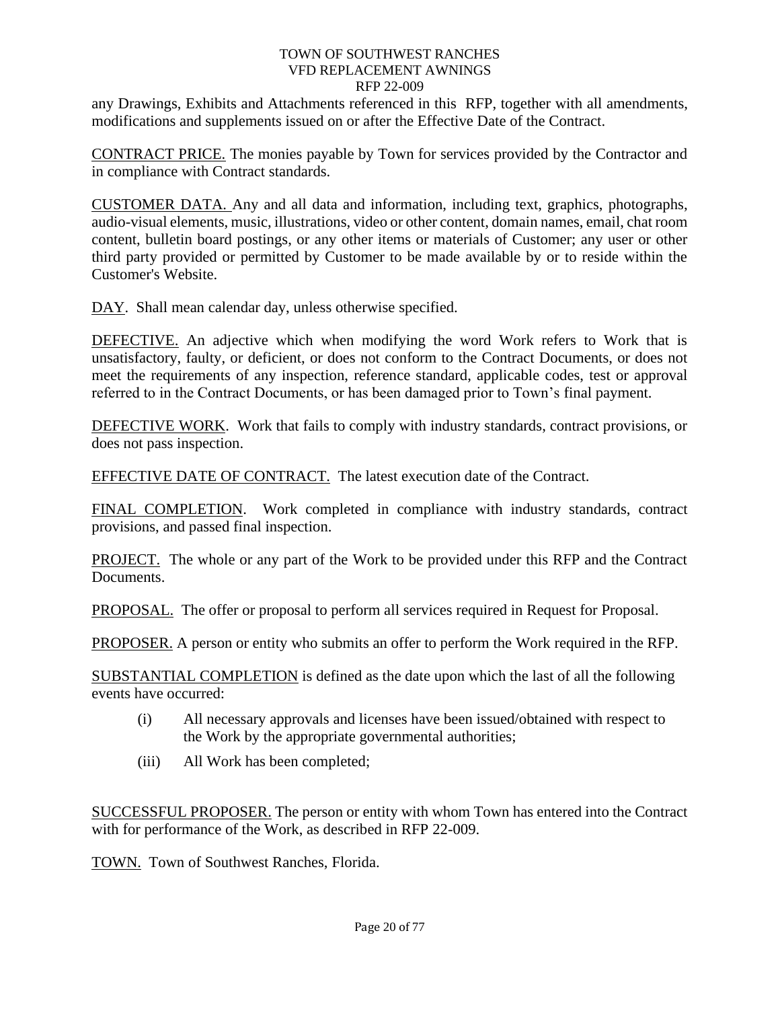any Drawings, Exhibits and Attachments referenced in this RFP, together with all amendments, modifications and supplements issued on or after the Effective Date of the Contract.

CONTRACT PRICE. The monies payable by Town for services provided by the Contractor and in compliance with Contract standards.

CUSTOMER DATA. Any and all data and information, including text, graphics, photographs, audio-visual elements, music, illustrations, video or other content, domain names, email, chat room content, bulletin board postings, or any other items or materials of Customer; any user or other third party provided or permitted by Customer to be made available by or to reside within the Customer's Website.

DAY. Shall mean calendar day, unless otherwise specified.

DEFECTIVE. An adjective which when modifying the word Work refers to Work that is unsatisfactory, faulty, or deficient, or does not conform to the Contract Documents, or does not meet the requirements of any inspection, reference standard, applicable codes, test or approval referred to in the Contract Documents, or has been damaged prior to Town's final payment.

DEFECTIVE WORK. Work that fails to comply with industry standards, contract provisions, or does not pass inspection.

EFFECTIVE DATE OF CONTRACT. The latest execution date of the Contract.

FINAL COMPLETION. Work completed in compliance with industry standards, contract provisions, and passed final inspection.

PROJECT. The whole or any part of the Work to be provided under this RFP and the Contract Documents.

PROPOSAL. The offer or proposal to perform all services required in Request for Proposal.

PROPOSER. A person or entity who submits an offer to perform the Work required in the RFP.

SUBSTANTIAL COMPLETION is defined as the date upon which the last of all the following events have occurred:

- (i) All necessary approvals and licenses have been issued/obtained with respect to the Work by the appropriate governmental authorities;
- (iii) All Work has been completed;

SUCCESSFUL PROPOSER. The person or entity with whom Town has entered into the Contract with for performance of the Work, as described in RFP 22-009.

TOWN. Town of Southwest Ranches, Florida.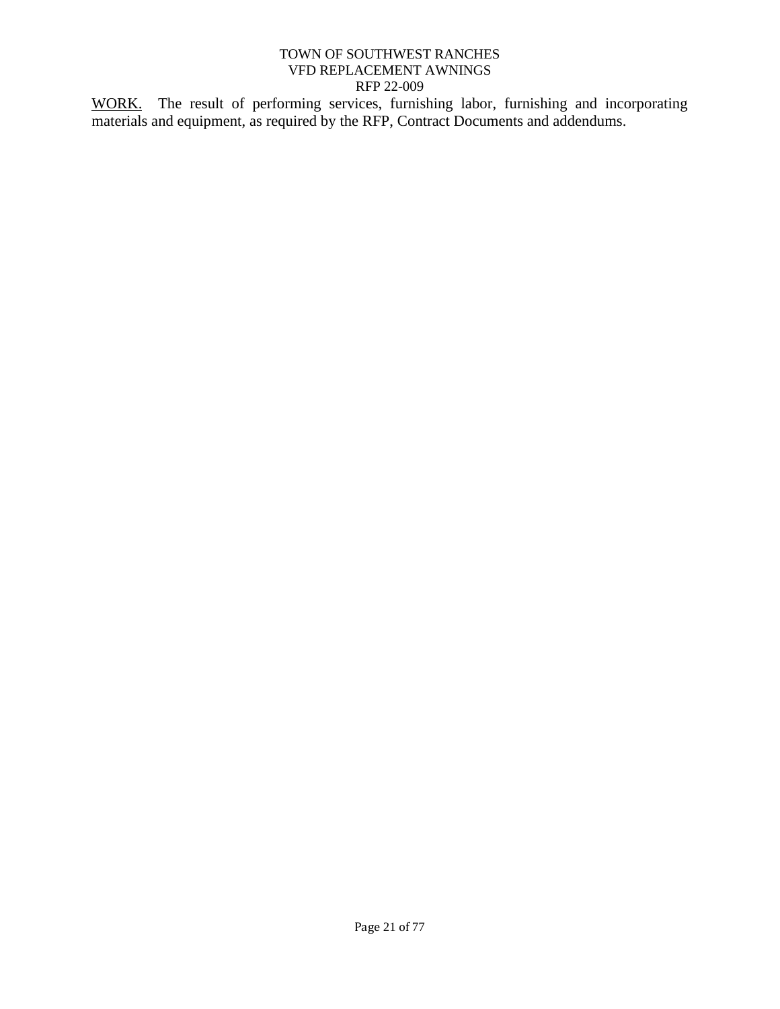WORK. The result of performing services, furnishing labor, furnishing and incorporating materials and equipment, as required by the RFP, Contract Documents and addendums.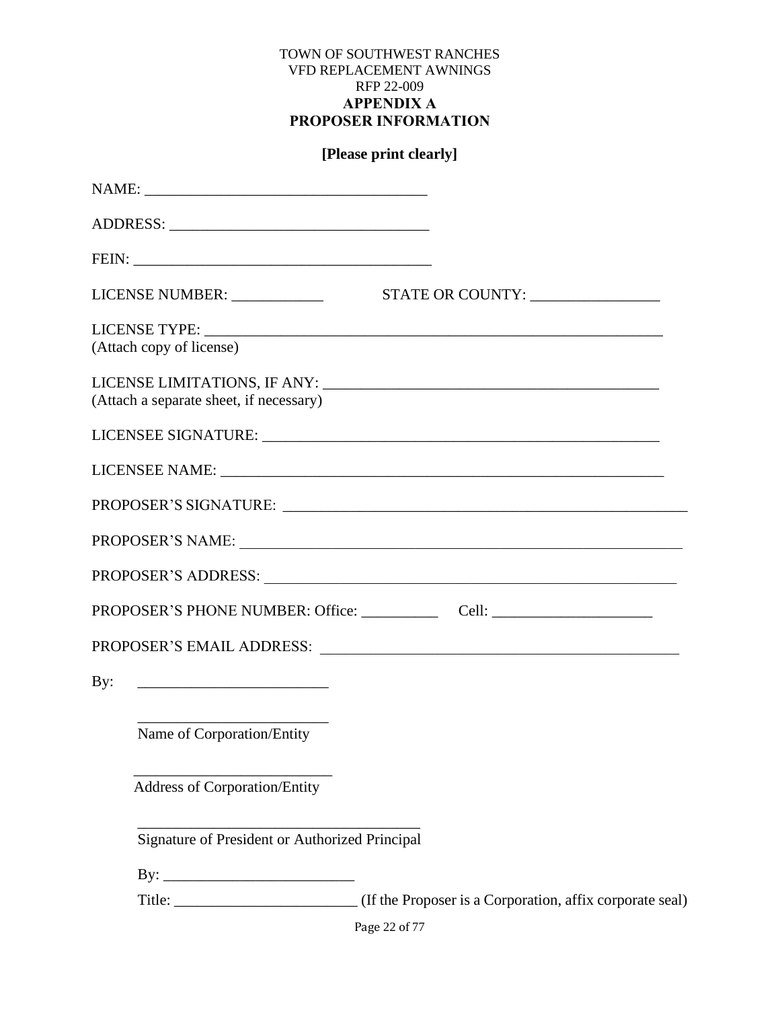### TOWN OF SOUTHWEST RANCHES VFD REPLACEMENT AWNINGS RFP 22-009 **APPENDIX A PROPOSER INFORMATION**

# **[Please print clearly]**

<span id="page-26-0"></span>

| (Attach copy of license)                       |                                                                                                                |
|------------------------------------------------|----------------------------------------------------------------------------------------------------------------|
| (Attach a separate sheet, if necessary)        |                                                                                                                |
|                                                |                                                                                                                |
|                                                |                                                                                                                |
|                                                |                                                                                                                |
|                                                | PROPOSER'S NAME:                                                                                               |
|                                                | PROPOSER'S ADDRESS: University of the Second Proposer of Additional Proposers of the Second Proposers of the S |
|                                                |                                                                                                                |
|                                                |                                                                                                                |
|                                                |                                                                                                                |
|                                                |                                                                                                                |
| Name of Corporation/Entity                     |                                                                                                                |
| <b>Address of Corporation/Entity</b>           |                                                                                                                |
|                                                |                                                                                                                |
| Signature of President or Authorized Principal |                                                                                                                |
|                                                |                                                                                                                |
|                                                |                                                                                                                |
|                                                | Page 22 of 77                                                                                                  |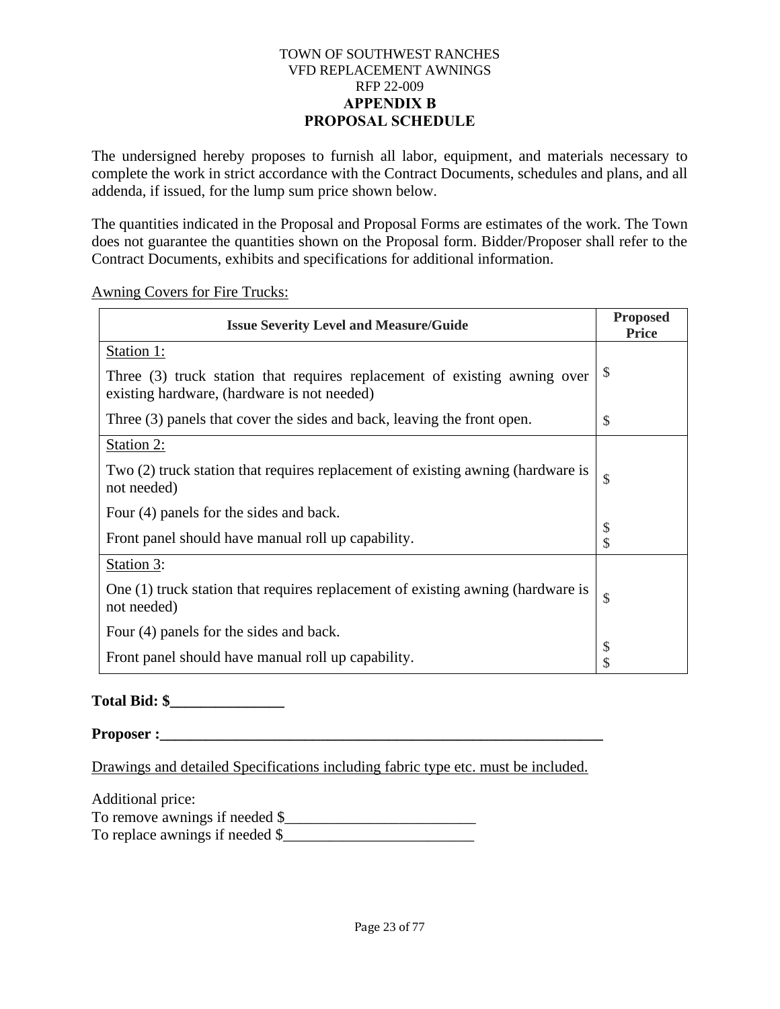#### TOWN OF SOUTHWEST RANCHES VFD REPLACEMENT AWNINGS RFP 22-009 **APPENDIX B PROPOSAL SCHEDULE**

<span id="page-27-0"></span>The undersigned hereby proposes to furnish all labor, equipment, and materials necessary to complete the work in strict accordance with the Contract Documents, schedules and plans, and all addenda, if issued, for the lump sum price shown below.

The quantities indicated in the Proposal and Proposal Forms are estimates of the work. The Town does not guarantee the quantities shown on the Proposal form. Bidder/Proposer shall refer to the Contract Documents, exhibits and specifications for additional information.

Awning Covers for Fire Trucks:

| <b>Issue Severity Level and Measure/Guide</b>                                                                            | <b>Proposed</b><br><b>Price</b> |
|--------------------------------------------------------------------------------------------------------------------------|---------------------------------|
| Station 1:                                                                                                               |                                 |
| Three (3) truck station that requires replacement of existing awning over<br>existing hardware, (hardware is not needed) | \$                              |
| Three (3) panels that cover the sides and back, leaving the front open.                                                  | \$                              |
| Station 2:                                                                                                               |                                 |
| Two (2) truck station that requires replacement of existing awning (hardware is<br>not needed)                           | \$                              |
| Four (4) panels for the sides and back.                                                                                  |                                 |
| Front panel should have manual roll up capability.                                                                       | \$<br>\$                        |
| Station 3:                                                                                                               |                                 |
| One (1) truck station that requires replacement of existing awning (hardware is<br>not needed)                           | \$                              |
| Four (4) panels for the sides and back.                                                                                  |                                 |
| Front panel should have manual roll up capability.                                                                       | \$<br>\$                        |

**Total Bid: \$\_\_\_\_\_\_\_\_\_\_\_\_\_\_\_**

**Proposer :** 

Drawings and detailed Specifications including fabric type etc. must be included.

Additional price: To remove awnings if needed \$\_\_\_\_\_\_\_\_\_\_\_\_\_\_\_\_\_\_\_\_\_\_\_\_\_ To replace awnings if needed  $\frac{1}{2}$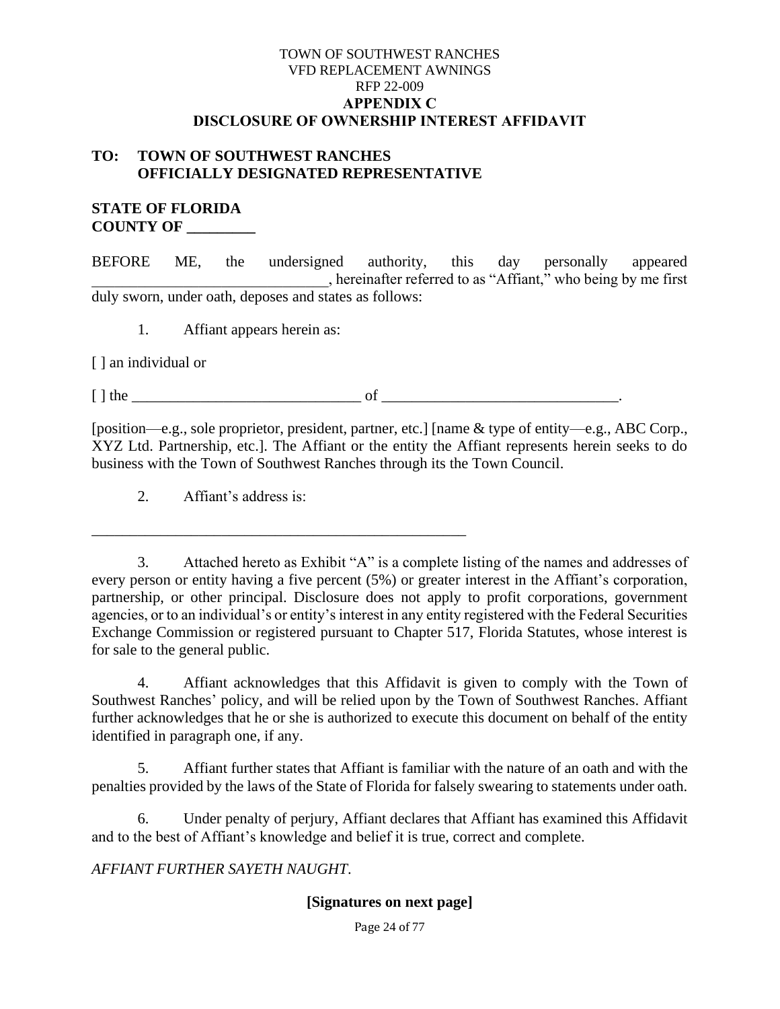#### TOWN OF SOUTHWEST RANCHES VFD REPLACEMENT AWNINGS RFP 22-009 **APPENDIX C DISCLOSURE OF OWNERSHIP INTEREST AFFIDAVIT**

### <span id="page-28-0"></span>**TO: TOWN OF SOUTHWEST RANCHES OFFICIALLY DESIGNATED REPRESENTATIVE**

#### **STATE OF FLORIDA COUNTY OF \_\_\_\_\_\_\_\_\_**

BEFORE ME, the undersigned authority, this day personally appeared \_\_\_\_\_\_\_\_\_\_\_\_\_\_\_\_\_\_\_\_\_\_\_\_\_\_\_\_\_\_\_, hereinafter referred to as "Affiant," who being by me first duly sworn, under oath, deposes and states as follows:

1. Affiant appears herein as:

[ ] an individual or

 $\Box$  the definition of  $\Box$ 

[position—e.g., sole proprietor, president, partner, etc.] [name & type of entity—e.g., ABC Corp., XYZ Ltd. Partnership, etc.]. The Affiant or the entity the Affiant represents herein seeks to do business with the Town of Southwest Ranches through its the Town Council.

2. Affiant's address is:

\_\_\_\_\_\_\_\_\_\_\_\_\_\_\_\_\_\_\_\_\_\_\_\_\_\_\_\_\_\_\_\_\_\_\_\_\_\_\_\_\_\_\_\_\_\_\_\_\_

3. Attached hereto as Exhibit "A" is a complete listing of the names and addresses of every person or entity having a five percent (5%) or greater interest in the Affiant's corporation, partnership, or other principal. Disclosure does not apply to profit corporations, government agencies, or to an individual's or entity's interest in any entity registered with the Federal Securities Exchange Commission or registered pursuant to Chapter 517, Florida Statutes, whose interest is for sale to the general public.

4. Affiant acknowledges that this Affidavit is given to comply with the Town of Southwest Ranches' policy, and will be relied upon by the Town of Southwest Ranches. Affiant further acknowledges that he or she is authorized to execute this document on behalf of the entity identified in paragraph one, if any.

5. Affiant further states that Affiant is familiar with the nature of an oath and with the penalties provided by the laws of the State of Florida for falsely swearing to statements under oath.

6. Under penalty of perjury, Affiant declares that Affiant has examined this Affidavit and to the best of Affiant's knowledge and belief it is true, correct and complete.

*AFFIANT FURTHER SAYETH NAUGHT*.

### **[Signatures on next page]**

Page 24 of 77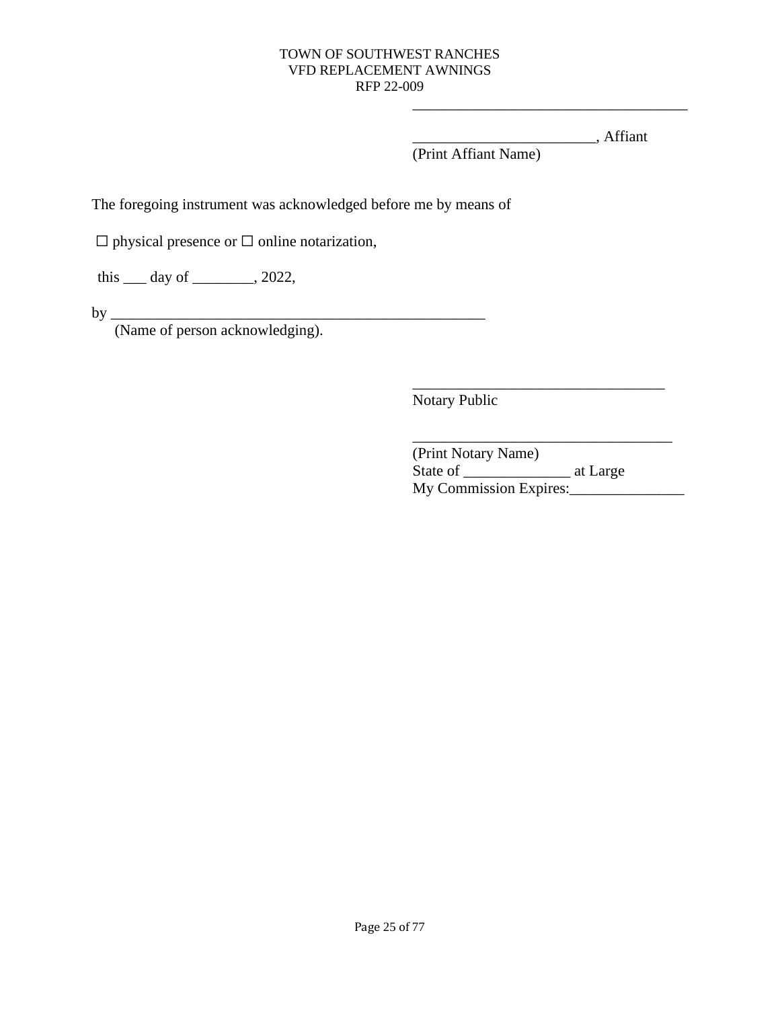\_\_\_\_\_\_\_\_\_\_\_\_\_\_\_\_\_\_\_\_\_\_\_\_, Affiant

\_\_\_\_\_\_\_\_\_\_\_\_\_\_\_\_\_\_\_\_\_\_\_\_\_\_\_\_\_\_\_\_\_\_\_\_

(Print Affiant Name)

The foregoing instrument was acknowledged before me by means of

☐ physical presence or ☐ online notarization,

this <u>quality</u> of <u>quality of  $\frac{1}{2022}$ </u>,

by \_\_\_\_\_\_\_\_\_\_\_\_\_\_\_\_\_\_\_\_\_\_\_\_\_\_\_\_\_\_\_\_\_\_\_\_\_\_\_\_\_\_\_\_\_\_\_\_\_

(Name of person acknowledging).

Notary Public

(Print Notary Name) State of \_\_\_\_\_\_\_\_\_\_\_\_\_\_ at Large My Commission Expires:\_\_\_\_\_\_\_\_\_\_\_\_\_\_\_

\_\_\_\_\_\_\_\_\_\_\_\_\_\_\_\_\_\_\_\_\_\_\_\_\_\_\_\_\_\_\_\_\_

\_\_\_\_\_\_\_\_\_\_\_\_\_\_\_\_\_\_\_\_\_\_\_\_\_\_\_\_\_\_\_\_\_\_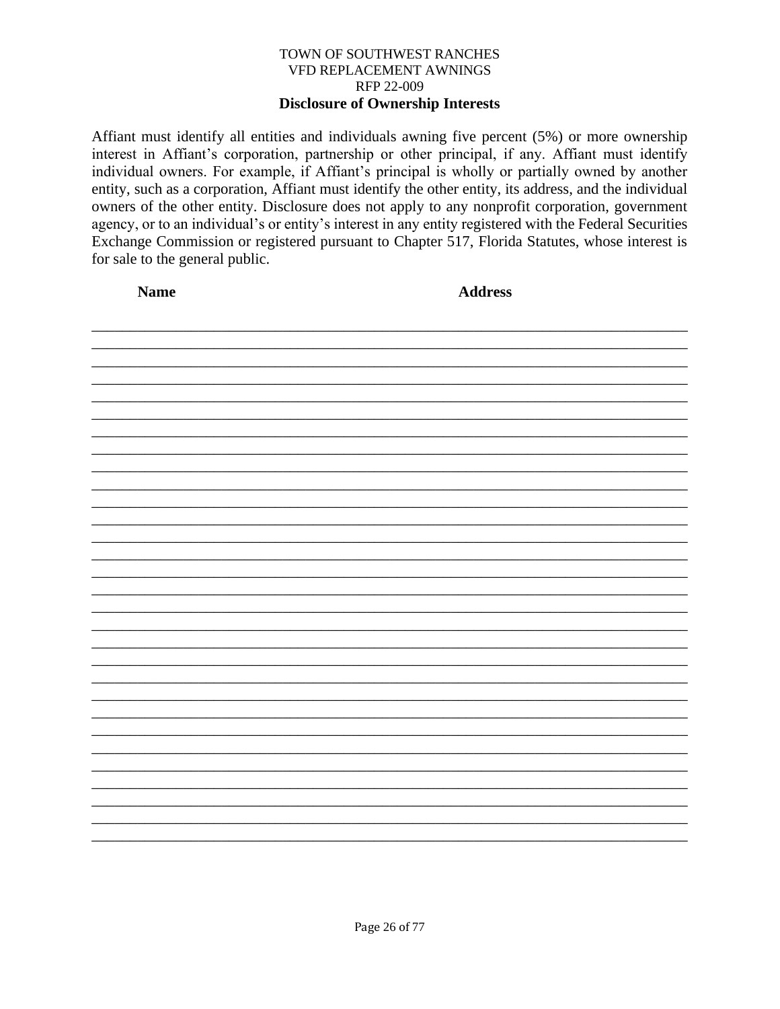#### TOWN OF SOUTHWEST RANCHES VFD REPLACEMENT AWNINGS RFP 22-009 **Disclosure of Ownership Interests**

Affiant must identify all entities and individuals awning five percent (5%) or more ownership interest in Affiant's corporation, partnership or other principal, if any. Affiant must identify individual owners. For example, if Affiant's principal is wholly or partially owned by another entity, such as a corporation, Affiant must identify the other entity, its address, and the individual owners of the other entity. Disclosure does not apply to any nonprofit corporation, government agency, or to an individual's or entity's interest in any entity registered with the Federal Securities Exchange Commission or registered pursuant to Chapter 517, Florida Statutes, whose interest is for sale to the general public.

| <b>Name</b> | <b>Address</b> |
|-------------|----------------|
|             |                |
|             |                |
|             |                |
|             |                |
|             |                |
|             |                |
|             |                |
|             |                |
|             |                |
|             |                |
|             |                |
|             |                |
|             |                |
|             |                |
|             |                |
|             |                |
|             |                |
|             |                |
|             |                |
|             |                |
|             |                |
|             |                |
|             |                |
|             |                |
|             |                |
|             |                |
|             |                |
|             |                |
|             |                |
|             |                |
|             |                |
|             |                |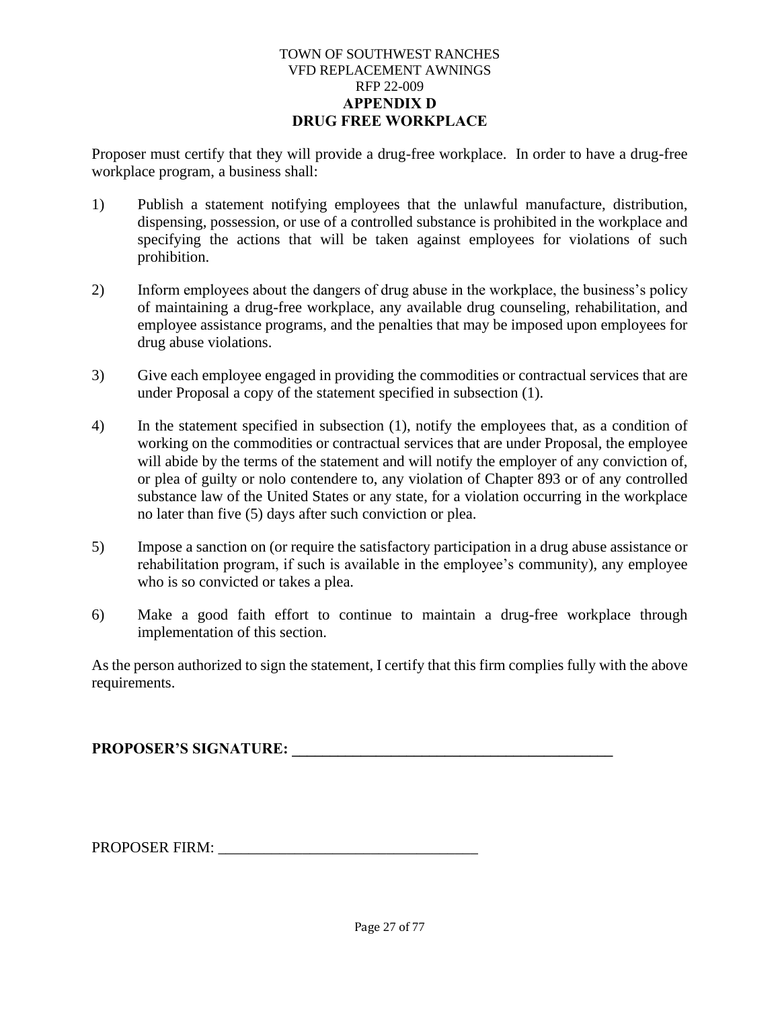#### TOWN OF SOUTHWEST RANCHES VFD REPLACEMENT AWNINGS RFP 22-009 **APPENDIX D DRUG FREE WORKPLACE**

<span id="page-31-0"></span>Proposer must certify that they will provide a drug-free workplace. In order to have a drug-free workplace program, a business shall:

- 1) Publish a statement notifying employees that the unlawful manufacture, distribution, dispensing, possession, or use of a controlled substance is prohibited in the workplace and specifying the actions that will be taken against employees for violations of such prohibition.
- 2) Inform employees about the dangers of drug abuse in the workplace, the business's policy of maintaining a drug-free workplace, any available drug counseling, rehabilitation, and employee assistance programs, and the penalties that may be imposed upon employees for drug abuse violations.
- 3) Give each employee engaged in providing the commodities or contractual services that are under Proposal a copy of the statement specified in subsection (1).
- 4) In the statement specified in subsection (1), notify the employees that, as a condition of working on the commodities or contractual services that are under Proposal, the employee will abide by the terms of the statement and will notify the employer of any conviction of, or plea of guilty or nolo contendere to, any violation of Chapter 893 or of any controlled substance law of the United States or any state, for a violation occurring in the workplace no later than five (5) days after such conviction or plea.
- 5) Impose a sanction on (or require the satisfactory participation in a drug abuse assistance or rehabilitation program, if such is available in the employee's community), any employee who is so convicted or takes a plea.
- 6) Make a good faith effort to continue to maintain a drug-free workplace through implementation of this section.

As the person authorized to sign the statement, I certify that this firm complies fully with the above requirements.

**PROPOSER'S SIGNATURE: \_\_\_\_\_\_\_\_\_\_\_\_\_\_\_\_\_\_\_\_\_\_\_\_\_\_\_\_\_\_\_\_\_\_\_\_\_\_\_\_\_\_**

PROPOSER FIRM: \_\_\_\_\_\_\_\_\_\_\_\_\_\_\_\_\_\_\_\_\_\_\_\_\_\_\_\_\_\_\_\_\_\_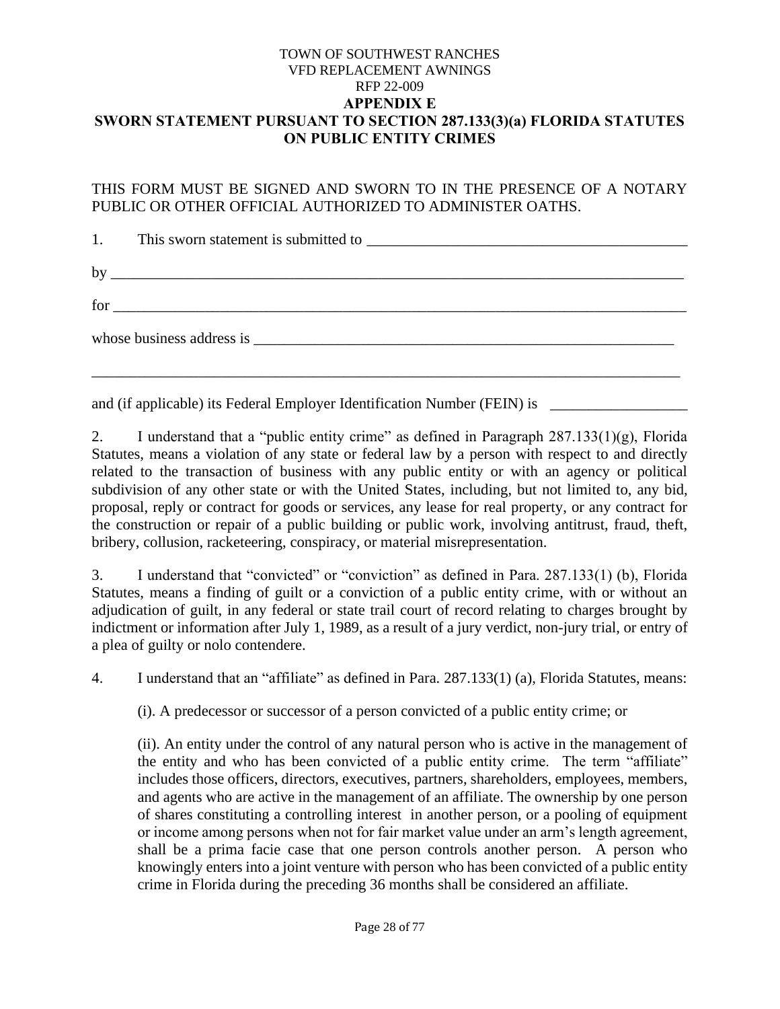#### <span id="page-32-0"></span>TOWN OF SOUTHWEST RANCHES VFD REPLACEMENT AWNINGS RFP 22-009 **APPENDIX E SWORN STATEMENT PURSUANT TO SECTION 287.133(3)(a) FLORIDA STATUTES ON PUBLIC ENTITY CRIMES**

THIS FORM MUST BE SIGNED AND SWORN TO IN THE PRESENCE OF A NOTARY PUBLIC OR OTHER OFFICIAL AUTHORIZED TO ADMINISTER OATHS.

1. This sworn statement is submitted to by \_\_\_\_\_\_\_\_\_\_\_\_\_\_\_\_\_\_\_\_\_\_\_\_\_\_\_\_\_\_\_\_\_\_\_\_\_\_\_\_\_\_\_\_\_\_\_\_\_\_\_\_\_\_\_\_\_\_\_\_\_\_\_\_\_\_\_\_\_\_\_\_\_\_\_ for \_\_\_\_\_\_\_\_\_\_\_\_\_\_\_\_\_\_\_\_\_\_\_\_\_\_\_\_\_\_\_\_\_\_\_\_\_\_\_\_\_\_\_\_\_\_\_\_\_\_\_\_\_\_\_\_\_\_\_\_\_\_\_\_\_\_\_\_\_\_\_\_\_\_\_ whose business address is  $\frac{1}{2}$ \_\_\_\_\_\_\_\_\_\_\_\_\_\_\_\_\_\_\_\_\_\_\_\_\_\_\_\_\_\_\_\_\_\_\_\_\_\_\_\_\_\_\_\_\_\_\_\_\_\_\_\_\_\_\_\_\_\_\_\_\_\_\_\_\_\_\_\_\_\_\_\_\_\_\_\_\_

and (if applicable) its Federal Employer Identification Number (FEIN) is \_\_\_\_\_\_\_\_\_\_\_\_\_\_\_\_\_\_\_\_\_\_\_\_\_\_\_

2. I understand that a "public entity crime" as defined in Paragraph  $287.133(1)(g)$ , Florida Statutes, means a violation of any state or federal law by a person with respect to and directly related to the transaction of business with any public entity or with an agency or political subdivision of any other state or with the United States, including, but not limited to, any bid, proposal, reply or contract for goods or services, any lease for real property, or any contract for the construction or repair of a public building or public work, involving antitrust, fraud, theft, bribery, collusion, racketeering, conspiracy, or material misrepresentation.

3. I understand that "convicted" or "conviction" as defined in Para. 287.133(1) (b), Florida Statutes, means a finding of guilt or a conviction of a public entity crime, with or without an adjudication of guilt, in any federal or state trail court of record relating to charges brought by indictment or information after July 1, 1989, as a result of a jury verdict, non-jury trial, or entry of a plea of guilty or nolo contendere.

4. I understand that an "affiliate" as defined in Para. 287.133(1) (a), Florida Statutes, means:

(i). A predecessor or successor of a person convicted of a public entity crime; or

(ii). An entity under the control of any natural person who is active in the management of the entity and who has been convicted of a public entity crime. The term "affiliate" includes those officers, directors, executives, partners, shareholders, employees, members, and agents who are active in the management of an affiliate. The ownership by one person of shares constituting a controlling interest in another person, or a pooling of equipment or income among persons when not for fair market value under an arm's length agreement, shall be a prima facie case that one person controls another person. A person who knowingly enters into a joint venture with person who has been convicted of a public entity crime in Florida during the preceding 36 months shall be considered an affiliate.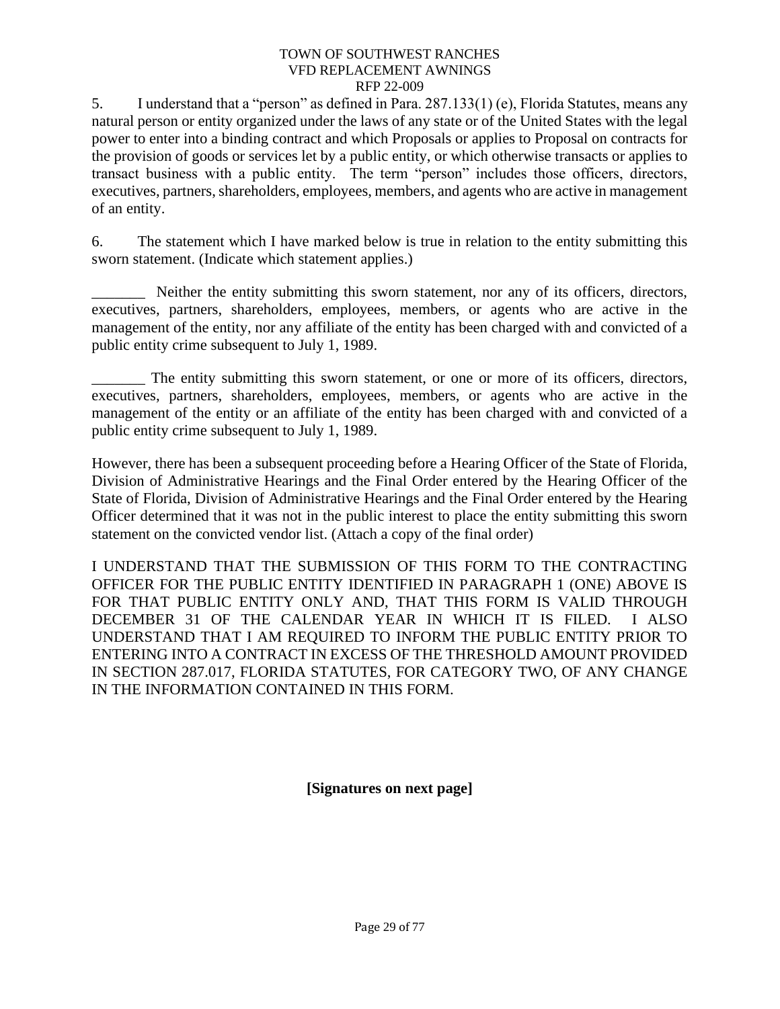5. I understand that a "person" as defined in Para. 287.133(1) (e), Florida Statutes, means any natural person or entity organized under the laws of any state or of the United States with the legal power to enter into a binding contract and which Proposals or applies to Proposal on contracts for the provision of goods or services let by a public entity, or which otherwise transacts or applies to transact business with a public entity. The term "person" includes those officers, directors, executives, partners, shareholders, employees, members, and agents who are active in management of an entity.

6. The statement which I have marked below is true in relation to the entity submitting this sworn statement. (Indicate which statement applies.)

Neither the entity submitting this sworn statement, nor any of its officers, directors, executives, partners, shareholders, employees, members, or agents who are active in the management of the entity, nor any affiliate of the entity has been charged with and convicted of a public entity crime subsequent to July 1, 1989.

\_\_\_\_\_\_\_ The entity submitting this sworn statement, or one or more of its officers, directors, executives, partners, shareholders, employees, members, or agents who are active in the management of the entity or an affiliate of the entity has been charged with and convicted of a public entity crime subsequent to July 1, 1989.

However, there has been a subsequent proceeding before a Hearing Officer of the State of Florida, Division of Administrative Hearings and the Final Order entered by the Hearing Officer of the State of Florida, Division of Administrative Hearings and the Final Order entered by the Hearing Officer determined that it was not in the public interest to place the entity submitting this sworn statement on the convicted vendor list. (Attach a copy of the final order)

I UNDERSTAND THAT THE SUBMISSION OF THIS FORM TO THE CONTRACTING OFFICER FOR THE PUBLIC ENTITY IDENTIFIED IN PARAGRAPH 1 (ONE) ABOVE IS FOR THAT PUBLIC ENTITY ONLY AND, THAT THIS FORM IS VALID THROUGH DECEMBER 31 OF THE CALENDAR YEAR IN WHICH IT IS FILED. I ALSO UNDERSTAND THAT I AM REQUIRED TO INFORM THE PUBLIC ENTITY PRIOR TO ENTERING INTO A CONTRACT IN EXCESS OF THE THRESHOLD AMOUNT PROVIDED IN SECTION 287.017, FLORIDA STATUTES, FOR CATEGORY TWO, OF ANY CHANGE IN THE INFORMATION CONTAINED IN THIS FORM.

**[Signatures on next page]**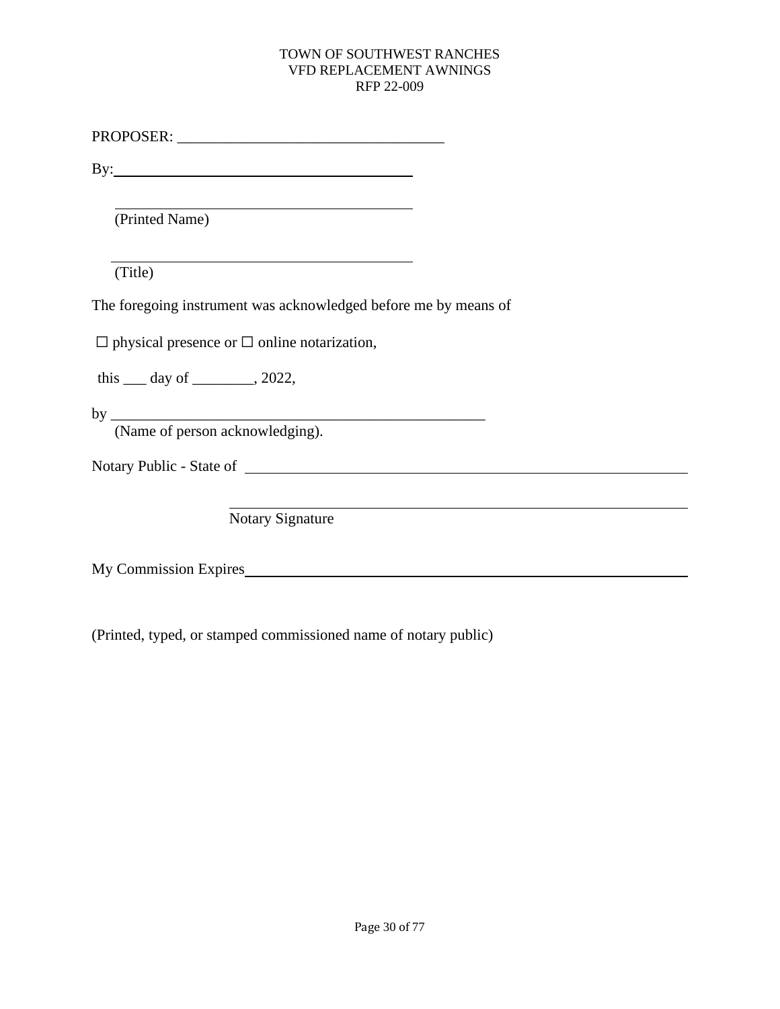PROPOSER: \_\_\_\_\_\_\_\_\_\_\_\_\_\_\_\_\_\_\_\_\_\_\_\_\_\_\_\_\_\_\_\_\_\_\_

By:

(Printed Name)

(Title)

The foregoing instrument was acknowledged before me by means of

 $\Box$  physical presence or  $\Box$  online notarization,

this  $\rule{1em}{0.15mm}$  day of  $\rule{1em}{0.15mm}$ , 2022,

by \_\_\_\_\_\_\_\_\_\_\_\_\_\_\_\_\_\_\_\_\_\_\_\_\_\_\_\_\_\_\_\_\_\_\_\_\_\_\_\_\_\_\_\_\_\_\_\_\_ (Name of person acknowledging).

Notary Public - State of

Notary Signature

My Commission Expires

(Printed, typed, or stamped commissioned name of notary public)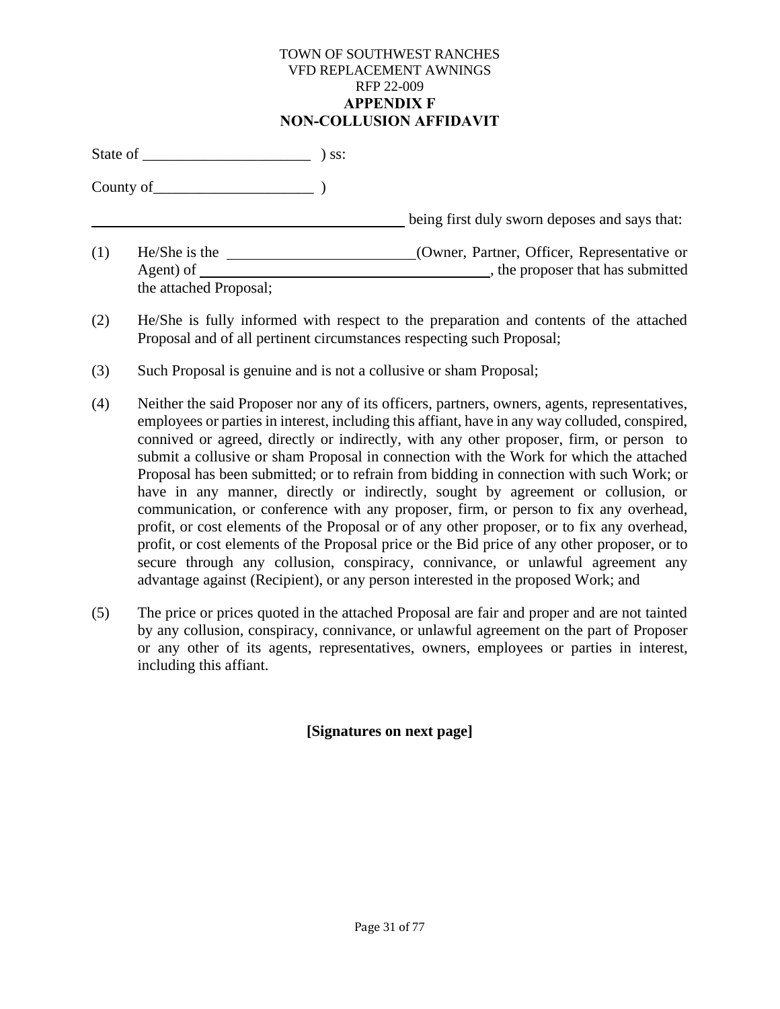#### TOWN OF SOUTHWEST RANCHES VFD REPLACEMENT AWNINGS RFP 22-009 **APPENDIX F NON-COLLUSION AFFIDAVIT**

<span id="page-35-0"></span>State of \_\_\_\_\_\_\_\_\_\_\_\_\_\_\_\_\_\_\_\_\_\_ ) ss:

County of\_\_\_\_\_\_\_\_\_\_\_\_\_\_\_\_\_\_\_\_\_ )

**being first duly sworn deposes and says that:** 

- (1) He/She is the (Owner, Partner, Officer, Representative or Agent) of , the proposer that has submitted the attached Proposal;
- (2) He/She is fully informed with respect to the preparation and contents of the attached Proposal and of all pertinent circumstances respecting such Proposal;
- (3) Such Proposal is genuine and is not a collusive or sham Proposal;
- (4) Neither the said Proposer nor any of its officers, partners, owners, agents, representatives, employees or parties in interest, including this affiant, have in any way colluded, conspired, connived or agreed, directly or indirectly, with any other proposer, firm, or person to submit a collusive or sham Proposal in connection with the Work for which the attached Proposal has been submitted; or to refrain from bidding in connection with such Work; or have in any manner, directly or indirectly, sought by agreement or collusion, or communication, or conference with any proposer, firm, or person to fix any overhead, profit, or cost elements of the Proposal or of any other proposer, or to fix any overhead, profit, or cost elements of the Proposal price or the Bid price of any other proposer, or to secure through any collusion, conspiracy, connivance, or unlawful agreement any advantage against (Recipient), or any person interested in the proposed Work; and
- (5) The price or prices quoted in the attached Proposal are fair and proper and are not tainted by any collusion, conspiracy, connivance, or unlawful agreement on the part of Proposer or any other of its agents, representatives, owners, employees or parties in interest, including this affiant.

# **[Signatures on next page]**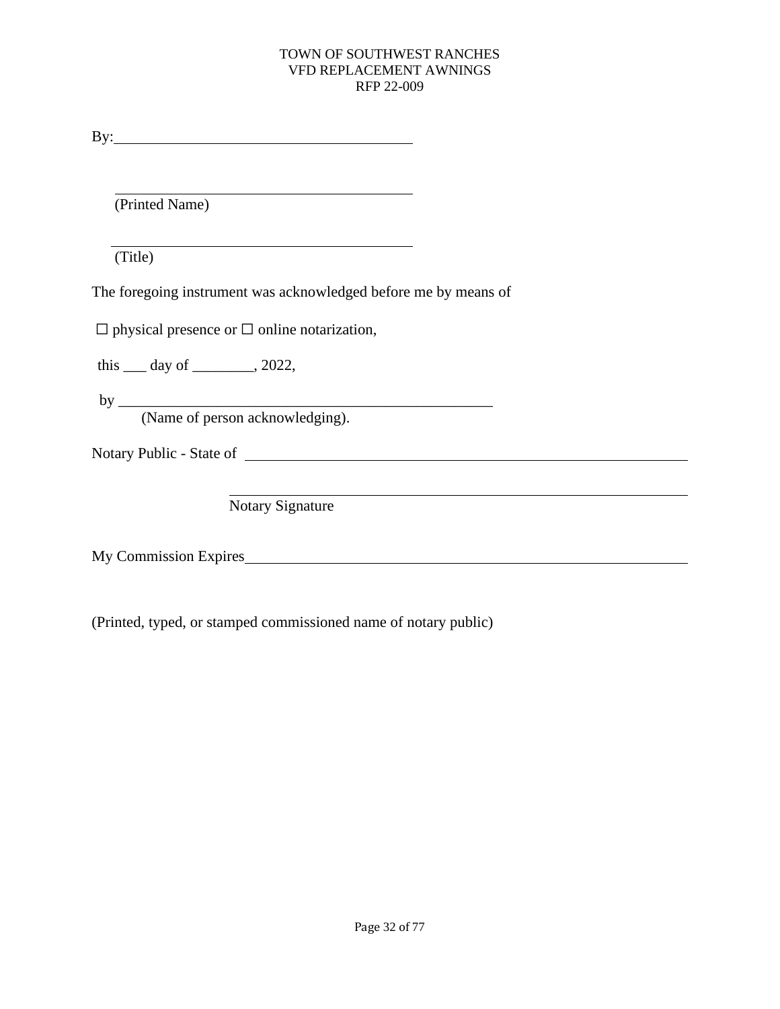By:

(Printed Name)

(Title)

The foregoing instrument was acknowledged before me by means of

 $\Box$  physical presence or  $\Box$  online notarization,

this \_\_\_ day of \_\_\_\_\_\_\_\_, 2022,

 $by$   $\_\_$ (Name of person acknowledging).

Notary Public - State of

Notary Signature

My Commission Expires

(Printed, typed, or stamped commissioned name of notary public)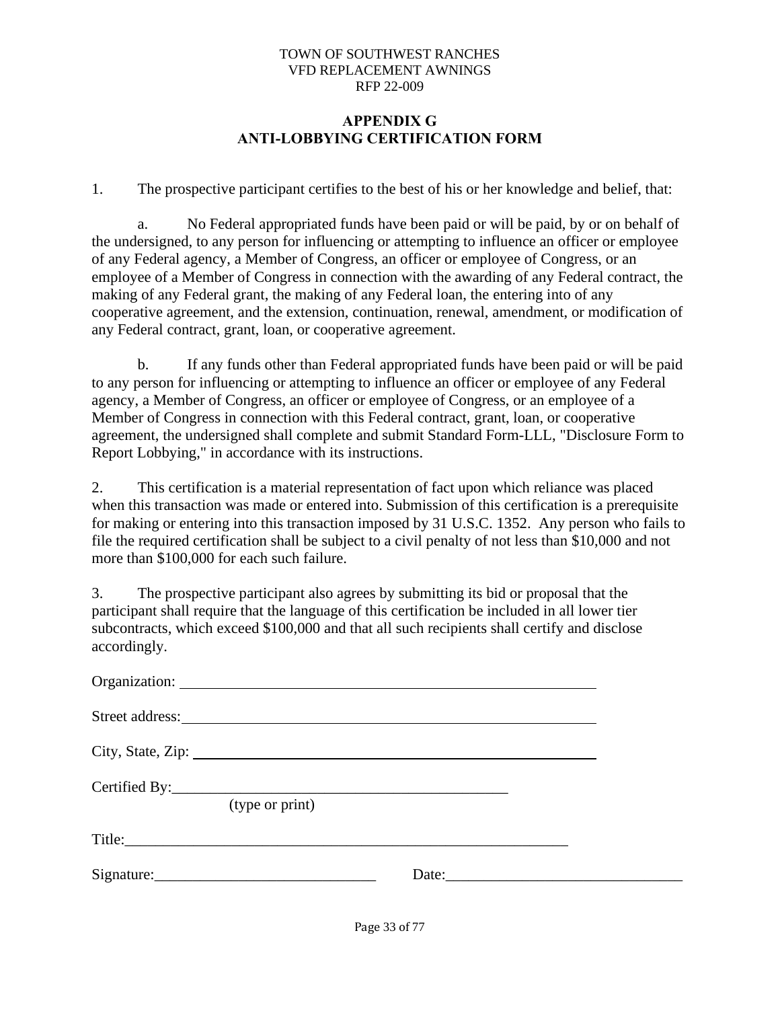### **APPENDIX G ANTI-LOBBYING CERTIFICATION FORM**

1. The prospective participant certifies to the best of his or her knowledge and belief, that:

a. No Federal appropriated funds have been paid or will be paid, by or on behalf of the undersigned, to any person for influencing or attempting to influence an officer or employee of any Federal agency, a Member of Congress, an officer or employee of Congress, or an employee of a Member of Congress in connection with the awarding of any Federal contract, the making of any Federal grant, the making of any Federal loan, the entering into of any cooperative agreement, and the extension, continuation, renewal, amendment, or modification of any Federal contract, grant, loan, or cooperative agreement.

b. If any funds other than Federal appropriated funds have been paid or will be paid to any person for influencing or attempting to influence an officer or employee of any Federal agency, a Member of Congress, an officer or employee of Congress, or an employee of a Member of Congress in connection with this Federal contract, grant, loan, or cooperative agreement, the undersigned shall complete and submit Standard Form-LLL, "Disclosure Form to Report Lobbying," in accordance with its instructions.

2. This certification is a material representation of fact upon which reliance was placed when this transaction was made or entered into. Submission of this certification is a prerequisite for making or entering into this transaction imposed by 31 U.S.C. 1352. Any person who fails to file the required certification shall be subject to a civil penalty of not less than \$10,000 and not more than \$100,000 for each such failure.

3. The prospective participant also agrees by submitting its bid or proposal that the participant shall require that the language of this certification be included in all lower tier subcontracts, which exceed \$100,000 and that all such recipients shall certify and disclose accordingly.

| City, State, Zip: |       |  |
|-------------------|-------|--|
| (type or print)   |       |  |
|                   |       |  |
|                   | Date: |  |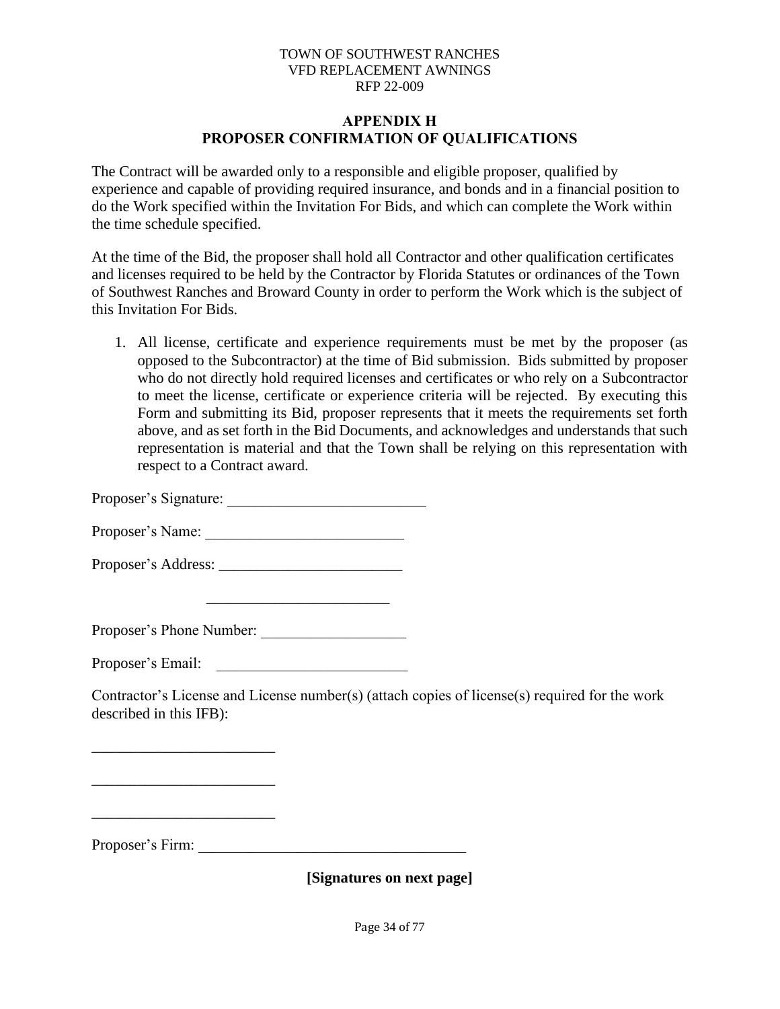#### **APPENDIX H PROPOSER CONFIRMATION OF QUALIFICATIONS**

The Contract will be awarded only to a responsible and eligible proposer, qualified by experience and capable of providing required insurance, and bonds and in a financial position to do the Work specified within the Invitation For Bids, and which can complete the Work within the time schedule specified.

At the time of the Bid, the proposer shall hold all Contractor and other qualification certificates and licenses required to be held by the Contractor by Florida Statutes or ordinances of the Town of Southwest Ranches and Broward County in order to perform the Work which is the subject of this Invitation For Bids.

1. All license, certificate and experience requirements must be met by the proposer (as opposed to the Subcontractor) at the time of Bid submission. Bids submitted by proposer who do not directly hold required licenses and certificates or who rely on a Subcontractor to meet the license, certificate or experience criteria will be rejected. By executing this Form and submitting its Bid, proposer represents that it meets the requirements set forth above, and as set forth in the Bid Documents, and acknowledges and understands that such representation is material and that the Town shall be relying on this representation with respect to a Contract award.

Proposer's Signature:

Proposer's Name: \_\_\_\_\_\_\_\_\_\_\_\_\_\_\_\_\_\_\_\_\_\_\_\_\_\_

Proposer's Address: \_\_\_\_\_\_\_\_\_\_\_\_\_\_\_\_\_\_\_\_\_\_\_\_

Proposer's Phone Number: \_\_\_\_\_\_\_\_\_\_\_\_\_\_\_\_\_\_\_

Proposer's Email:

\_\_\_\_\_\_\_\_\_\_\_\_\_\_\_\_\_\_\_\_\_\_\_\_

\_\_\_\_\_\_\_\_\_\_\_\_\_\_\_\_\_\_\_\_\_\_\_\_

Contractor's License and License number(s) (attach copies of license(s) required for the work described in this IFB):

Proposer's Firm:

**[Signatures on next page]**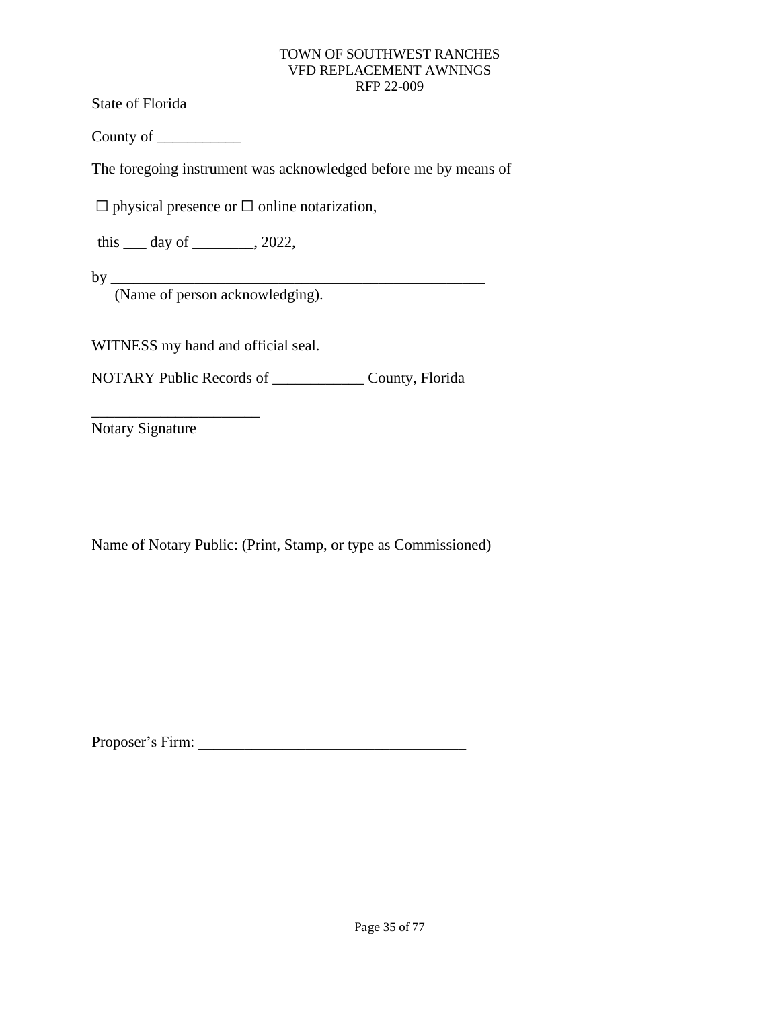State of Florida

County of \_\_\_\_\_\_\_\_\_\_\_

The foregoing instrument was acknowledged before me by means of

 $\Box$  physical presence or  $\Box$  online notarization,

this  $\rule{1em}{0.15mm}$  day of  $\rule{1em}{0.15mm}$ , 2022,

by \_\_\_\_\_\_\_\_\_\_\_\_\_\_\_\_\_\_\_\_\_\_\_\_\_\_\_\_\_\_\_\_\_\_\_\_\_\_\_\_\_\_\_\_\_\_\_\_\_

(Name of person acknowledging).

WITNESS my hand and official seal.

NOTARY Public Records of \_\_\_\_\_\_\_\_\_\_\_\_ County, Florida

Notary Signature

\_\_\_\_\_\_\_\_\_\_\_\_\_\_\_\_\_\_\_\_\_\_

Name of Notary Public: (Print, Stamp, or type as Commissioned)

Proposer's Firm: \_\_\_\_\_\_\_\_\_\_\_\_\_\_\_\_\_\_\_\_\_\_\_\_\_\_\_\_\_\_\_\_\_\_\_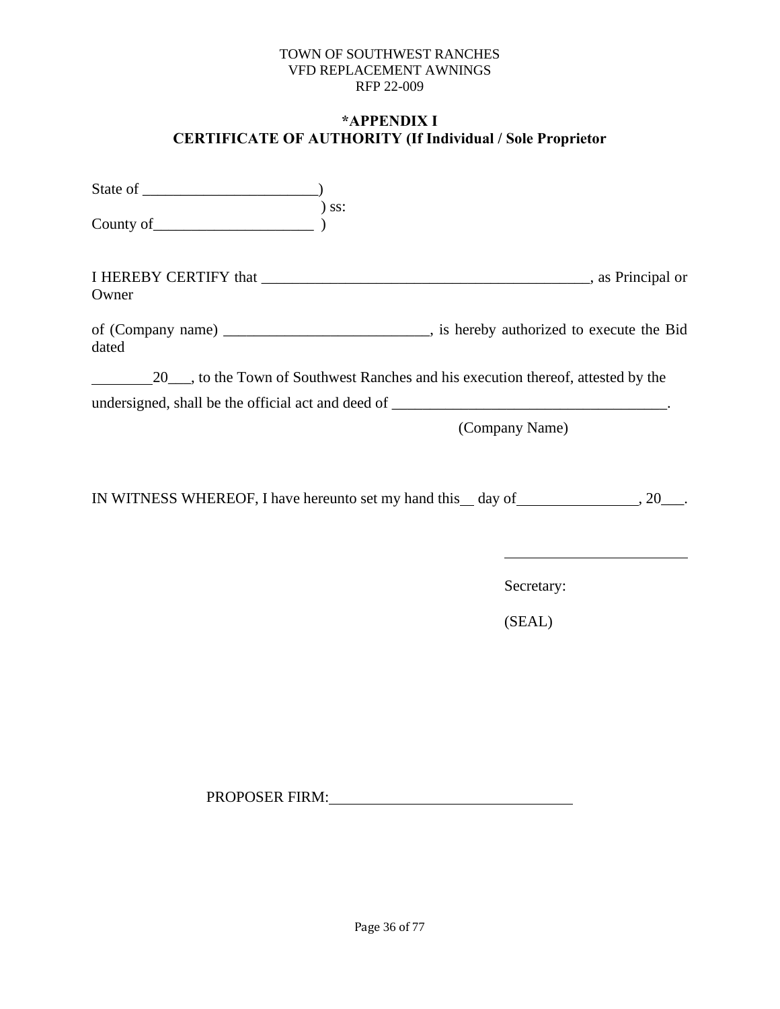# **\*APPENDIX I CERTIFICATE OF AUTHORITY (If Individual / Sole Proprietor**

| $)$ ss:<br>County of                                                                                   |                |
|--------------------------------------------------------------------------------------------------------|----------------|
| Owner                                                                                                  |                |
| of (Company name) __________________________________, is hereby authorized to execute the Bid<br>dated |                |
| 20 ____, to the Town of Southwest Ranches and his execution thereof, attested by the                   |                |
|                                                                                                        |                |
|                                                                                                        | (Company Name) |
|                                                                                                        |                |
| IN WITNESS WHEREOF, I have hereunto set my hand this __ day of _________________, 20____.              |                |
|                                                                                                        |                |
|                                                                                                        | Secretary:     |
|                                                                                                        | (SEAL)         |
|                                                                                                        |                |
|                                                                                                        |                |
|                                                                                                        |                |
|                                                                                                        |                |

PROPOSER FIRM: University of the set of the set of the set of the set of the set of the set of the set of the set of the set of the set of the set of the set of the set of the set of the set of the set of the set of the se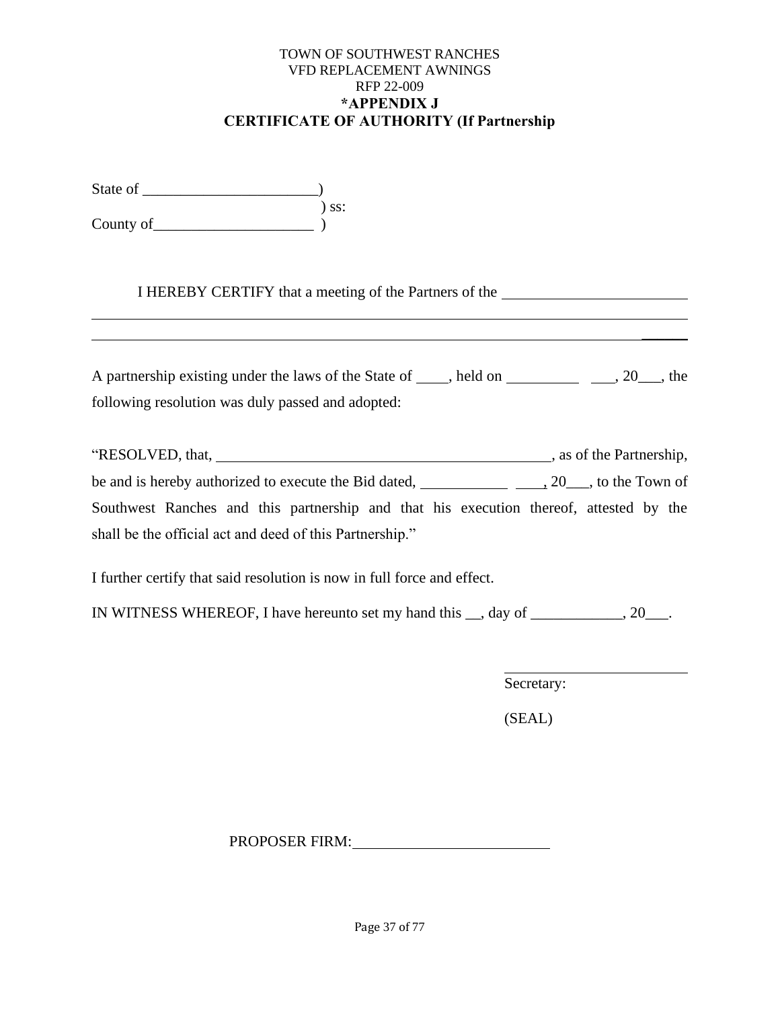### TOWN OF SOUTHWEST RANCHES VFD REPLACEMENT AWNINGS RFP 22-009 **\*APPENDIX J CERTIFICATE OF AUTHORITY (If Partnership**

State of \_\_\_\_\_\_\_\_\_\_\_\_\_\_\_\_\_\_\_\_\_\_\_) ) ss:  $County of$   $)$ 

I HEREBY CERTIFY that a meeting of the Partners of the

| A partnership existing under the laws of the State of , held on | $, 20 \_$ , the |
|-----------------------------------------------------------------|-----------------|
| following resolution was duly passed and adopted:               |                 |

| "RESOLVED, that,                                                                       | , as of the Partnership,                         |  |
|----------------------------------------------------------------------------------------|--------------------------------------------------|--|
| be and is hereby authorized to execute the Bid dated,                                  | $, 20 \underline{\hspace{1cm}}$ , to the Town of |  |
| Southwest Ranches and this partnership and that his execution thereof, attested by the |                                                  |  |
| shall be the official act and deed of this Partnership."                               |                                                  |  |

I further certify that said resolution is now in full force and effect.

IN WITNESS WHEREOF, I have hereunto set my hand this \_\_, day of \_\_\_\_\_\_\_\_\_\_\_\_, 20\_\_\_.

Secretary:

 $\mathcal{L}$ 

(SEAL)

PROPOSER FIRM: University of the set of the set of the set of the set of the set of the set of the set of the set of the set of the set of the set of the set of the set of the set of the set of the set of the set of the se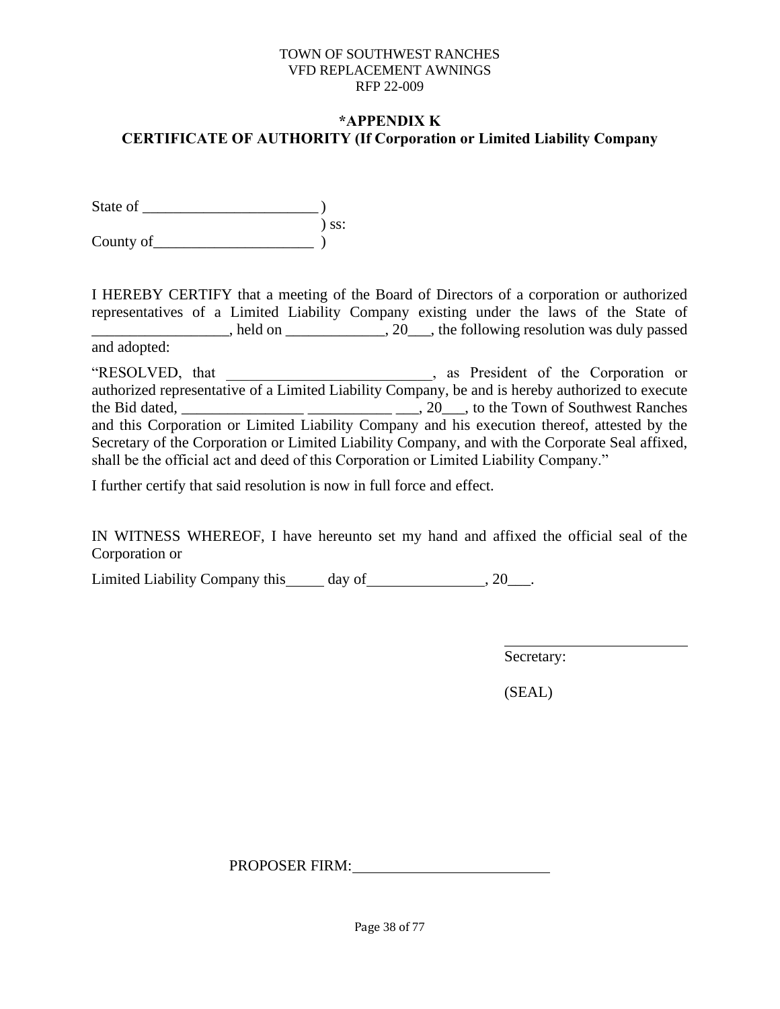### **\*APPENDIX K CERTIFICATE OF AUTHORITY (If Corporation or Limited Liability Company**

State of \_\_\_\_\_\_\_\_\_\_\_\_\_\_\_\_\_\_\_\_\_\_\_ ) ) ss:  $County of$   $)$ 

I HEREBY CERTIFY that a meeting of the Board of Directors of a corporation or authorized representatives of a Limited Liability Company existing under the laws of the State of held on  $\frac{1}{20}$ , the following resolution was duly passed and adopted:

"RESOLVED, that \_\_\_\_\_\_\_\_\_\_\_\_\_\_\_\_\_\_\_\_\_\_\_\_\_\_\_, as President of the Corporation or authorized representative of a Limited Liability Company, be and is hereby authorized to execute the Bid dated,  $\frac{1}{\sqrt{2}}$   $\frac{1}{\sqrt{2}}$   $\frac{1}{\sqrt{2}}$   $\frac{1}{\sqrt{2}}$   $\frac{1}{\sqrt{2}}$   $\frac{1}{\sqrt{2}}$   $\frac{1}{\sqrt{2}}$  to the Town of Southwest Ranches and this Corporation or Limited Liability Company and his execution thereof, attested by the Secretary of the Corporation or Limited Liability Company, and with the Corporate Seal affixed, shall be the official act and deed of this Corporation or Limited Liability Company."

I further certify that said resolution is now in full force and effect.

IN WITNESS WHEREOF, I have hereunto set my hand and affixed the official seal of the Corporation or

Limited Liability Company this day of , 20\_\_\_.

Secretary:

(SEAL)

PROPOSER FIRM: PROPOSER FIRM: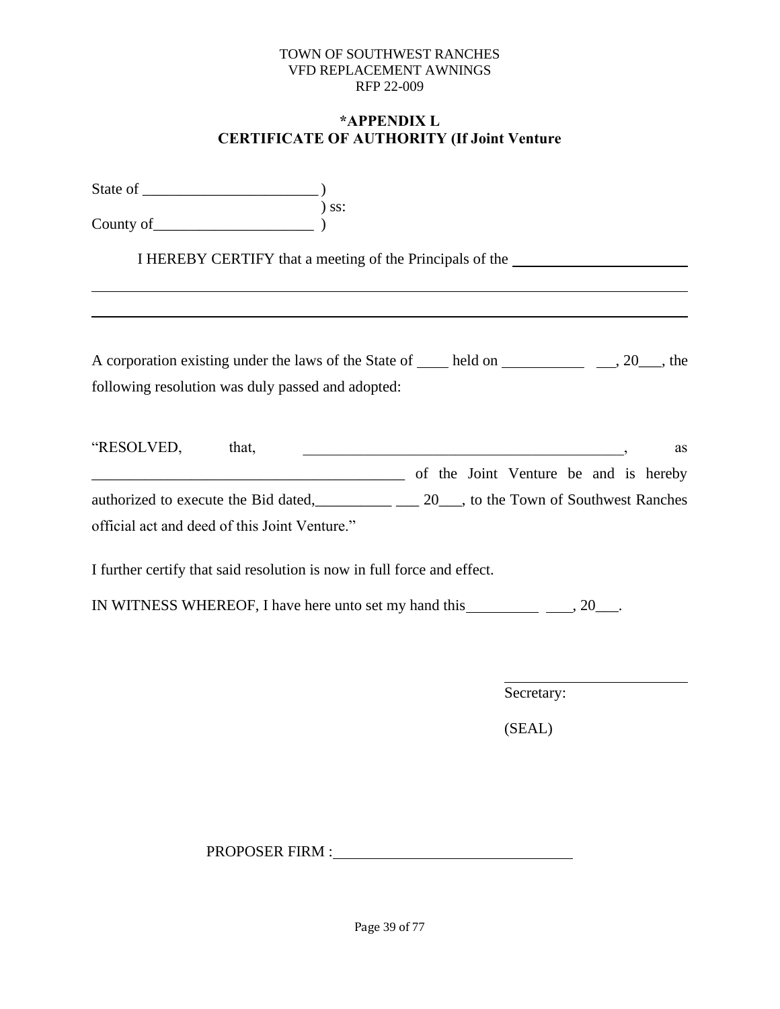### **\*APPENDIX L CERTIFICATE OF AUTHORITY (If Joint Venture**

|                                                                                                                                | I HEREBY CERTIFY that a meeting of the Principals of the _______________________                                             |
|--------------------------------------------------------------------------------------------------------------------------------|------------------------------------------------------------------------------------------------------------------------------|
|                                                                                                                                |                                                                                                                              |
| A corporation existing under the laws of the State of <u>equilibrial held</u> on <u>equal</u> and a set of $\frac{1}{2}$ , the |                                                                                                                              |
| following resolution was duly passed and adopted:                                                                              |                                                                                                                              |
| "RESOLVED, that,                                                                                                               | <u> 2008 - Jan Barnett, mars et al. 1989 - Anna anno 1989 - Anna ann an t-Anna ann an t-Anna ann an t-Anna ann an </u><br>as |
| of the Joint Venture be and is hereby                                                                                          |                                                                                                                              |
| authorized to execute the Bid dated, 20, to the Town of Southwest Ranches                                                      |                                                                                                                              |
| official act and deed of this Joint Venture."                                                                                  |                                                                                                                              |
| I further certify that said resolution is now in full force and effect.                                                        |                                                                                                                              |
|                                                                                                                                |                                                                                                                              |

Secretary:

(SEAL)

PROPOSER FIRM :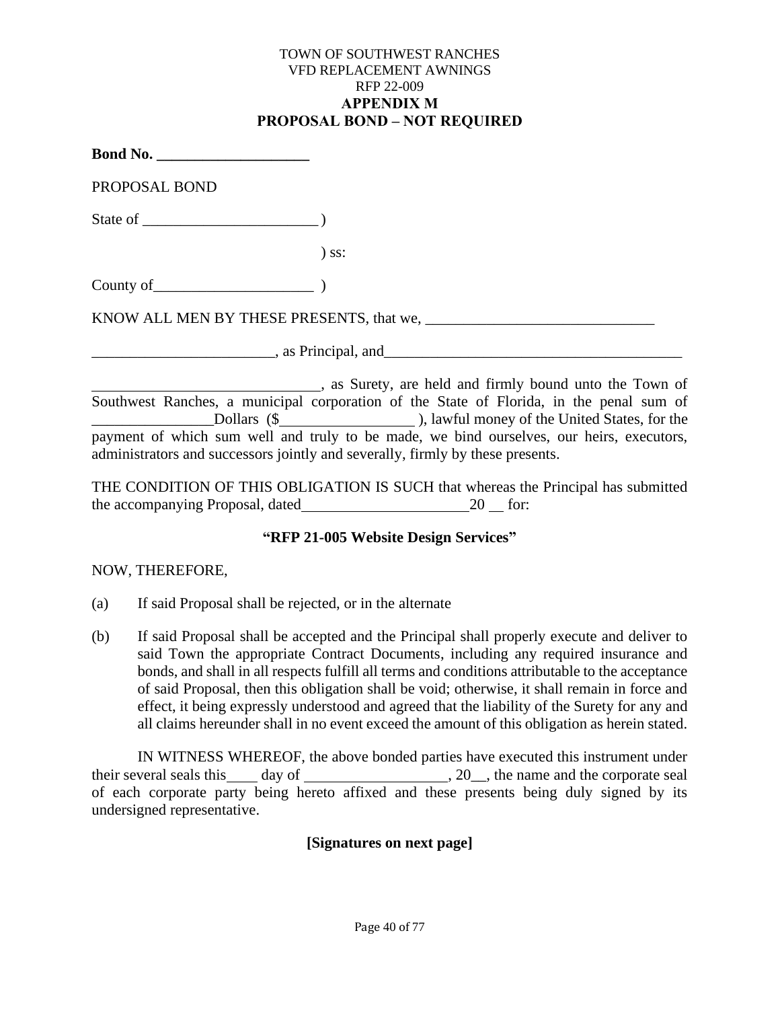#### TOWN OF SOUTHWEST RANCHES VFD REPLACEMENT AWNINGS RFP 22-009 **APPENDIX M PROPOSAL BOND – NOT REQUIRED**

| <b>Bond No.</b> _____________________ |                                          |
|---------------------------------------|------------------------------------------|
| PROPOSAL BOND                         |                                          |
|                                       |                                          |
|                                       | $)$ ss:                                  |
|                                       |                                          |
|                                       | KNOW ALL MEN BY THESE PRESENTS, that we, |
|                                       | $\sim$ , as Principal, and               |

, as Surety, are held and firmly bound unto the Town of Southwest Ranches, a municipal corporation of the State of Florida, in the penal sum of Let Dollars (\$  $\Box$  Dollars (\$  $\Box$  ), lawful money of the United States, for the payment of which sum well and truly to be made, we bind ourselves, our heirs, executors, administrators and successors jointly and severally, firmly by these presents.

THE CONDITION OF THIS OBLIGATION IS SUCH that whereas the Principal has submitted the accompanying Proposal, dated 20 for:

# **"RFP 21-005 Website Design Services"**

# NOW, THEREFORE,

- (a) If said Proposal shall be rejected, or in the alternate
- (b) If said Proposal shall be accepted and the Principal shall properly execute and deliver to said Town the appropriate Contract Documents, including any required insurance and bonds, and shall in all respects fulfill all terms and conditions attributable to the acceptance of said Proposal, then this obligation shall be void; otherwise, it shall remain in force and effect, it being expressly understood and agreed that the liability of the Surety for any and all claims hereunder shall in no event exceed the amount of this obligation as herein stated.

IN WITNESS WHEREOF, the above bonded parties have executed this instrument under their several seals this day of  $\frac{1}{20}$ , the name and the corporate seal of each corporate party being hereto affixed and these presents being duly signed by its undersigned representative.

# **[Signatures on next page]**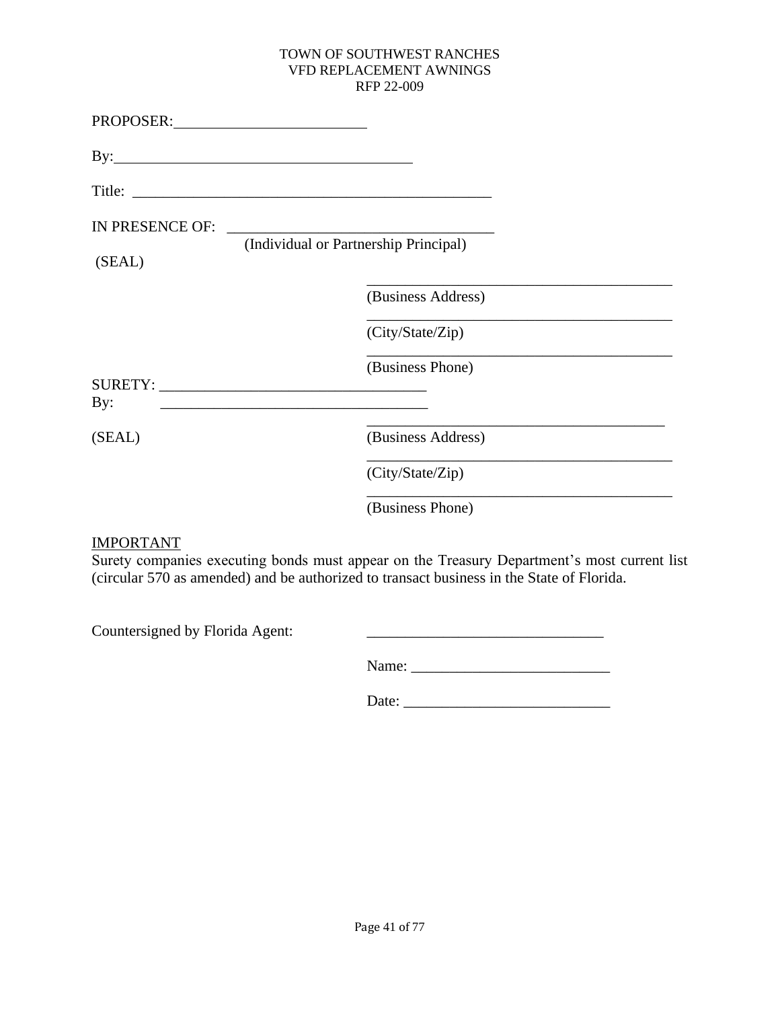| PROPOSER:                 |                                                             |                    |
|---------------------------|-------------------------------------------------------------|--------------------|
|                           |                                                             |                    |
|                           |                                                             |                    |
| IN PRESENCE OF:<br>(SEAL) | (Individual or Partnership Principal)                       |                    |
|                           |                                                             | (Business Address) |
|                           |                                                             | (City/State/Zip)   |
| By:                       | <u> 1989 - Johann Barbara, martxa al III-lea (h. 1989).</u> | (Business Phone)   |
| (SEAL)                    |                                                             | (Business Address) |
|                           |                                                             | (City/State/Zip)   |
|                           |                                                             | (Business Phone)   |

# IMPORTANT

Surety companies executing bonds must appear on the Treasury Department's most current list (circular 570 as amended) and be authorized to transact business in the State of Florida.

Countersigned by Florida Agent: \_\_\_\_\_\_\_\_\_\_\_\_\_\_\_\_\_\_\_\_\_\_\_\_\_\_\_\_\_\_\_

Date: \_\_\_\_\_\_\_\_\_\_\_\_\_\_\_\_\_\_\_\_\_\_\_\_\_\_\_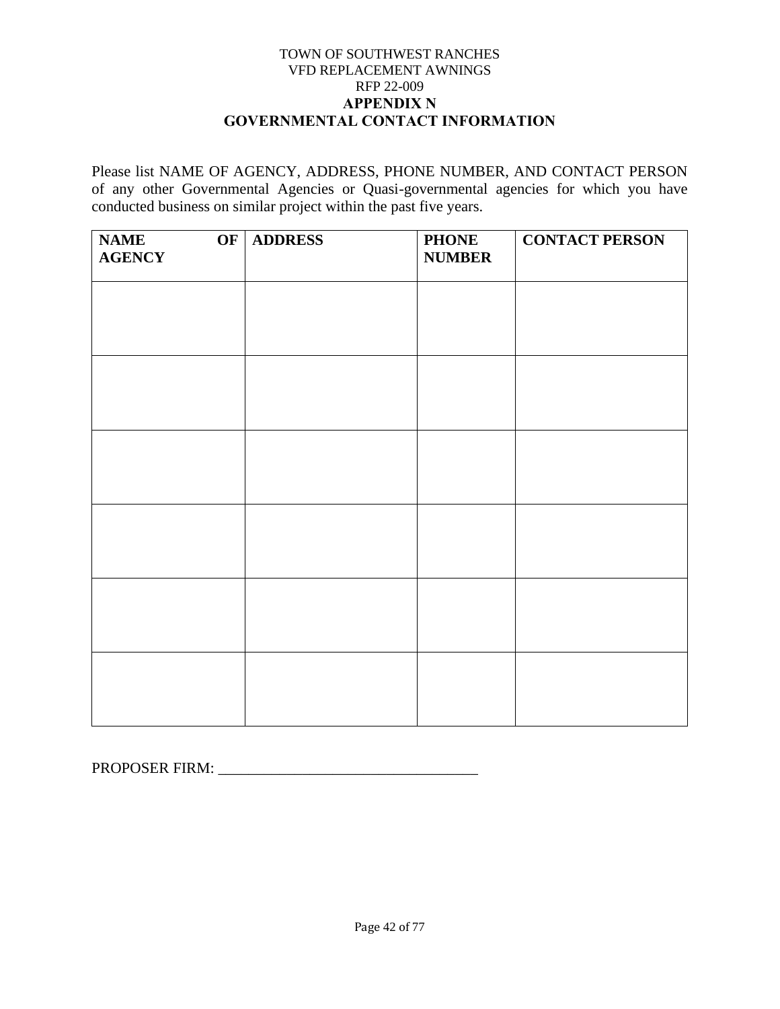### TOWN OF SOUTHWEST RANCHES VFD REPLACEMENT AWNINGS RFP 22-009 **APPENDIX N GOVERNMENTAL CONTACT INFORMATION**

Please list NAME OF AGENCY, ADDRESS, PHONE NUMBER, AND CONTACT PERSON of any other Governmental Agencies or Quasi-governmental agencies for which you have conducted business on similar project within the past five years.

| <b>NAME</b><br>OF<br><b>AGENCY</b> | <b>ADDRESS</b> | <b>PHONE</b><br><b>NUMBER</b> | <b>CONTACT PERSON</b> |
|------------------------------------|----------------|-------------------------------|-----------------------|
|                                    |                |                               |                       |
|                                    |                |                               |                       |
|                                    |                |                               |                       |
|                                    |                |                               |                       |
|                                    |                |                               |                       |
|                                    |                |                               |                       |
|                                    |                |                               |                       |
|                                    |                |                               |                       |
|                                    |                |                               |                       |
|                                    |                |                               |                       |
|                                    |                |                               |                       |
|                                    |                |                               |                       |

PROPOSER FIRM: \_\_\_\_\_\_\_\_\_\_\_\_\_\_\_\_\_\_\_\_\_\_\_\_\_\_\_\_\_\_\_\_\_\_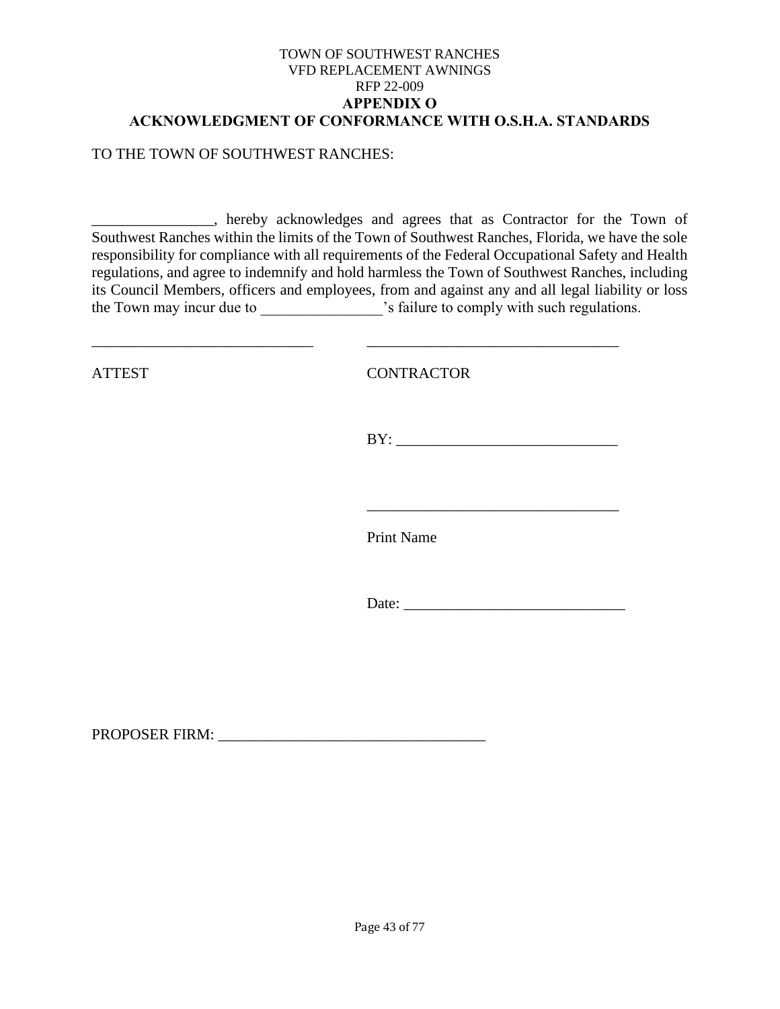#### TOWN OF SOUTHWEST RANCHES VFD REPLACEMENT AWNINGS RFP 22-009 **APPENDIX O ACKNOWLEDGMENT OF CONFORMANCE WITH O.S.H.A. STANDARDS**

### TO THE TOWN OF SOUTHWEST RANCHES:

\_\_\_\_\_\_\_\_\_\_\_\_\_\_\_\_, hereby acknowledges and agrees that as Contractor for the Town of Southwest Ranches within the limits of the Town of Southwest Ranches, Florida, we have the sole responsibility for compliance with all requirements of the Federal Occupational Safety and Health regulations, and agree to indemnify and hold harmless the Town of Southwest Ranches, including its Council Members, officers and employees, from and against any and all legal liability or loss the Town may incur due to \_\_\_\_\_\_\_\_\_\_\_\_\_\_\_\_\_\_\_\_'s failure to comply with such regulations.

\_\_\_\_\_\_\_\_\_\_\_\_\_\_\_\_\_\_\_\_\_\_\_\_\_\_\_\_\_ \_\_\_\_\_\_\_\_\_\_\_\_\_\_\_\_\_\_\_\_\_\_\_\_\_\_\_\_\_\_\_\_\_

ATTEST CONTRACTOR

 $BY:$ 

\_\_\_\_\_\_\_\_\_\_\_\_\_\_\_\_\_\_\_\_\_\_\_\_\_\_\_\_\_\_\_\_\_

Print Name

Date:

PROPOSER FIRM: \_\_\_\_\_\_\_\_\_\_\_\_\_\_\_\_\_\_\_\_\_\_\_\_\_\_\_\_\_\_\_\_\_\_\_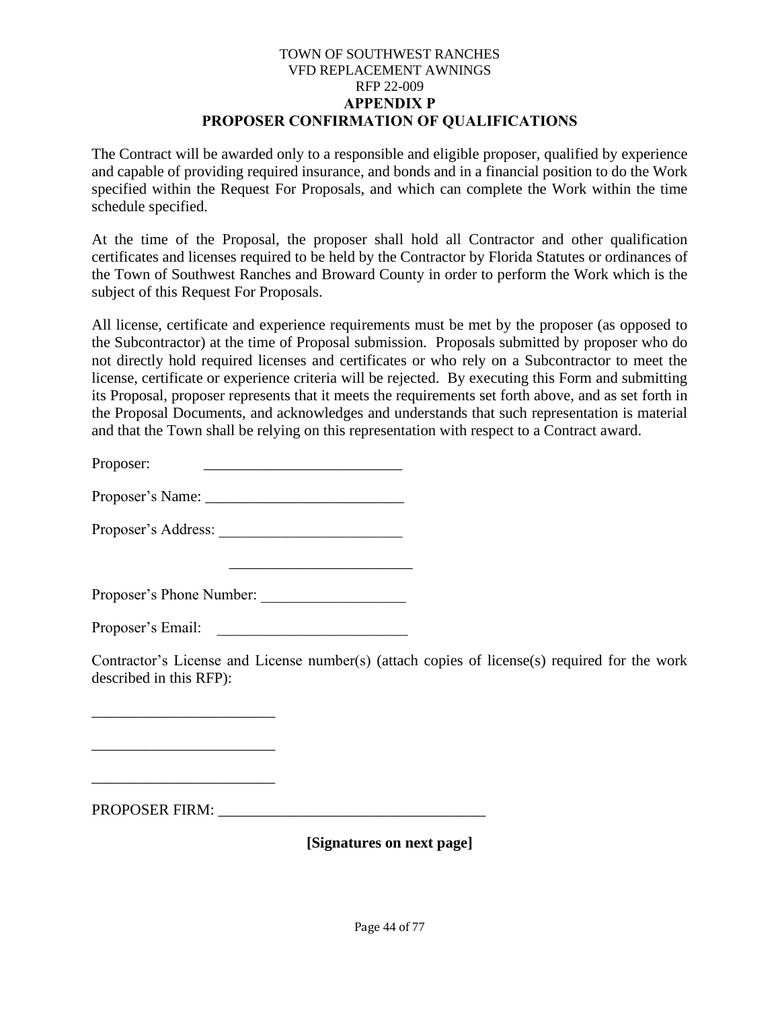### TOWN OF SOUTHWEST RANCHES VFD REPLACEMENT AWNINGS RFP 22-009 **APPENDIX P PROPOSER CONFIRMATION OF QUALIFICATIONS**

The Contract will be awarded only to a responsible and eligible proposer, qualified by experience and capable of providing required insurance, and bonds and in a financial position to do the Work specified within the Request For Proposals, and which can complete the Work within the time schedule specified.

At the time of the Proposal, the proposer shall hold all Contractor and other qualification certificates and licenses required to be held by the Contractor by Florida Statutes or ordinances of the Town of Southwest Ranches and Broward County in order to perform the Work which is the subject of this Request For Proposals.

All license, certificate and experience requirements must be met by the proposer (as opposed to the Subcontractor) at the time of Proposal submission. Proposals submitted by proposer who do not directly hold required licenses and certificates or who rely on a Subcontractor to meet the license, certificate or experience criteria will be rejected. By executing this Form and submitting its Proposal, proposer represents that it meets the requirements set forth above, and as set forth in the Proposal Documents, and acknowledges and understands that such representation is material and that the Town shall be relying on this representation with respect to a Contract award.

Proposer:

Proposer's Name: \_\_\_\_\_\_\_\_\_\_\_\_\_\_\_\_\_\_\_\_\_\_\_\_\_\_

Proposer's Address: \_\_\_\_\_\_\_\_\_\_\_\_\_\_\_\_\_\_\_\_\_\_\_\_

Proposer's Phone Number: \_\_\_\_\_\_\_\_\_\_\_\_\_\_\_\_\_\_\_

\_\_\_\_\_\_\_\_\_\_\_\_\_\_\_\_\_\_\_\_\_\_\_\_

Proposer's Email:

Contractor's License and License number(s) (attach copies of license(s) required for the work described in this RFP):

PROPOSER FIRM: \_\_\_\_\_\_\_\_\_\_\_\_\_\_\_\_\_\_\_\_\_\_\_\_\_\_\_\_\_\_\_\_\_\_\_

\_\_\_\_\_\_\_\_\_\_\_\_\_\_\_\_\_\_\_\_\_\_\_\_

\_\_\_\_\_\_\_\_\_\_\_\_\_\_\_\_\_\_\_\_\_\_\_\_

\_\_\_\_\_\_\_\_\_\_\_\_\_\_\_\_\_\_\_\_\_\_\_\_

**[Signatures on next page]**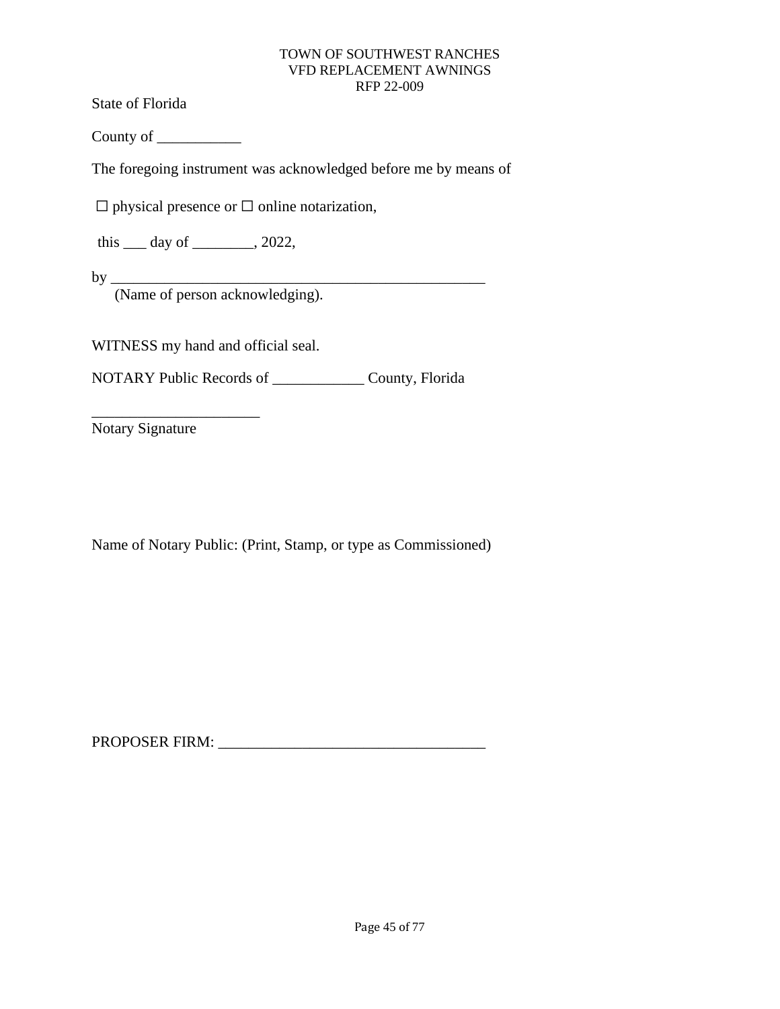State of Florida

County of \_\_\_\_\_\_\_\_\_\_\_

The foregoing instrument was acknowledged before me by means of

 $\Box$  physical presence or  $\Box$  online notarization,

this  $\rule{1em}{0.15mm}$  day of  $\rule{1em}{0.15mm}$ , 2022,

by \_\_\_\_\_\_\_\_\_\_\_\_\_\_\_\_\_\_\_\_\_\_\_\_\_\_\_\_\_\_\_\_\_\_\_\_\_\_\_\_\_\_\_\_\_\_\_\_\_

(Name of person acknowledging).

WITNESS my hand and official seal.

NOTARY Public Records of \_\_\_\_\_\_\_\_\_\_\_\_ County, Florida

Notary Signature

\_\_\_\_\_\_\_\_\_\_\_\_\_\_\_\_\_\_\_\_\_\_

Name of Notary Public: (Print, Stamp, or type as Commissioned)

PROPOSER FIRM: \_\_\_\_\_\_\_\_\_\_\_\_\_\_\_\_\_\_\_\_\_\_\_\_\_\_\_\_\_\_\_\_\_\_\_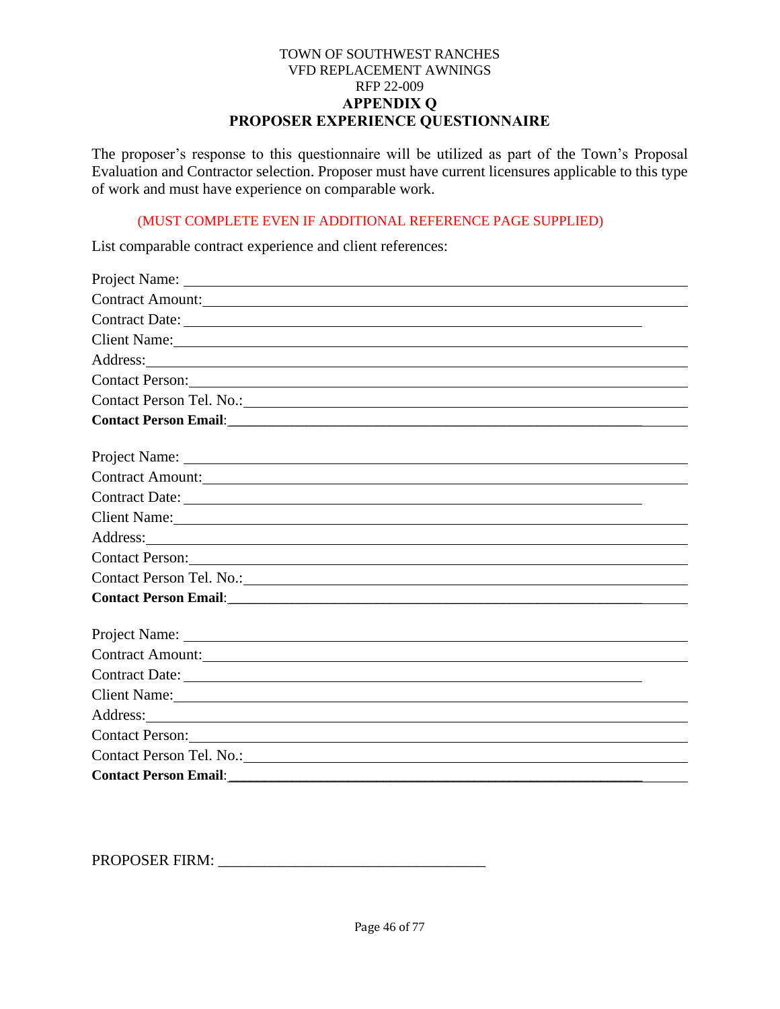### TOWN OF SOUTHWEST RANCHES VFD REPLACEMENT AWNINGS RFP 22-009 **APPENDIX Q PROPOSER EXPERIENCE QUESTIONNAIRE**

The proposer's response to this questionnaire will be utilized as part of the Town's Proposal Evaluation and Contractor selection. Proposer must have current licensures applicable to this type of work and must have experience on comparable work.

### (MUST COMPLETE EVEN IF ADDITIONAL REFERENCE PAGE SUPPLIED)

List comparable contract experience and client references:

| Contract Amount: New York 1988                                                                                                                                                                                                       |
|--------------------------------------------------------------------------------------------------------------------------------------------------------------------------------------------------------------------------------------|
| Contract Date:                                                                                                                                                                                                                       |
| Client Name:                                                                                                                                                                                                                         |
| Address: <u>and the same of the same of the same of the same of the same of the same of the same of the same of the same of the same of the same of the same of the same of the same of the same of the same of the same of the </u> |
| Contact Person:                                                                                                                                                                                                                      |
| Contact Person Tel. No.:                                                                                                                                                                                                             |
|                                                                                                                                                                                                                                      |
|                                                                                                                                                                                                                                      |
|                                                                                                                                                                                                                                      |
| Contract Amount:                                                                                                                                                                                                                     |
|                                                                                                                                                                                                                                      |
| Client Name:                                                                                                                                                                                                                         |
|                                                                                                                                                                                                                                      |
| Contact Person:                                                                                                                                                                                                                      |
| Contact Person Tel. No.:                                                                                                                                                                                                             |
|                                                                                                                                                                                                                                      |
|                                                                                                                                                                                                                                      |
|                                                                                                                                                                                                                                      |
| Contract Amount: New York Contract Amount:                                                                                                                                                                                           |
|                                                                                                                                                                                                                                      |
| Client Name: Name:                                                                                                                                                                                                                   |
|                                                                                                                                                                                                                                      |
| Contact Person:                                                                                                                                                                                                                      |
| Contact Person Tel. No.:                                                                                                                                                                                                             |
| Contact Person Email: <u>Contact Person Email:</u>                                                                                                                                                                                   |

PROPOSER FIRM: \_\_\_\_\_\_\_\_\_\_\_\_\_\_\_\_\_\_\_\_\_\_\_\_\_\_\_\_\_\_\_\_\_\_\_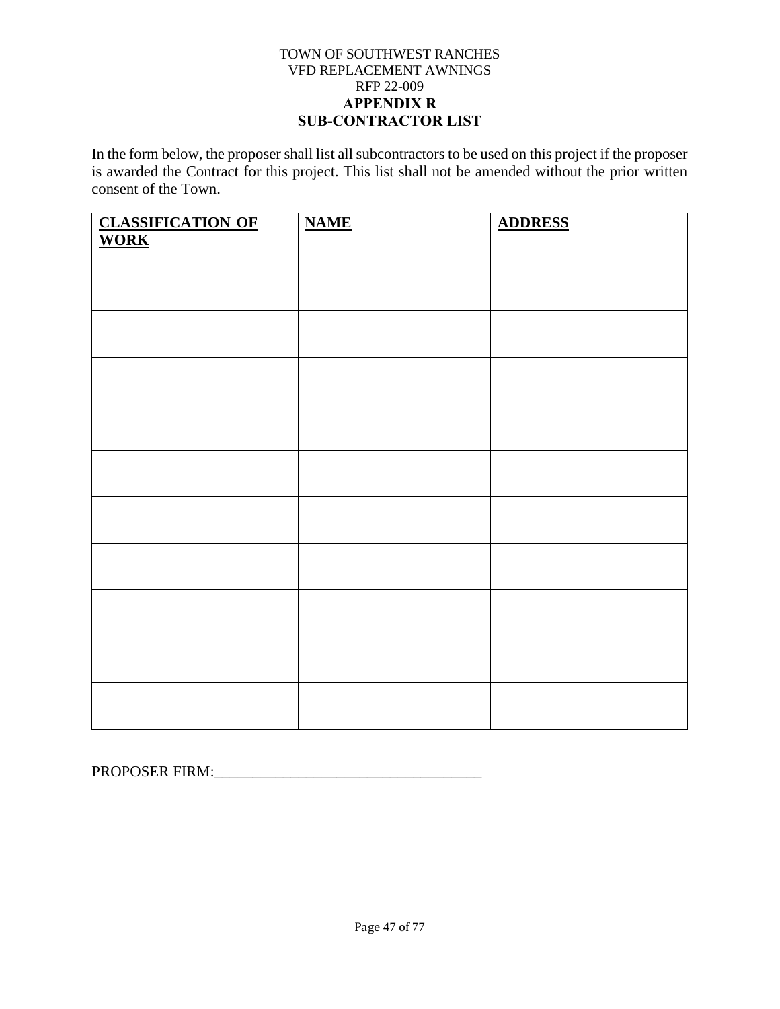### TOWN OF SOUTHWEST RANCHES VFD REPLACEMENT AWNINGS RFP 22-009 **APPENDIX R SUB-CONTRACTOR LIST**

In the form below, the proposer shall list all subcontractors to be used on this project if the proposer is awarded the Contract for this project. This list shall not be amended without the prior written consent of the Town.

| <b>CLASSIFICATION OF WORK</b> | <b>NAME</b> | <b>ADDRESS</b> |
|-------------------------------|-------------|----------------|
|                               |             |                |
|                               |             |                |
|                               |             |                |
|                               |             |                |
|                               |             |                |
|                               |             |                |
|                               |             |                |
|                               |             |                |
|                               |             |                |
|                               |             |                |
|                               |             |                |
|                               |             |                |
|                               |             |                |
|                               |             |                |
|                               |             |                |
|                               |             |                |
|                               |             |                |
|                               |             |                |

PROPOSER FIRM:\_\_\_\_\_\_\_\_\_\_\_\_\_\_\_\_\_\_\_\_\_\_\_\_\_\_\_\_\_\_\_\_\_\_\_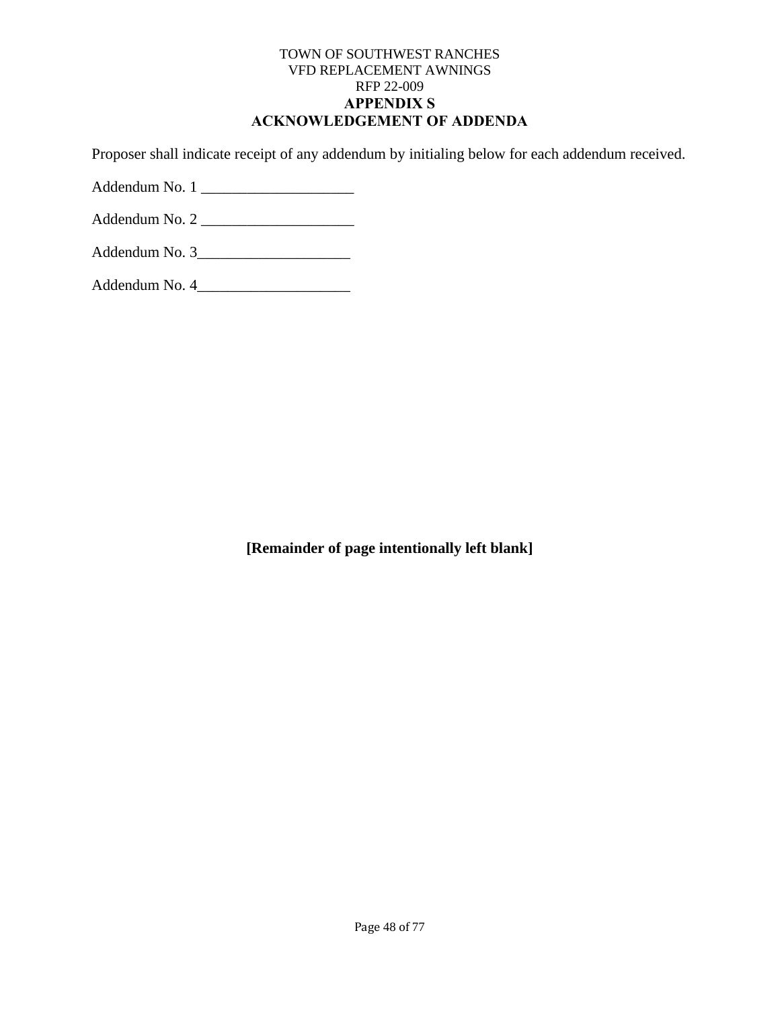### TOWN OF SOUTHWEST RANCHES VFD REPLACEMENT AWNINGS RFP 22-009 **APPENDIX S ACKNOWLEDGEMENT OF ADDENDA**

Proposer shall indicate receipt of any addendum by initialing below for each addendum received.

Addendum No. 1 \_\_\_\_\_\_\_\_\_\_\_\_\_\_\_\_\_\_\_\_

Addendum No. 2 \_\_\_\_\_\_\_\_\_\_\_\_\_\_\_\_\_\_\_\_

| Addendum No. 3 |  |  |
|----------------|--|--|
|                |  |  |

Addendum No. 4\_\_\_\_\_\_\_\_\_\_\_\_\_\_\_\_\_\_\_\_

**[Remainder of page intentionally left blank]**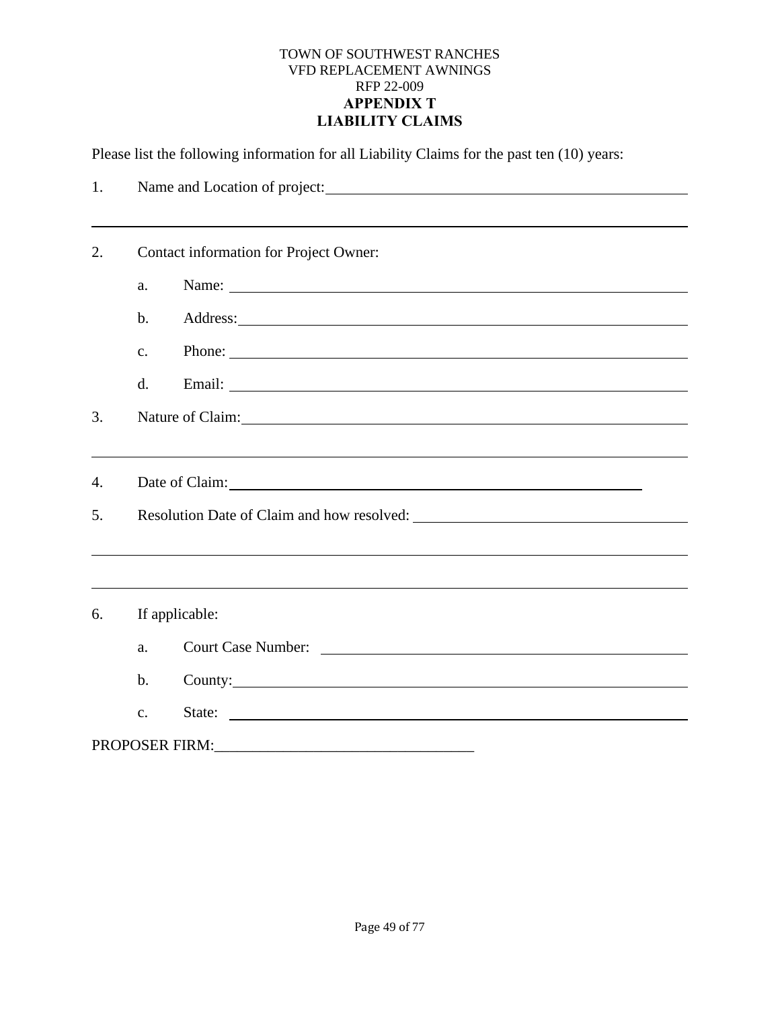#### TOWN OF SOUTHWEST RANCHES VFD REPLACEMENT AWNINGS RFP 22-009 **APPENDIX T LIABILITY CLAIMS**

Please list the following information for all Liability Claims for the past ten (10) years:

| 1. | Name and Location of project: |                                                                                                                                                                                                                                      |  |  |
|----|-------------------------------|--------------------------------------------------------------------------------------------------------------------------------------------------------------------------------------------------------------------------------------|--|--|
|    |                               |                                                                                                                                                                                                                                      |  |  |
| 2. |                               | Contact information for Project Owner:                                                                                                                                                                                               |  |  |
|    | a.                            | Name:                                                                                                                                                                                                                                |  |  |
|    | $\mathbf b$ .                 | Address: <u>example and the set of the set of the set of the set of the set of the set of the set of the set of the set of the set of the set of the set of the set of the set of the set of the set of the set of the set of th</u> |  |  |
|    | $\mathbf{C}$ .                | Phone:                                                                                                                                                                                                                               |  |  |
|    | d.                            |                                                                                                                                                                                                                                      |  |  |
| 3. |                               | Nature of Claim: 1000 and 2000 and 2000 and 2000 and 2000 and 2000 and 2000 and 2000 and 2000 and 2000 and 200                                                                                                                       |  |  |
|    |                               |                                                                                                                                                                                                                                      |  |  |
| 4. |                               |                                                                                                                                                                                                                                      |  |  |
| 5. |                               |                                                                                                                                                                                                                                      |  |  |
|    |                               |                                                                                                                                                                                                                                      |  |  |
|    |                               |                                                                                                                                                                                                                                      |  |  |
| 6. | If applicable:                |                                                                                                                                                                                                                                      |  |  |
|    | a.                            | Court Case Number: Lawrence Court Case Number:                                                                                                                                                                                       |  |  |
|    | $\mathbf b$ .                 | County:                                                                                                                                                                                                                              |  |  |
|    | $\mathbf{c}$ .                | State:                                                                                                                                                                                                                               |  |  |
|    |                               |                                                                                                                                                                                                                                      |  |  |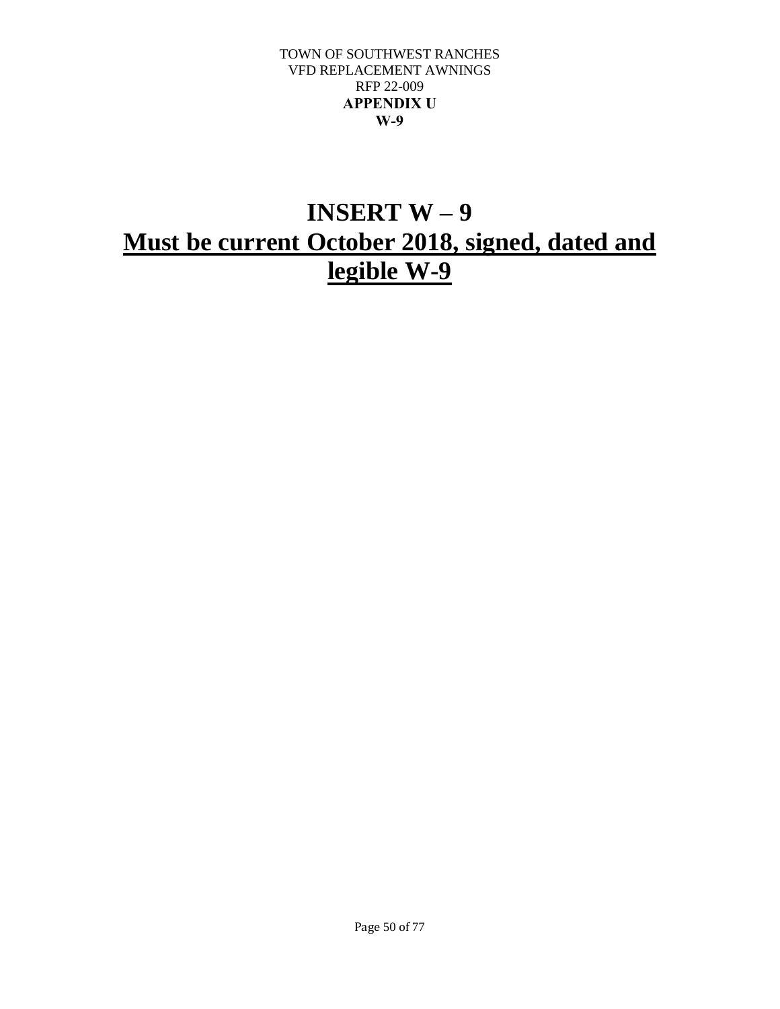#### TOWN OF SOUTHWEST RANCHES VFD REPLACEMENT AWNINGS RFP 22-009 **APPENDIX U W-9**

# **INSERT W – 9 Must be current October 2018, signed, dated and legible W-9**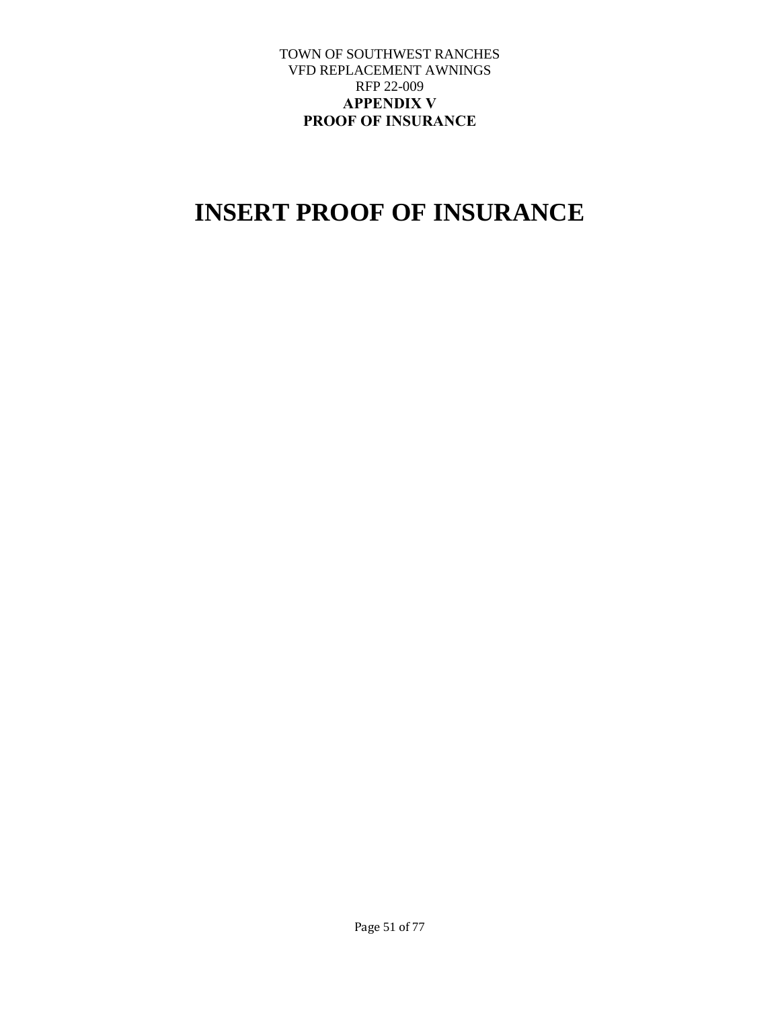### TOWN OF SOUTHWEST RANCHES VFD REPLACEMENT AWNINGS RFP 22-009 **APPENDIX V PROOF OF INSURANCE**

# **INSERT PROOF OF INSURANCE**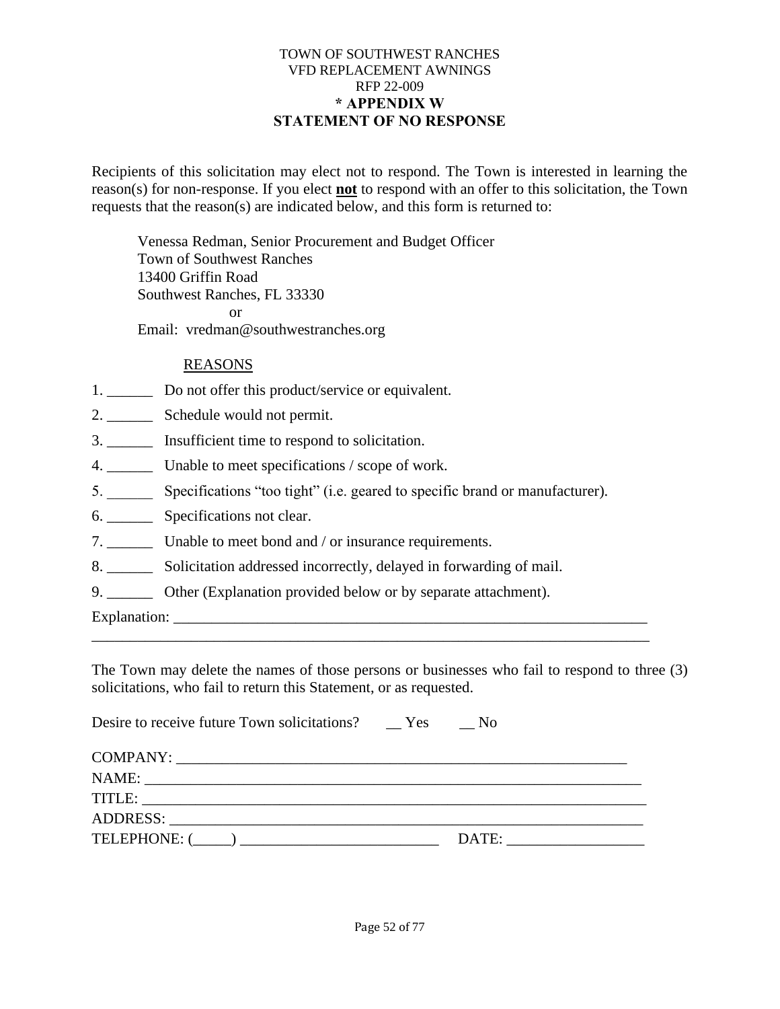### TOWN OF SOUTHWEST RANCHES VFD REPLACEMENT AWNINGS RFP 22-009 **\* APPENDIX W STATEMENT OF NO RESPONSE**

Recipients of this solicitation may elect not to respond. The Town is interested in learning the reason(s) for non-response. If you elect **not** to respond with an offer to this solicitation, the Town requests that the reason(s) are indicated below, and this form is returned to:

Venessa Redman, Senior Procurement and Budget Officer Town of Southwest Ranches 13400 Griffin Road Southwest Ranches, FL 33330 or Email: vredman@southwestranches.org

# REASONS

- 1. \_\_\_\_\_\_\_\_ Do not offer this product/service or equivalent.
- 2. Schedule would not permit.
- 3. \_\_\_\_\_\_ Insufficient time to respond to solicitation.
- 4. Unable to meet specifications / scope of work.
- 5. \_\_\_\_\_\_ Specifications "too tight" (i.e. geared to specific brand or manufacturer).
- 6. \_\_\_\_\_\_ Specifications not clear.
- 7. \_\_\_\_\_\_ Unable to meet bond and / or insurance requirements.
- 8. \_\_\_\_\_\_ Solicitation addressed incorrectly, delayed in forwarding of mail.
- 9. \_\_\_\_\_\_\_\_ Other (Explanation provided below or by separate attachment).

Explanation:

The Town may delete the names of those persons or businesses who fail to respond to three (3) solicitations, who fail to return this Statement, or as requested.

\_\_\_\_\_\_\_\_\_\_\_\_\_\_\_\_\_\_\_\_\_\_\_\_\_\_\_\_\_\_\_\_\_\_\_\_\_\_\_\_\_\_\_\_\_\_\_\_\_\_\_\_\_\_\_\_\_\_\_\_\_\_\_\_\_\_\_\_\_\_\_\_\_

| Desire to receive future Town solicitations? Yes | N <sub>0</sub> |                |
|--------------------------------------------------|----------------|----------------|
|                                                  |                |                |
|                                                  |                |                |
|                                                  |                |                |
|                                                  |                |                |
|                                                  |                | $\blacksquare$ |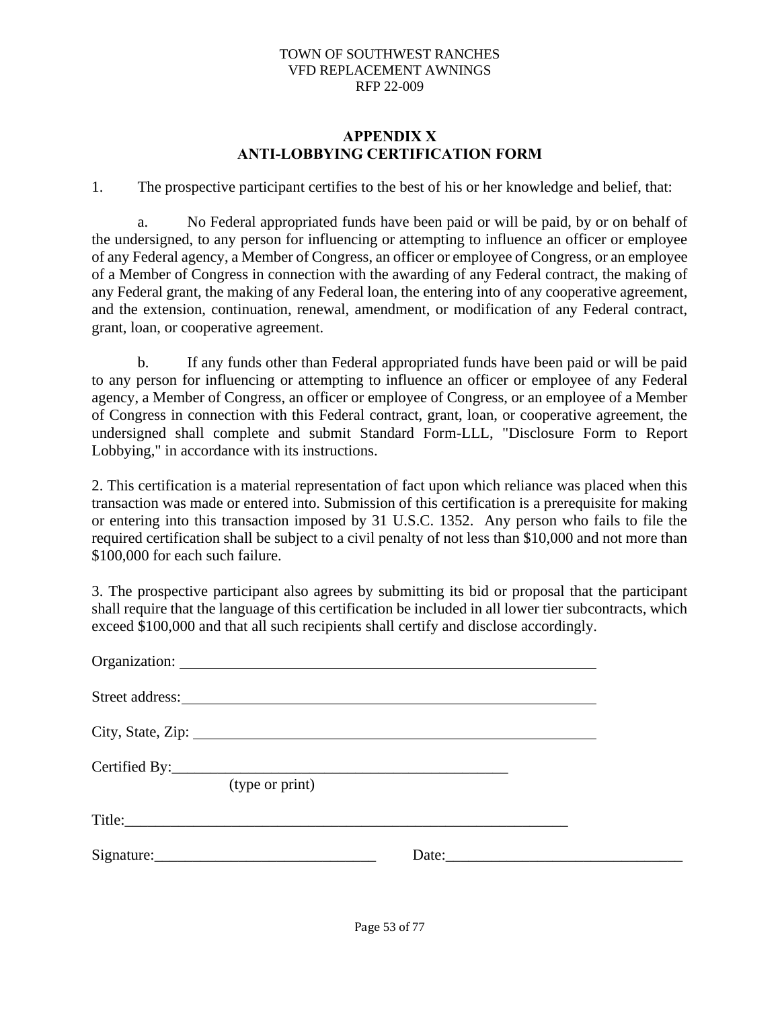### **APPENDIX X ANTI-LOBBYING CERTIFICATION FORM**

1. The prospective participant certifies to the best of his or her knowledge and belief, that:

a. No Federal appropriated funds have been paid or will be paid, by or on behalf of the undersigned, to any person for influencing or attempting to influence an officer or employee of any Federal agency, a Member of Congress, an officer or employee of Congress, or an employee of a Member of Congress in connection with the awarding of any Federal contract, the making of any Federal grant, the making of any Federal loan, the entering into of any cooperative agreement, and the extension, continuation, renewal, amendment, or modification of any Federal contract, grant, loan, or cooperative agreement.

b. If any funds other than Federal appropriated funds have been paid or will be paid to any person for influencing or attempting to influence an officer or employee of any Federal agency, a Member of Congress, an officer or employee of Congress, or an employee of a Member of Congress in connection with this Federal contract, grant, loan, or cooperative agreement, the undersigned shall complete and submit Standard Form-LLL, "Disclosure Form to Report Lobbying," in accordance with its instructions.

2. This certification is a material representation of fact upon which reliance was placed when this transaction was made or entered into. Submission of this certification is a prerequisite for making or entering into this transaction imposed by 31 U.S.C. 1352. Any person who fails to file the required certification shall be subject to a civil penalty of not less than \$10,000 and not more than \$100,000 for each such failure.

3. The prospective participant also agrees by submitting its bid or proposal that the participant shall require that the language of this certification be included in all lower tier subcontracts, which exceed \$100,000 and that all such recipients shall certify and disclose accordingly.

| City, State, Zip: |                                                                                                                                                                                                                                                                                                                                                                                                               |  |
|-------------------|---------------------------------------------------------------------------------------------------------------------------------------------------------------------------------------------------------------------------------------------------------------------------------------------------------------------------------------------------------------------------------------------------------------|--|
| (type or print)   |                                                                                                                                                                                                                                                                                                                                                                                                               |  |
|                   |                                                                                                                                                                                                                                                                                                                                                                                                               |  |
|                   | Date: $\frac{1}{\sqrt{1-\frac{1}{2}}\sqrt{1-\frac{1}{2}}\sqrt{1-\frac{1}{2}}\sqrt{1-\frac{1}{2}}\sqrt{1-\frac{1}{2}}\sqrt{1-\frac{1}{2}}\sqrt{1-\frac{1}{2}}\sqrt{1-\frac{1}{2}}\sqrt{1-\frac{1}{2}}\sqrt{1-\frac{1}{2}}\sqrt{1-\frac{1}{2}}\sqrt{1-\frac{1}{2}}\sqrt{1-\frac{1}{2}}\sqrt{1-\frac{1}{2}}\sqrt{1-\frac{1}{2}}\sqrt{1-\frac{1}{2}}\sqrt{1-\frac{1}{2}}\sqrt{1-\frac{1}{2}}\sqrt{1-\frac{1}{2}}$ |  |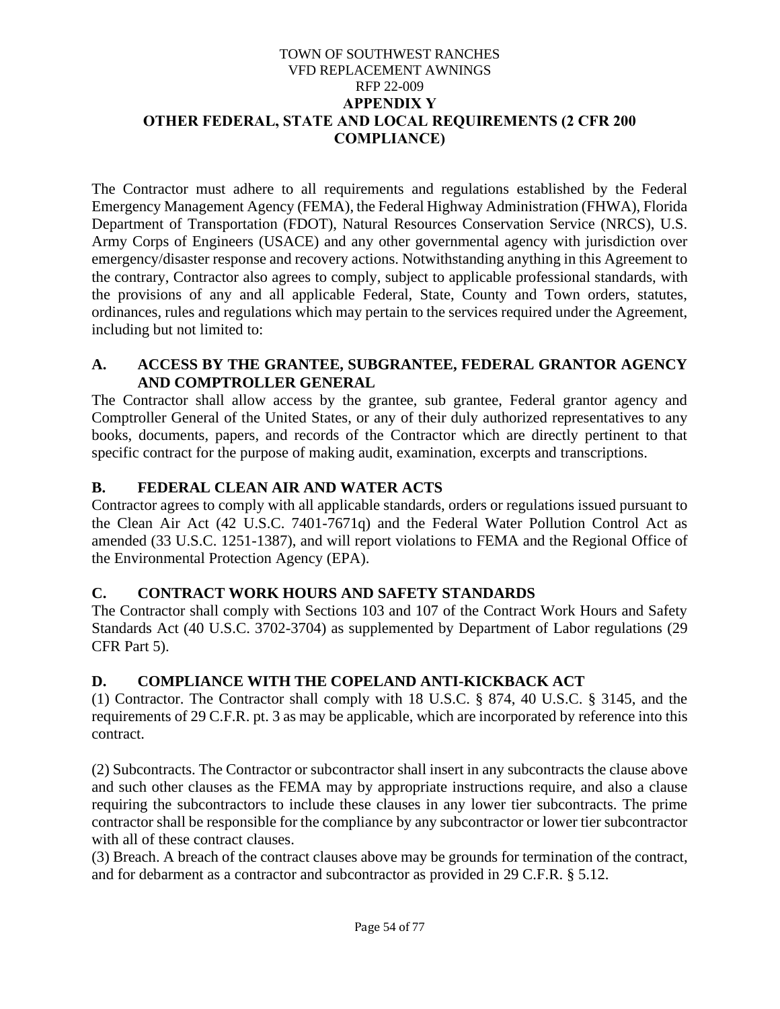### TOWN OF SOUTHWEST RANCHES VFD REPLACEMENT AWNINGS RFP 22-009 **APPENDIX Y OTHER FEDERAL, STATE AND LOCAL REQUIREMENTS (2 CFR 200 COMPLIANCE)**

The Contractor must adhere to all requirements and regulations established by the Federal Emergency Management Agency (FEMA), the Federal Highway Administration (FHWA), Florida Department of Transportation (FDOT), Natural Resources Conservation Service (NRCS), U.S. Army Corps of Engineers (USACE) and any other governmental agency with jurisdiction over emergency/disaster response and recovery actions. Notwithstanding anything in this Agreement to the contrary, Contractor also agrees to comply, subject to applicable professional standards, with the provisions of any and all applicable Federal, State, County and Town orders, statutes, ordinances, rules and regulations which may pertain to the services required under the Agreement, including but not limited to:

# **A. ACCESS BY THE GRANTEE, SUBGRANTEE, FEDERAL GRANTOR AGENCY AND COMPTROLLER GENERAL**

The Contractor shall allow access by the grantee, sub grantee, Federal grantor agency and Comptroller General of the United States, or any of their duly authorized representatives to any books, documents, papers, and records of the Contractor which are directly pertinent to that specific contract for the purpose of making audit, examination, excerpts and transcriptions.

# **B. FEDERAL CLEAN AIR AND WATER ACTS**

Contractor agrees to comply with all applicable standards, orders or regulations issued pursuant to the Clean Air Act (42 U.S.C. 7401-7671q) and the Federal Water Pollution Control Act as amended (33 U.S.C. 1251-1387), and will report violations to FEMA and the Regional Office of the Environmental Protection Agency (EPA).

# **C. CONTRACT WORK HOURS AND SAFETY STANDARDS**

The Contractor shall comply with Sections 103 and 107 of the Contract Work Hours and Safety Standards Act (40 U.S.C. 3702-3704) as supplemented by Department of Labor regulations (29 CFR Part 5).

# **D. COMPLIANCE WITH THE COPELAND ANTI-KICKBACK ACT**

(1) Contractor. The Contractor shall comply with 18 U.S.C. § 874, 40 U.S.C. § 3145, and the requirements of 29 C.F.R. pt. 3 as may be applicable, which are incorporated by reference into this contract.

(2) Subcontracts. The Contractor or subcontractor shall insert in any subcontracts the clause above and such other clauses as the FEMA may by appropriate instructions require, and also a clause requiring the subcontractors to include these clauses in any lower tier subcontracts. The prime contractor shall be responsible for the compliance by any subcontractor or lower tier subcontractor with all of these contract clauses.

(3) Breach. A breach of the contract clauses above may be grounds for termination of the contract, and for debarment as a contractor and subcontractor as provided in 29 C.F.R. § 5.12.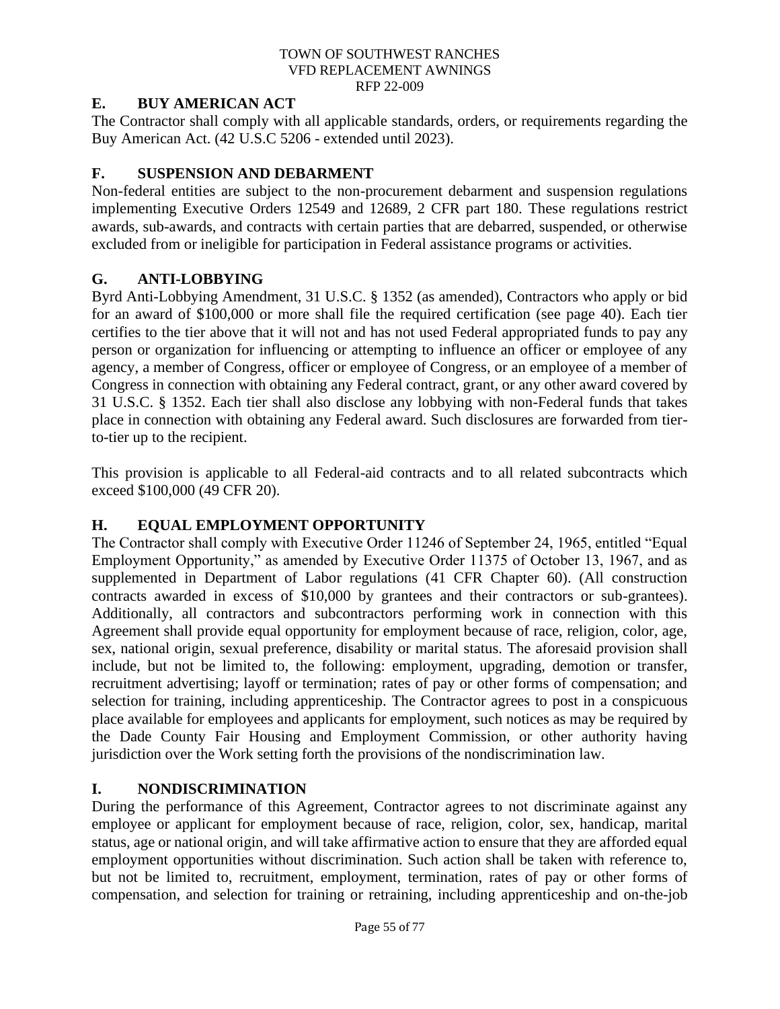# **E. BUY AMERICAN ACT**

The Contractor shall comply with all applicable standards, orders, or requirements regarding the Buy American Act. (42 U.S.C 5206 - extended until 2023).

# **F. SUSPENSION AND DEBARMENT**

Non-federal entities are subject to the non-procurement debarment and suspension regulations implementing Executive Orders 12549 and 12689, 2 CFR part 180. These regulations restrict awards, sub-awards, and contracts with certain parties that are debarred, suspended, or otherwise excluded from or ineligible for participation in Federal assistance programs or activities.

# **G. ANTI-LOBBYING**

Byrd Anti-Lobbying Amendment, 31 U.S.C. § 1352 (as amended), Contractors who apply or bid for an award of \$100,000 or more shall file the required certification (see page 40). Each tier certifies to the tier above that it will not and has not used Federal appropriated funds to pay any person or organization for influencing or attempting to influence an officer or employee of any agency, a member of Congress, officer or employee of Congress, or an employee of a member of Congress in connection with obtaining any Federal contract, grant, or any other award covered by 31 U.S.C. § 1352. Each tier shall also disclose any lobbying with non-Federal funds that takes place in connection with obtaining any Federal award. Such disclosures are forwarded from tierto-tier up to the recipient.

This provision is applicable to all Federal-aid contracts and to all related subcontracts which exceed \$100,000 (49 CFR 20).

# **H. EQUAL EMPLOYMENT OPPORTUNITY**

The Contractor shall comply with Executive Order 11246 of September 24, 1965, entitled "Equal Employment Opportunity," as amended by Executive Order 11375 of October 13, 1967, and as supplemented in Department of Labor regulations (41 CFR Chapter 60). (All construction contracts awarded in excess of \$10,000 by grantees and their contractors or sub-grantees). Additionally, all contractors and subcontractors performing work in connection with this Agreement shall provide equal opportunity for employment because of race, religion, color, age, sex, national origin, sexual preference, disability or marital status. The aforesaid provision shall include, but not be limited to, the following: employment, upgrading, demotion or transfer, recruitment advertising; layoff or termination; rates of pay or other forms of compensation; and selection for training, including apprenticeship. The Contractor agrees to post in a conspicuous place available for employees and applicants for employment, such notices as may be required by the Dade County Fair Housing and Employment Commission, or other authority having jurisdiction over the Work setting forth the provisions of the nondiscrimination law.

# **I. NONDISCRIMINATION**

During the performance of this Agreement, Contractor agrees to not discriminate against any employee or applicant for employment because of race, religion, color, sex, handicap, marital status, age or national origin, and will take affirmative action to ensure that they are afforded equal employment opportunities without discrimination. Such action shall be taken with reference to, but not be limited to, recruitment, employment, termination, rates of pay or other forms of compensation, and selection for training or retraining, including apprenticeship and on-the-job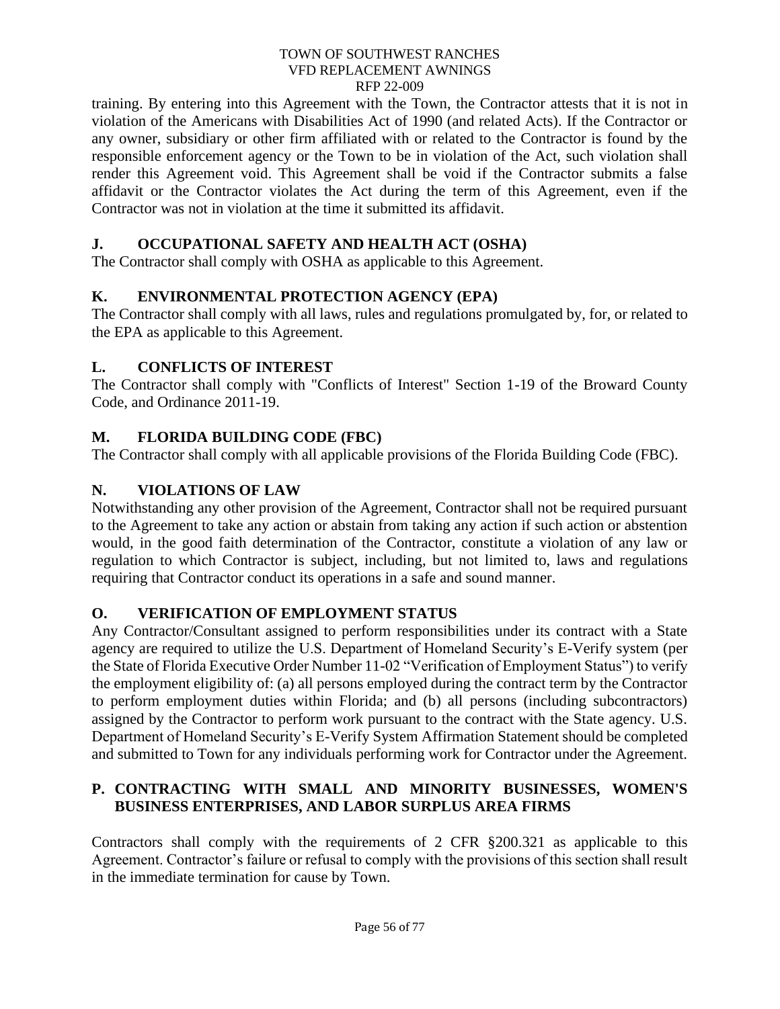training. By entering into this Agreement with the Town, the Contractor attests that it is not in violation of the Americans with Disabilities Act of 1990 (and related Acts). If the Contractor or any owner, subsidiary or other firm affiliated with or related to the Contractor is found by the responsible enforcement agency or the Town to be in violation of the Act, such violation shall render this Agreement void. This Agreement shall be void if the Contractor submits a false affidavit or the Contractor violates the Act during the term of this Agreement, even if the Contractor was not in violation at the time it submitted its affidavit.

# **J. OCCUPATIONAL SAFETY AND HEALTH ACT (OSHA)**

The Contractor shall comply with OSHA as applicable to this Agreement.

# **K. ENVIRONMENTAL PROTECTION AGENCY (EPA)**

The Contractor shall comply with all laws, rules and regulations promulgated by, for, or related to the EPA as applicable to this Agreement.

# **L. CONFLICTS OF INTEREST**

The Contractor shall comply with "Conflicts of Interest" Section 1-19 of the Broward County Code, and Ordinance 2011-19.

# **M. FLORIDA BUILDING CODE (FBC)**

The Contractor shall comply with all applicable provisions of the Florida Building Code (FBC).

# **N. VIOLATIONS OF LAW**

Notwithstanding any other provision of the Agreement, Contractor shall not be required pursuant to the Agreement to take any action or abstain from taking any action if such action or abstention would, in the good faith determination of the Contractor, constitute a violation of any law or regulation to which Contractor is subject, including, but not limited to, laws and regulations requiring that Contractor conduct its operations in a safe and sound manner.

# **O. VERIFICATION OF EMPLOYMENT STATUS**

Any Contractor/Consultant assigned to perform responsibilities under its contract with a State agency are required to utilize the U.S. Department of Homeland Security's E-Verify system (per the State of Florida Executive Order Number 11-02 "Verification of Employment Status") to verify the employment eligibility of: (a) all persons employed during the contract term by the Contractor to perform employment duties within Florida; and (b) all persons (including subcontractors) assigned by the Contractor to perform work pursuant to the contract with the State agency. U.S. Department of Homeland Security's E-Verify System Affirmation Statement should be completed and submitted to Town for any individuals performing work for Contractor under the Agreement.

# **P. CONTRACTING WITH SMALL AND MINORITY BUSINESSES, WOMEN'S BUSINESS ENTERPRISES, AND LABOR SURPLUS AREA FIRMS**

Contractors shall comply with the requirements of 2 CFR §200.321 as applicable to this Agreement. Contractor's failure or refusal to comply with the provisions of this section shall result in the immediate termination for cause by Town.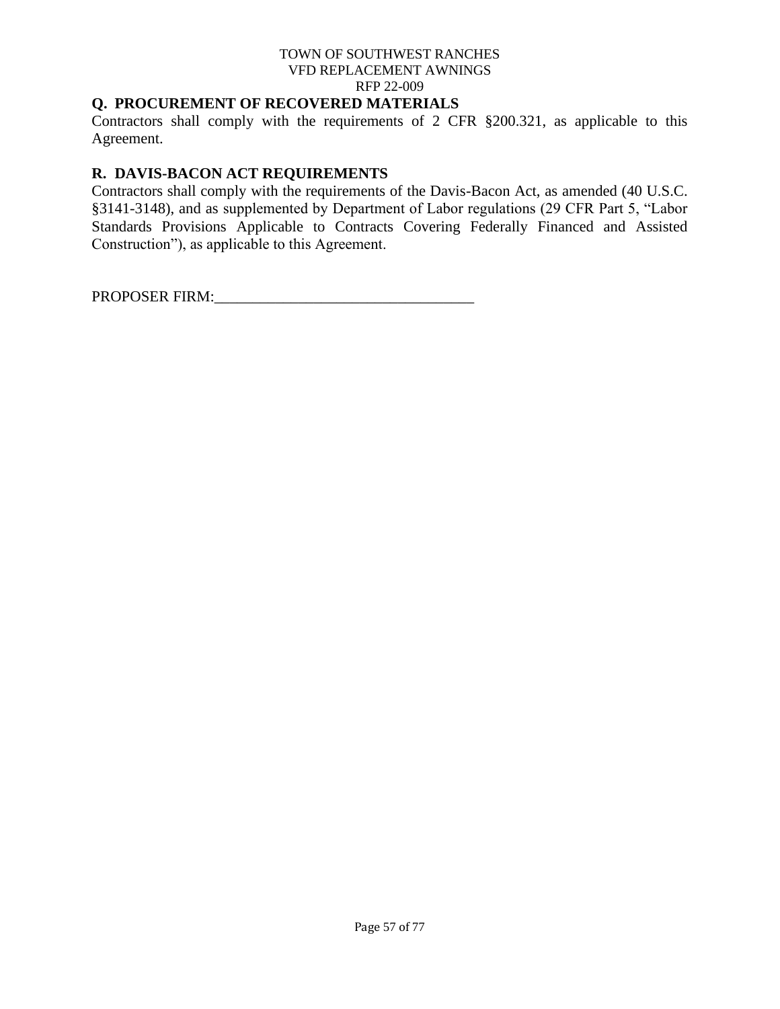# **Q. PROCUREMENT OF RECOVERED MATERIALS**

Contractors shall comply with the requirements of 2 CFR §200.321, as applicable to this Agreement.

# **R. DAVIS-BACON ACT REQUIREMENTS**

Contractors shall comply with the requirements of the Davis-Bacon Act, as amended (40 U.S.C. §3141-3148), and as supplemented by Department of Labor regulations (29 CFR Part 5, "Labor Standards Provisions Applicable to Contracts Covering Federally Financed and Assisted Construction"), as applicable to this Agreement.

PROPOSER FIRM:\_\_\_\_\_\_\_\_\_\_\_\_\_\_\_\_\_\_\_\_\_\_\_\_\_\_\_\_\_\_\_\_\_\_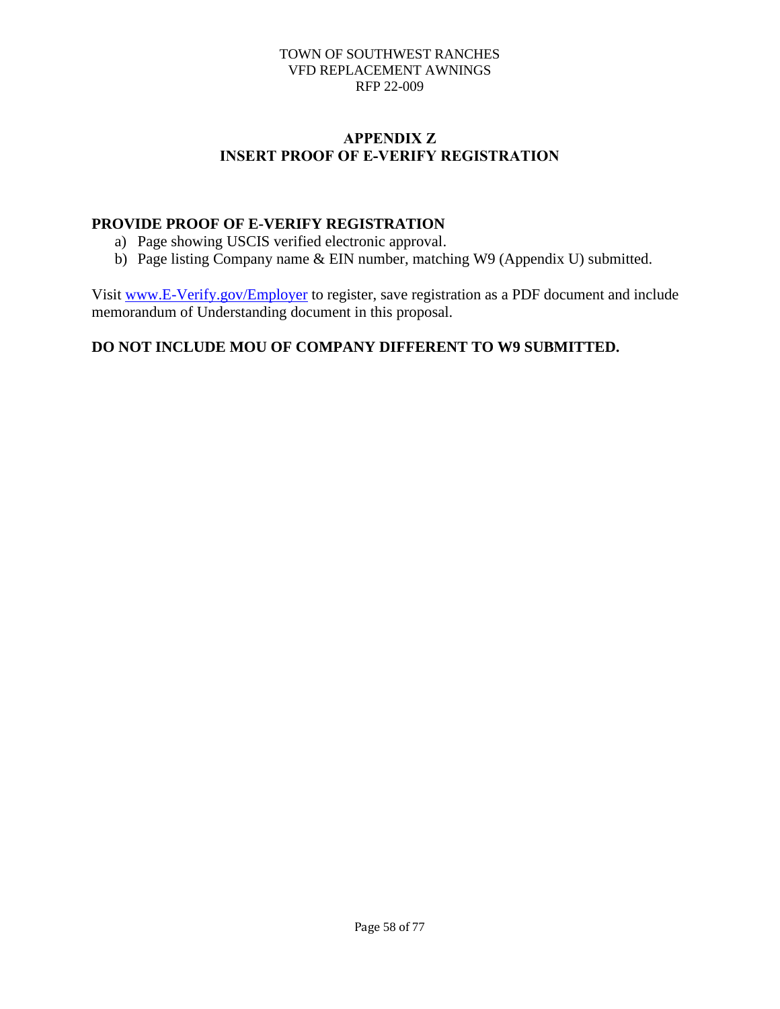# **APPENDIX Z INSERT PROOF OF E-VERIFY REGISTRATION**

# **PROVIDE PROOF OF E-VERIFY REGISTRATION**

- a) Page showing USCIS verified electronic approval.
- b) Page listing Company name & EIN number, matching W9 (Appendix U) submitted.

Visit [www.E-Verify.gov/Employer](http://www.e-verify.gov/Employer) to register, save registration as a PDF document and include memorandum of Understanding document in this proposal.

# **DO NOT INCLUDE MOU OF COMPANY DIFFERENT TO W9 SUBMITTED.**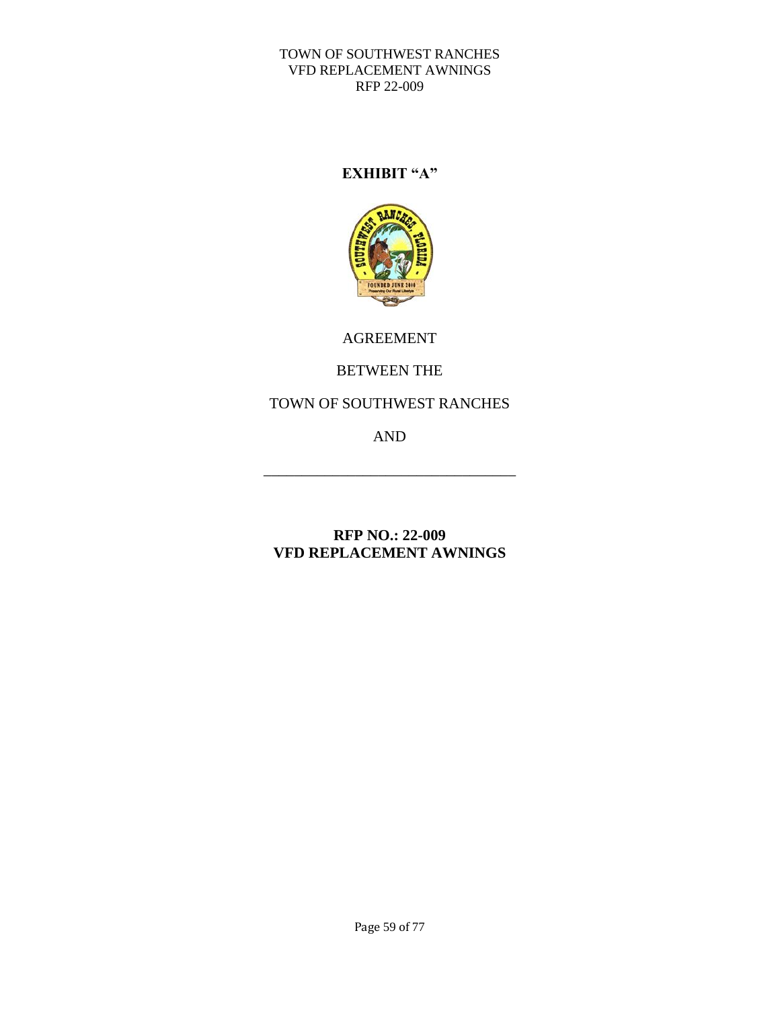# **EXHIBIT "A"**



AGREEMENT

# BETWEEN THE

# TOWN OF SOUTHWEST RANCHES

AND

\_\_\_\_\_\_\_\_\_\_\_\_\_\_\_\_\_\_\_\_\_\_\_\_\_\_\_\_\_\_\_\_\_

# **RFP NO.: 22-009 VFD REPLACEMENT AWNINGS**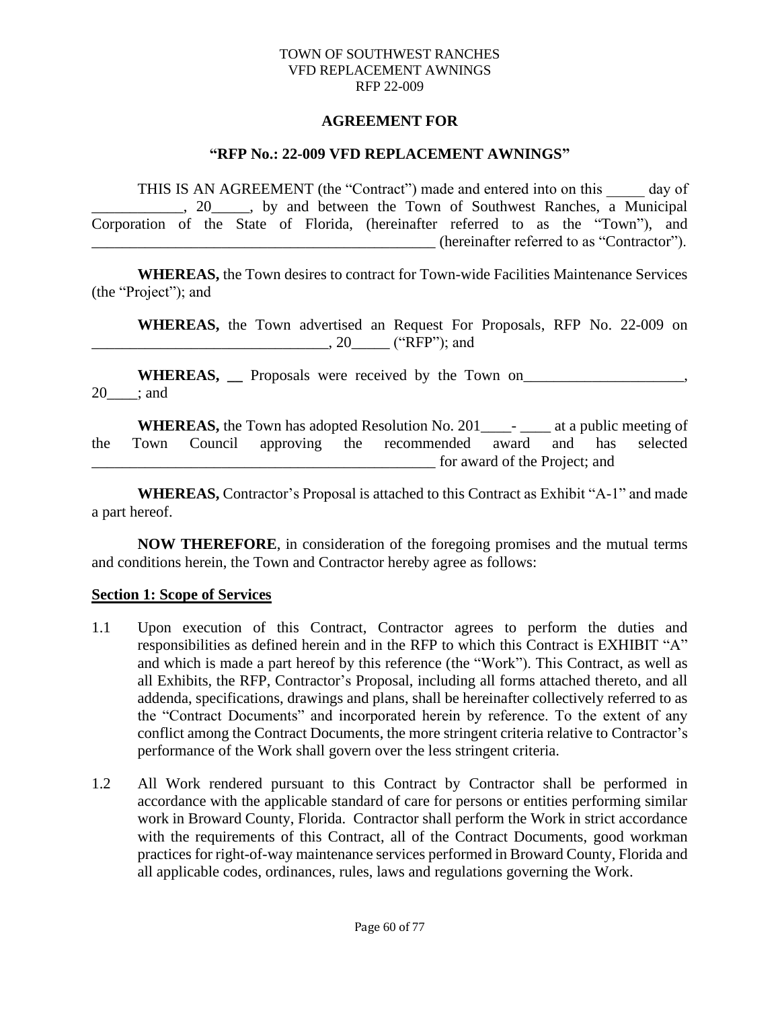#### **AGREEMENT FOR**

#### **"RFP No.: 22-009 VFD REPLACEMENT AWNINGS"**

THIS IS AN AGREEMENT (the "Contract") made and entered into on this day of  $\frac{1}{2}$ , 20  $\frac{1}{2}$ , by and between the Town of Southwest Ranches, a Municipal Corporation of the State of Florida, (hereinafter referred to as the "Town"), and  $(hereinafter referred to as "Contractor").$ 

**WHEREAS,** the Town desires to contract for Town-wide Facilities Maintenance Services (the "Project"); and

**WHEREAS,** the Town advertised an Request For Proposals, RFP No. 22-009 on \_\_\_\_\_\_\_\_\_\_\_\_\_\_\_\_\_\_\_\_\_\_\_\_\_\_\_\_\_\_\_, 20\_\_\_\_\_ ("RFP"); and

**WHEREAS,** Proposals were received by the Town on 20\_\_\_\_; and

**WHEREAS,** the Town has adopted Resolution No. 201\_\_\_\_- \_\_\_\_ at a public meeting of the Town Council approving the recommended award and has selected for award of the Project; and

**WHEREAS,** Contractor's Proposal is attached to this Contract as Exhibit "A-1" and made a part hereof.

**NOW THEREFORE**, in consideration of the foregoing promises and the mutual terms and conditions herein, the Town and Contractor hereby agree as follows:

#### **Section 1: Scope of Services**

- 1.1 Upon execution of this Contract, Contractor agrees to perform the duties and responsibilities as defined herein and in the RFP to which this Contract is EXHIBIT "A" and which is made a part hereof by this reference (the "Work"). This Contract, as well as all Exhibits, the RFP, Contractor's Proposal, including all forms attached thereto, and all addenda, specifications, drawings and plans, shall be hereinafter collectively referred to as the "Contract Documents" and incorporated herein by reference. To the extent of any conflict among the Contract Documents, the more stringent criteria relative to Contractor's performance of the Work shall govern over the less stringent criteria.
- 1.2 All Work rendered pursuant to this Contract by Contractor shall be performed in accordance with the applicable standard of care for persons or entities performing similar work in Broward County, Florida. Contractor shall perform the Work in strict accordance with the requirements of this Contract, all of the Contract Documents, good workman practices for right-of-way maintenance services performed in Broward County, Florida and all applicable codes, ordinances, rules, laws and regulations governing the Work.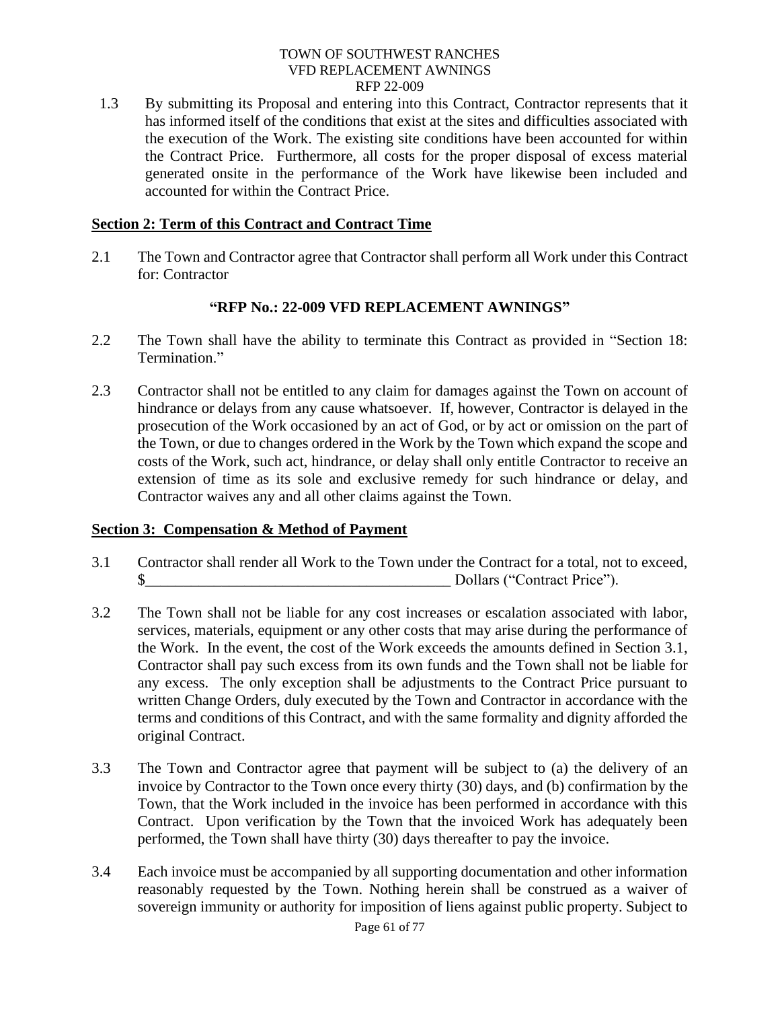1.3 By submitting its Proposal and entering into this Contract, Contractor represents that it has informed itself of the conditions that exist at the sites and difficulties associated with the execution of the Work. The existing site conditions have been accounted for within the Contract Price. Furthermore, all costs for the proper disposal of excess material generated onsite in the performance of the Work have likewise been included and accounted for within the Contract Price.

### **Section 2: Term of this Contract and Contract Time**

2.1 The Town and Contractor agree that Contractor shall perform all Work under this Contract for: Contractor

### **"RFP No.: 22-009 VFD REPLACEMENT AWNINGS"**

- 2.2 The Town shall have the ability to terminate this Contract as provided in "Section 18: Termination."
- 2.3 Contractor shall not be entitled to any claim for damages against the Town on account of hindrance or delays from any cause whatsoever. If, however, Contractor is delayed in the prosecution of the Work occasioned by an act of God, or by act or omission on the part of the Town, or due to changes ordered in the Work by the Town which expand the scope and costs of the Work, such act, hindrance, or delay shall only entitle Contractor to receive an extension of time as its sole and exclusive remedy for such hindrance or delay, and Contractor waives any and all other claims against the Town.

### **Section 3: Compensation & Method of Payment**

- 3.1 Contractor shall render all Work to the Town under the Contract for a total, not to exceed,  $\$\text{Dollars}$  ("Contract Price").
- 3.2 The Town shall not be liable for any cost increases or escalation associated with labor, services, materials, equipment or any other costs that may arise during the performance of the Work. In the event, the cost of the Work exceeds the amounts defined in Section 3.1, Contractor shall pay such excess from its own funds and the Town shall not be liable for any excess. The only exception shall be adjustments to the Contract Price pursuant to written Change Orders, duly executed by the Town and Contractor in accordance with the terms and conditions of this Contract, and with the same formality and dignity afforded the original Contract.
- 3.3 The Town and Contractor agree that payment will be subject to (a) the delivery of an invoice by Contractor to the Town once every thirty (30) days, and (b) confirmation by the Town, that the Work included in the invoice has been performed in accordance with this Contract. Upon verification by the Town that the invoiced Work has adequately been performed, the Town shall have thirty (30) days thereafter to pay the invoice.
- 3.4 Each invoice must be accompanied by all supporting documentation and other information reasonably requested by the Town. Nothing herein shall be construed as a waiver of sovereign immunity or authority for imposition of liens against public property. Subject to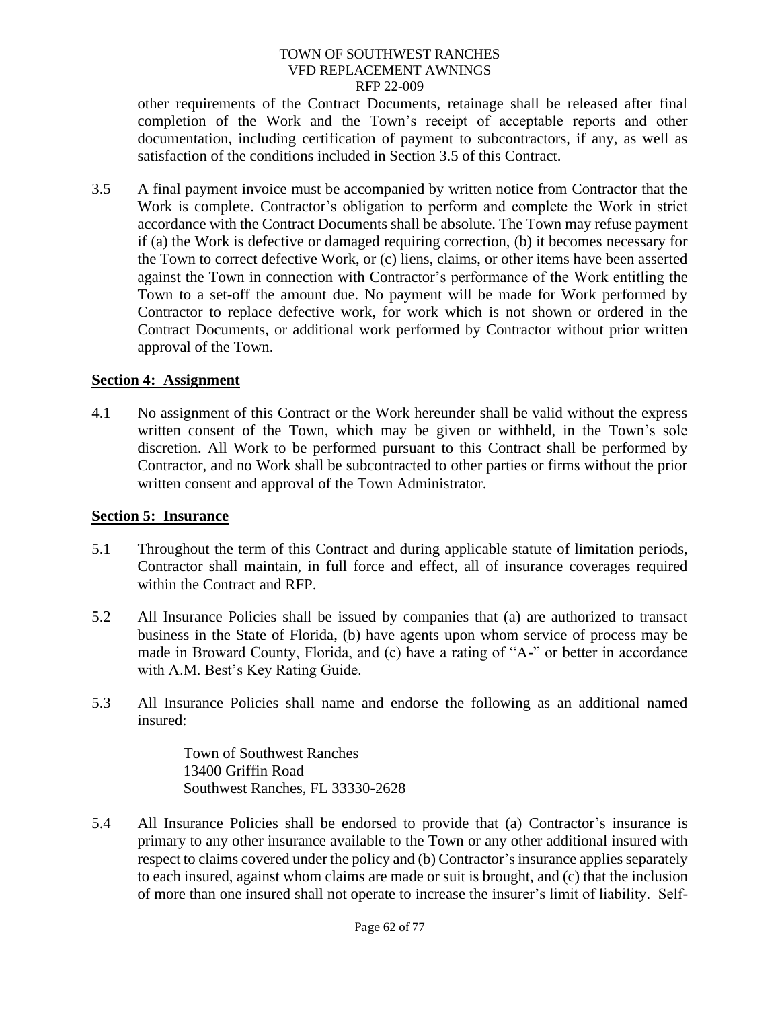other requirements of the Contract Documents, retainage shall be released after final completion of the Work and the Town's receipt of acceptable reports and other documentation, including certification of payment to subcontractors, if any, as well as satisfaction of the conditions included in Section 3.5 of this Contract.

3.5 A final payment invoice must be accompanied by written notice from Contractor that the Work is complete. Contractor's obligation to perform and complete the Work in strict accordance with the Contract Documents shall be absolute. The Town may refuse payment if (a) the Work is defective or damaged requiring correction, (b) it becomes necessary for the Town to correct defective Work, or (c) liens, claims, or other items have been asserted against the Town in connection with Contractor's performance of the Work entitling the Town to a set-off the amount due. No payment will be made for Work performed by Contractor to replace defective work, for work which is not shown or ordered in the Contract Documents, or additional work performed by Contractor without prior written approval of the Town.

### **Section 4: Assignment**

4.1 No assignment of this Contract or the Work hereunder shall be valid without the express written consent of the Town, which may be given or withheld, in the Town's sole discretion. All Work to be performed pursuant to this Contract shall be performed by Contractor, and no Work shall be subcontracted to other parties or firms without the prior written consent and approval of the Town Administrator.

### **Section 5: Insurance**

- 5.1 Throughout the term of this Contract and during applicable statute of limitation periods, Contractor shall maintain, in full force and effect, all of insurance coverages required within the Contract and RFP.
- 5.2 All Insurance Policies shall be issued by companies that (a) are authorized to transact business in the State of Florida, (b) have agents upon whom service of process may be made in Broward County, Florida, and (c) have a rating of "A-" or better in accordance with A.M. Best's Key Rating Guide.
- 5.3 All Insurance Policies shall name and endorse the following as an additional named insured:

Town of Southwest Ranches 13400 Griffin Road Southwest Ranches, FL 33330-2628

5.4 All Insurance Policies shall be endorsed to provide that (a) Contractor's insurance is primary to any other insurance available to the Town or any other additional insured with respect to claims covered under the policy and (b) Contractor's insurance applies separately to each insured, against whom claims are made or suit is brought, and (c) that the inclusion of more than one insured shall not operate to increase the insurer's limit of liability. Self-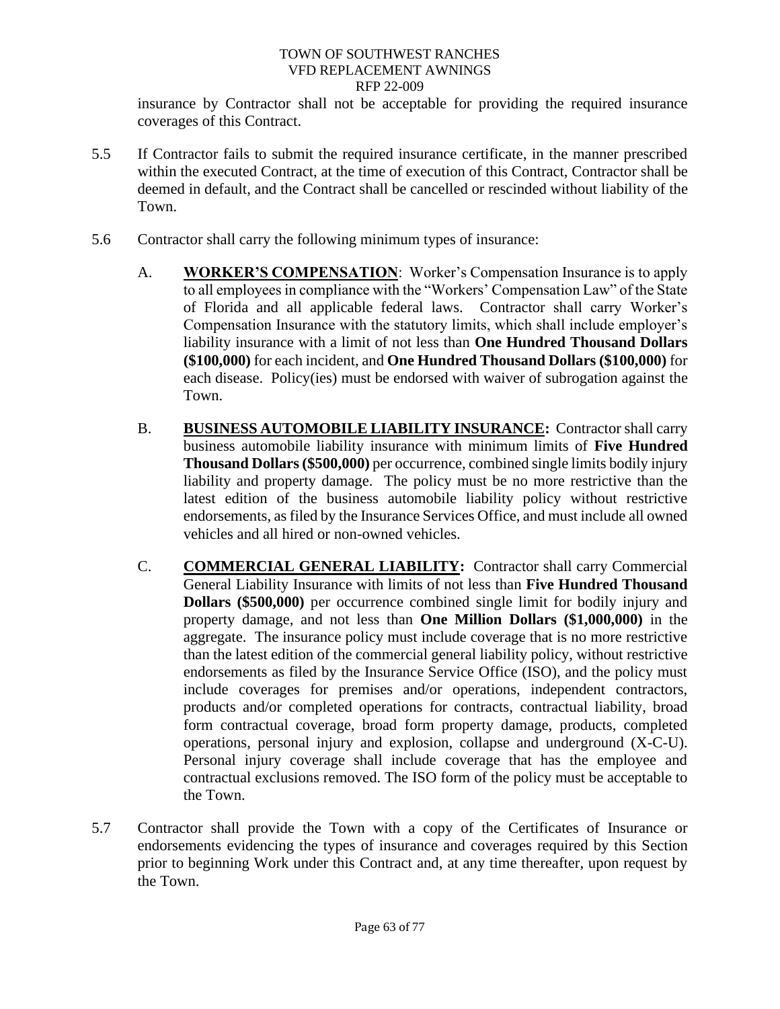insurance by Contractor shall not be acceptable for providing the required insurance coverages of this Contract.

- 5.5 If Contractor fails to submit the required insurance certificate, in the manner prescribed within the executed Contract, at the time of execution of this Contract, Contractor shall be deemed in default, and the Contract shall be cancelled or rescinded without liability of the Town.
- 5.6 Contractor shall carry the following minimum types of insurance:
	- A. **WORKER'S COMPENSATION**: Worker's Compensation Insurance is to apply to all employees in compliance with the "Workers' Compensation Law" of the State of Florida and all applicable federal laws. Contractor shall carry Worker's Compensation Insurance with the statutory limits, which shall include employer's liability insurance with a limit of not less than **One Hundred Thousand Dollars (\$100,000)** for each incident, and **One Hundred Thousand Dollars (\$100,000)** for each disease. Policy(ies) must be endorsed with waiver of subrogation against the Town.
	- B. **BUSINESS AUTOMOBILE LIABILITY INSURANCE:** Contractor shall carry business automobile liability insurance with minimum limits of **Five Hundred Thousand Dollars (\$500,000)** per occurrence, combined single limits bodily injury liability and property damage. The policy must be no more restrictive than the latest edition of the business automobile liability policy without restrictive endorsements, as filed by the Insurance Services Office, and must include all owned vehicles and all hired or non-owned vehicles.
	- C. **COMMERCIAL GENERAL LIABILITY:** Contractor shall carry Commercial General Liability Insurance with limits of not less than **Five Hundred Thousand Dollars (\$500,000)** per occurrence combined single limit for bodily injury and property damage, and not less than **One Million Dollars (\$1,000,000)** in the aggregate. The insurance policy must include coverage that is no more restrictive than the latest edition of the commercial general liability policy, without restrictive endorsements as filed by the Insurance Service Office (ISO), and the policy must include coverages for premises and/or operations, independent contractors, products and/or completed operations for contracts, contractual liability, broad form contractual coverage, broad form property damage, products, completed operations, personal injury and explosion, collapse and underground (X-C-U). Personal injury coverage shall include coverage that has the employee and contractual exclusions removed. The ISO form of the policy must be acceptable to the Town.
- 5.7 Contractor shall provide the Town with a copy of the Certificates of Insurance or endorsements evidencing the types of insurance and coverages required by this Section prior to beginning Work under this Contract and, at any time thereafter, upon request by the Town.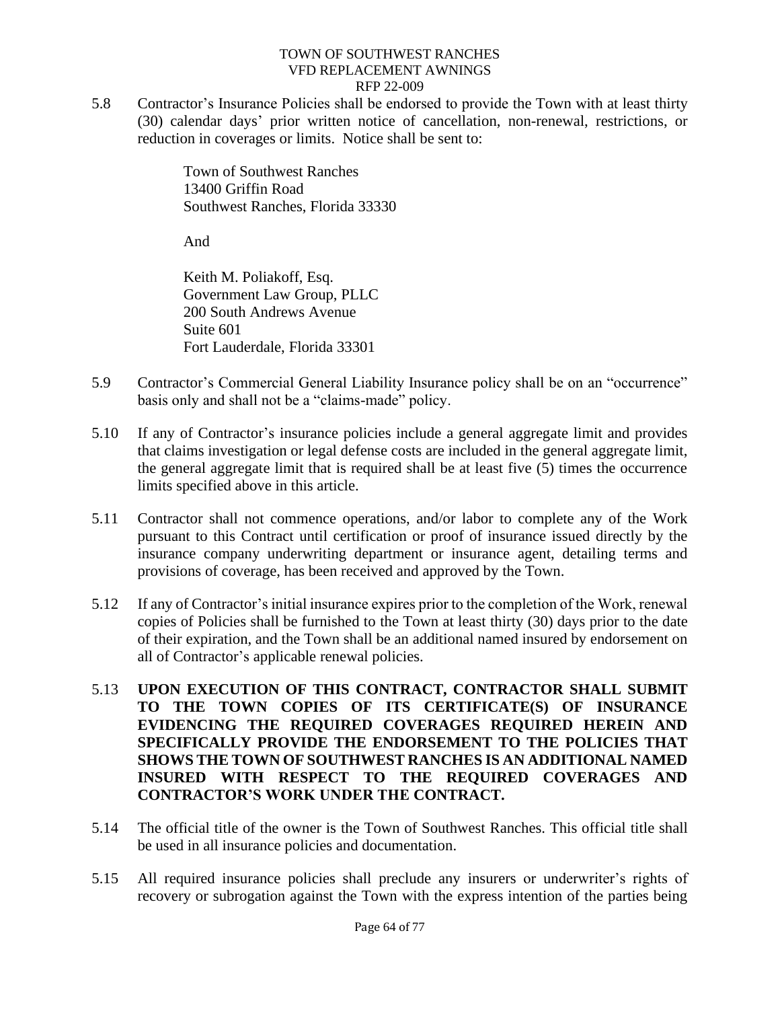5.8 Contractor's Insurance Policies shall be endorsed to provide the Town with at least thirty (30) calendar days' prior written notice of cancellation, non-renewal, restrictions, or reduction in coverages or limits. Notice shall be sent to:

> Town of Southwest Ranches 13400 Griffin Road Southwest Ranches, Florida 33330

And

Keith M. Poliakoff, Esq. Government Law Group, PLLC 200 South Andrews Avenue Suite 601 Fort Lauderdale, Florida 33301

- 5.9 Contractor's Commercial General Liability Insurance policy shall be on an "occurrence" basis only and shall not be a "claims-made" policy.
- 5.10 If any of Contractor's insurance policies include a general aggregate limit and provides that claims investigation or legal defense costs are included in the general aggregate limit, the general aggregate limit that is required shall be at least five (5) times the occurrence limits specified above in this article.
- 5.11 Contractor shall not commence operations, and/or labor to complete any of the Work pursuant to this Contract until certification or proof of insurance issued directly by the insurance company underwriting department or insurance agent, detailing terms and provisions of coverage, has been received and approved by the Town.
- 5.12 If any of Contractor's initial insurance expires prior to the completion of the Work, renewal copies of Policies shall be furnished to the Town at least thirty (30) days prior to the date of their expiration, and the Town shall be an additional named insured by endorsement on all of Contractor's applicable renewal policies.
- 5.13 **UPON EXECUTION OF THIS CONTRACT, CONTRACTOR SHALL SUBMIT TO THE TOWN COPIES OF ITS CERTIFICATE(S) OF INSURANCE EVIDENCING THE REQUIRED COVERAGES REQUIRED HEREIN AND SPECIFICALLY PROVIDE THE ENDORSEMENT TO THE POLICIES THAT SHOWS THE TOWN OF SOUTHWEST RANCHES IS AN ADDITIONAL NAMED INSURED WITH RESPECT TO THE REQUIRED COVERAGES AND CONTRACTOR'S WORK UNDER THE CONTRACT.**
- 5.14 The official title of the owner is the Town of Southwest Ranches. This official title shall be used in all insurance policies and documentation.
- 5.15 All required insurance policies shall preclude any insurers or underwriter's rights of recovery or subrogation against the Town with the express intention of the parties being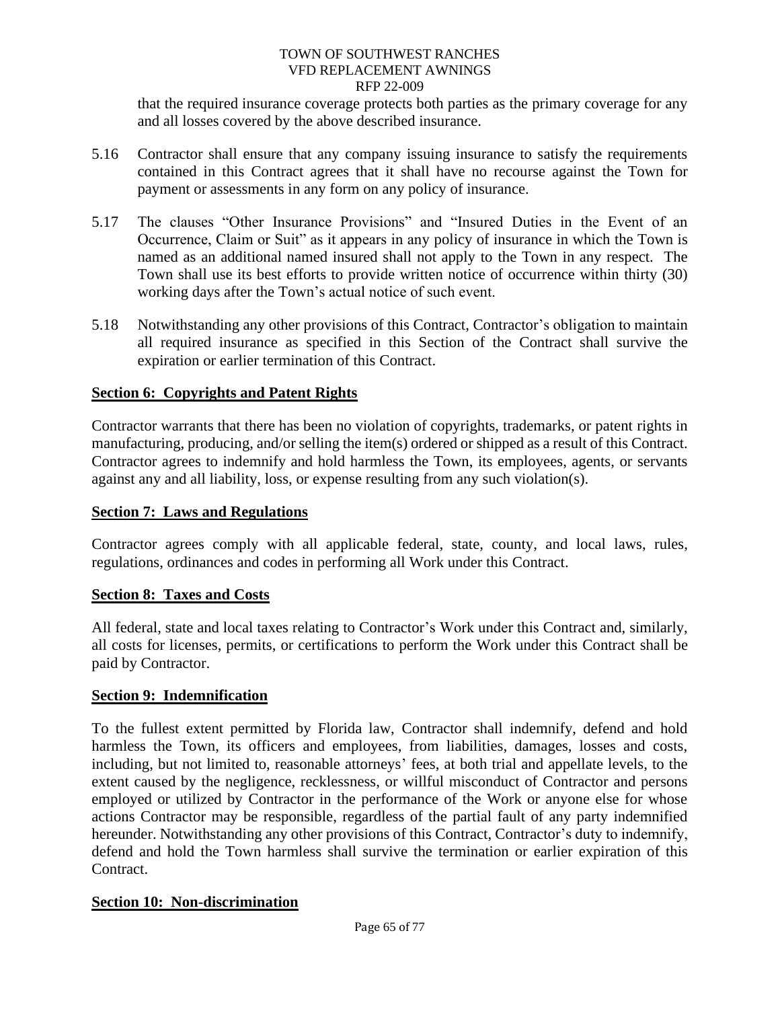that the required insurance coverage protects both parties as the primary coverage for any and all losses covered by the above described insurance.

- 5.16 Contractor shall ensure that any company issuing insurance to satisfy the requirements contained in this Contract agrees that it shall have no recourse against the Town for payment or assessments in any form on any policy of insurance.
- 5.17 The clauses "Other Insurance Provisions" and "Insured Duties in the Event of an Occurrence, Claim or Suit" as it appears in any policy of insurance in which the Town is named as an additional named insured shall not apply to the Town in any respect. The Town shall use its best efforts to provide written notice of occurrence within thirty (30) working days after the Town's actual notice of such event.
- 5.18 Notwithstanding any other provisions of this Contract, Contractor's obligation to maintain all required insurance as specified in this Section of the Contract shall survive the expiration or earlier termination of this Contract.

# **Section 6: Copyrights and Patent Rights**

Contractor warrants that there has been no violation of copyrights, trademarks, or patent rights in manufacturing, producing, and/or selling the item(s) ordered or shipped as a result of this Contract. Contractor agrees to indemnify and hold harmless the Town, its employees, agents, or servants against any and all liability, loss, or expense resulting from any such violation(s).

### **Section 7: Laws and Regulations**

Contractor agrees comply with all applicable federal, state, county, and local laws, rules, regulations, ordinances and codes in performing all Work under this Contract.

### **Section 8: Taxes and Costs**

All federal, state and local taxes relating to Contractor's Work under this Contract and, similarly, all costs for licenses, permits, or certifications to perform the Work under this Contract shall be paid by Contractor.

### **Section 9: Indemnification**

To the fullest extent permitted by Florida law, Contractor shall indemnify, defend and hold harmless the Town, its officers and employees, from liabilities, damages, losses and costs, including, but not limited to, reasonable attorneys' fees, at both trial and appellate levels, to the extent caused by the negligence, recklessness, or willful misconduct of Contractor and persons employed or utilized by Contractor in the performance of the Work or anyone else for whose actions Contractor may be responsible, regardless of the partial fault of any party indemnified hereunder. Notwithstanding any other provisions of this Contract, Contractor's duty to indemnify, defend and hold the Town harmless shall survive the termination or earlier expiration of this Contract.

### **Section 10: Non-discrimination**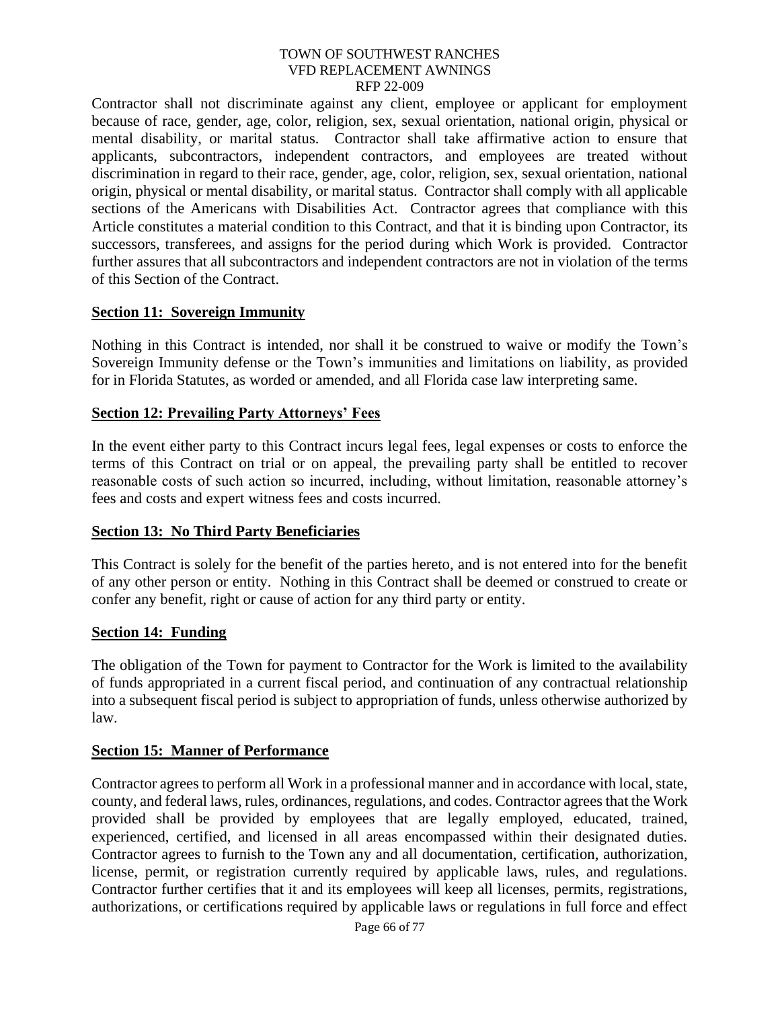Contractor shall not discriminate against any client, employee or applicant for employment because of race, gender, age, color, religion, sex, sexual orientation, national origin, physical or mental disability, or marital status. Contractor shall take affirmative action to ensure that applicants, subcontractors, independent contractors, and employees are treated without discrimination in regard to their race, gender, age, color, religion, sex, sexual orientation, national origin, physical or mental disability, or marital status. Contractor shall comply with all applicable sections of the Americans with Disabilities Act. Contractor agrees that compliance with this Article constitutes a material condition to this Contract, and that it is binding upon Contractor, its successors, transferees, and assigns for the period during which Work is provided. Contractor further assures that all subcontractors and independent contractors are not in violation of the terms of this Section of the Contract.

### **Section 11: Sovereign Immunity**

Nothing in this Contract is intended, nor shall it be construed to waive or modify the Town's Sovereign Immunity defense or the Town's immunities and limitations on liability, as provided for in Florida Statutes, as worded or amended, and all Florida case law interpreting same.

# **Section 12: Prevailing Party Attorneys' Fees**

In the event either party to this Contract incurs legal fees, legal expenses or costs to enforce the terms of this Contract on trial or on appeal, the prevailing party shall be entitled to recover reasonable costs of such action so incurred, including, without limitation, reasonable attorney's fees and costs and expert witness fees and costs incurred.

# **Section 13: No Third Party Beneficiaries**

This Contract is solely for the benefit of the parties hereto, and is not entered into for the benefit of any other person or entity. Nothing in this Contract shall be deemed or construed to create or confer any benefit, right or cause of action for any third party or entity.

### **Section 14: Funding**

The obligation of the Town for payment to Contractor for the Work is limited to the availability of funds appropriated in a current fiscal period, and continuation of any contractual relationship into a subsequent fiscal period is subject to appropriation of funds, unless otherwise authorized by law.

### **Section 15: Manner of Performance**

Contractor agrees to perform all Work in a professional manner and in accordance with local, state, county, and federal laws, rules, ordinances, regulations, and codes. Contractor agrees that the Work provided shall be provided by employees that are legally employed, educated, trained, experienced, certified, and licensed in all areas encompassed within their designated duties. Contractor agrees to furnish to the Town any and all documentation, certification, authorization, license, permit, or registration currently required by applicable laws, rules, and regulations. Contractor further certifies that it and its employees will keep all licenses, permits, registrations, authorizations, or certifications required by applicable laws or regulations in full force and effect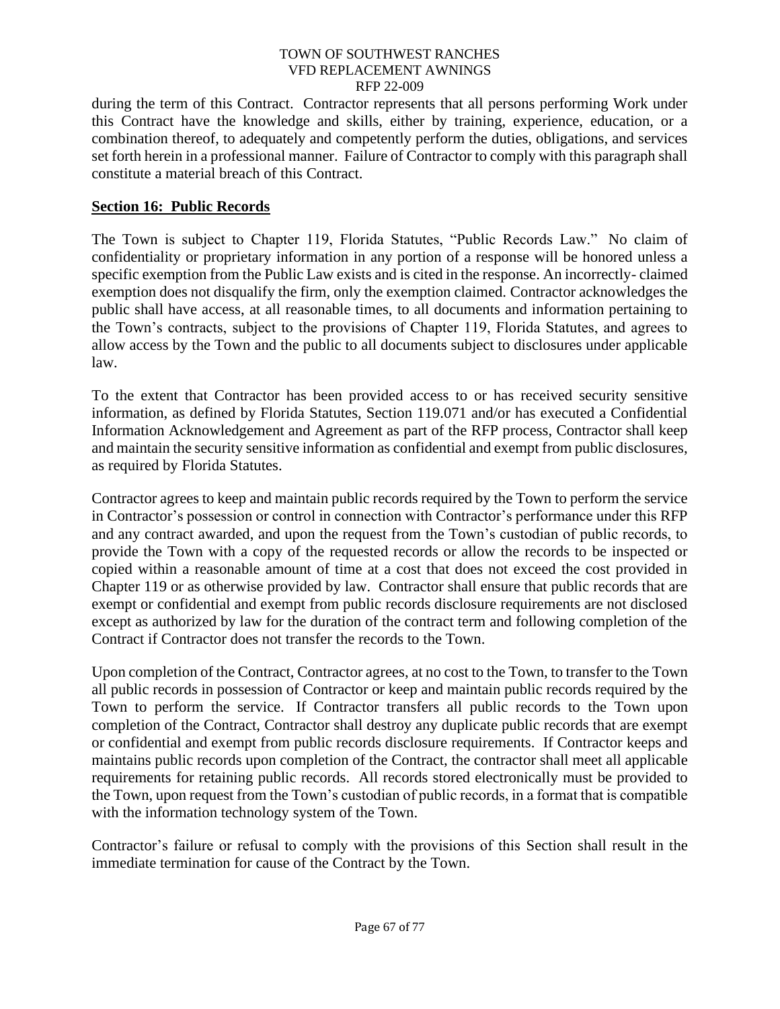during the term of this Contract. Contractor represents that all persons performing Work under this Contract have the knowledge and skills, either by training, experience, education, or a combination thereof, to adequately and competently perform the duties, obligations, and services set forth herein in a professional manner. Failure of Contractor to comply with this paragraph shall constitute a material breach of this Contract.

# **Section 16: Public Records**

The Town is subject to Chapter 119, Florida Statutes, "Public Records Law." No claim of confidentiality or proprietary information in any portion of a response will be honored unless a specific exemption from the Public Law exists and is cited in the response. An incorrectly- claimed exemption does not disqualify the firm, only the exemption claimed. Contractor acknowledges the public shall have access, at all reasonable times, to all documents and information pertaining to the Town's contracts, subject to the provisions of Chapter 119, Florida Statutes, and agrees to allow access by the Town and the public to all documents subject to disclosures under applicable law.

To the extent that Contractor has been provided access to or has received security sensitive information, as defined by Florida Statutes, Section 119.071 and/or has executed a Confidential Information Acknowledgement and Agreement as part of the RFP process, Contractor shall keep and maintain the security sensitive information as confidential and exempt from public disclosures, as required by Florida Statutes.

Contractor agrees to keep and maintain public records required by the Town to perform the service in Contractor's possession or control in connection with Contractor's performance under this RFP and any contract awarded, and upon the request from the Town's custodian of public records, to provide the Town with a copy of the requested records or allow the records to be inspected or copied within a reasonable amount of time at a cost that does not exceed the cost provided in Chapter 119 or as otherwise provided by law. Contractor shall ensure that public records that are exempt or confidential and exempt from public records disclosure requirements are not disclosed except as authorized by law for the duration of the contract term and following completion of the Contract if Contractor does not transfer the records to the Town.

Upon completion of the Contract, Contractor agrees, at no cost to the Town, to transfer to the Town all public records in possession of Contractor or keep and maintain public records required by the Town to perform the service. If Contractor transfers all public records to the Town upon completion of the Contract, Contractor shall destroy any duplicate public records that are exempt or confidential and exempt from public records disclosure requirements. If Contractor keeps and maintains public records upon completion of the Contract, the contractor shall meet all applicable requirements for retaining public records. All records stored electronically must be provided to the Town, upon request from the Town's custodian of public records, in a format that is compatible with the information technology system of the Town.

Contractor's failure or refusal to comply with the provisions of this Section shall result in the immediate termination for cause of the Contract by the Town.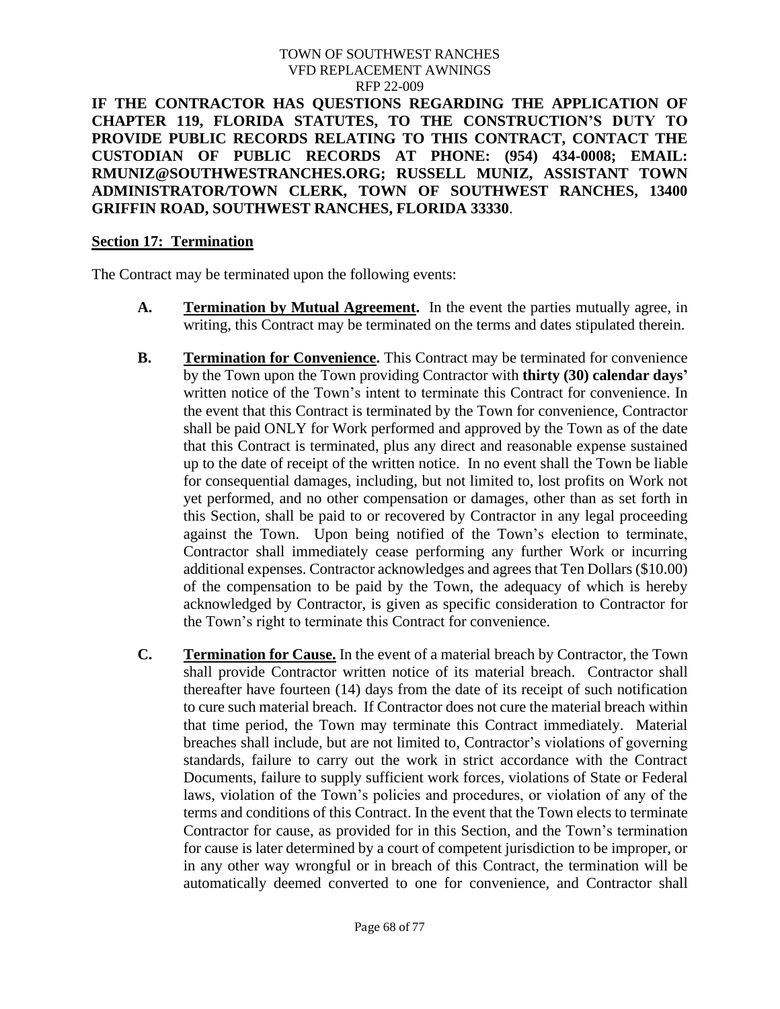**IF THE CONTRACTOR HAS QUESTIONS REGARDING THE APPLICATION OF CHAPTER 119, FLORIDA STATUTES, TO THE CONSTRUCTION'S DUTY TO PROVIDE PUBLIC RECORDS RELATING TO THIS CONTRACT, CONTACT THE CUSTODIAN OF PUBLIC RECORDS AT PHONE: (954) 434-0008; EMAIL: RMUNIZ@SOUTHWESTRANCHES.ORG; RUSSELL MUNIZ, ASSISTANT TOWN ADMINISTRATOR/TOWN CLERK, TOWN OF SOUTHWEST RANCHES, 13400 GRIFFIN ROAD, SOUTHWEST RANCHES, FLORIDA 33330**.

## **Section 17: Termination**

The Contract may be terminated upon the following events:

- **A. Termination by Mutual Agreement.** In the event the parties mutually agree, in writing, this Contract may be terminated on the terms and dates stipulated therein.
- **B. Termination for Convenience.** This Contract may be terminated for convenience by the Town upon the Town providing Contractor with **thirty (30) calendar days'** written notice of the Town's intent to terminate this Contract for convenience. In the event that this Contract is terminated by the Town for convenience, Contractor shall be paid ONLY for Work performed and approved by the Town as of the date that this Contract is terminated, plus any direct and reasonable expense sustained up to the date of receipt of the written notice. In no event shall the Town be liable for consequential damages, including, but not limited to, lost profits on Work not yet performed, and no other compensation or damages, other than as set forth in this Section, shall be paid to or recovered by Contractor in any legal proceeding against the Town. Upon being notified of the Town's election to terminate, Contractor shall immediately cease performing any further Work or incurring additional expenses. Contractor acknowledges and agrees that Ten Dollars (\$10.00) of the compensation to be paid by the Town, the adequacy of which is hereby acknowledged by Contractor, is given as specific consideration to Contractor for the Town's right to terminate this Contract for convenience.
- **C. Termination for Cause.** In the event of a material breach by Contractor, the Town shall provide Contractor written notice of its material breach. Contractor shall thereafter have fourteen (14) days from the date of its receipt of such notification to cure such material breach. If Contractor does not cure the material breach within that time period, the Town may terminate this Contract immediately. Material breaches shall include, but are not limited to, Contractor's violations of governing standards, failure to carry out the work in strict accordance with the Contract Documents, failure to supply sufficient work forces, violations of State or Federal laws, violation of the Town's policies and procedures, or violation of any of the terms and conditions of this Contract. In the event that the Town elects to terminate Contractor for cause, as provided for in this Section, and the Town's termination for cause is later determined by a court of competent jurisdiction to be improper, or in any other way wrongful or in breach of this Contract, the termination will be automatically deemed converted to one for convenience, and Contractor shall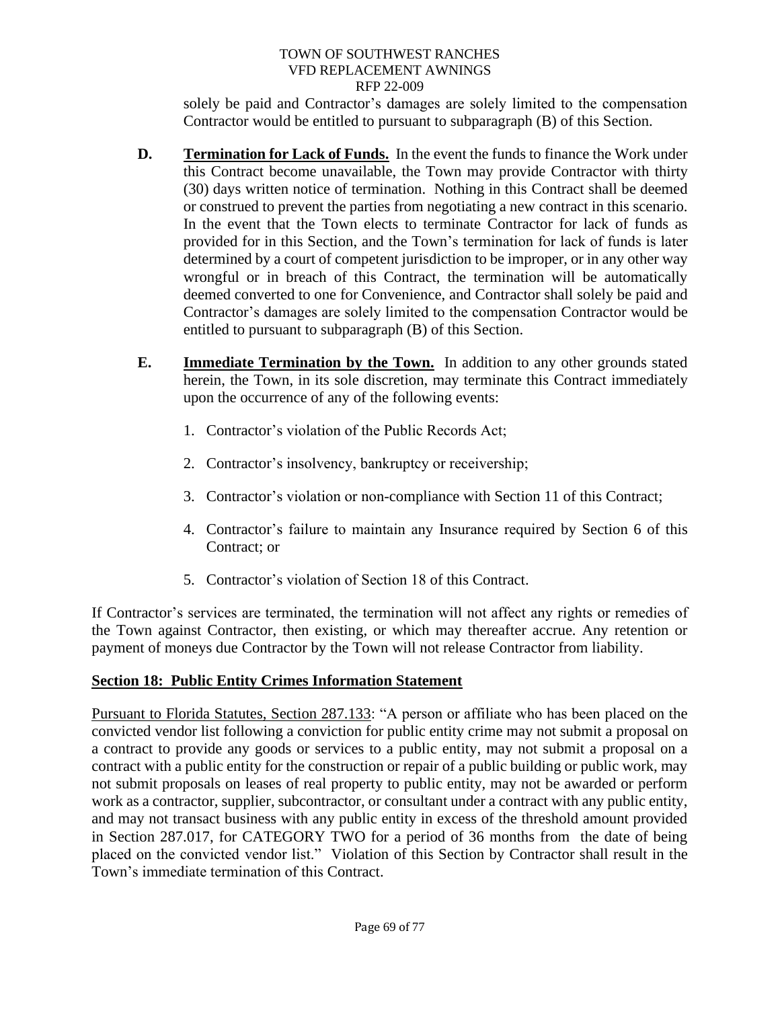solely be paid and Contractor's damages are solely limited to the compensation Contractor would be entitled to pursuant to subparagraph (B) of this Section.

- **D. Termination for Lack of Funds.** In the event the funds to finance the Work under this Contract become unavailable, the Town may provide Contractor with thirty (30) days written notice of termination. Nothing in this Contract shall be deemed or construed to prevent the parties from negotiating a new contract in this scenario. In the event that the Town elects to terminate Contractor for lack of funds as provided for in this Section, and the Town's termination for lack of funds is later determined by a court of competent jurisdiction to be improper, or in any other way wrongful or in breach of this Contract, the termination will be automatically deemed converted to one for Convenience, and Contractor shall solely be paid and Contractor's damages are solely limited to the compensation Contractor would be entitled to pursuant to subparagraph (B) of this Section.
- **E. Immediate Termination by the Town.** In addition to any other grounds stated herein, the Town, in its sole discretion, may terminate this Contract immediately upon the occurrence of any of the following events:
	- 1. Contractor's violation of the Public Records Act;
	- 2. Contractor's insolvency, bankruptcy or receivership;
	- 3. Contractor's violation or non-compliance with Section 11 of this Contract;
	- 4. Contractor's failure to maintain any Insurance required by Section 6 of this Contract; or
	- 5. Contractor's violation of Section 18 of this Contract.

If Contractor's services are terminated, the termination will not affect any rights or remedies of the Town against Contractor, then existing, or which may thereafter accrue. Any retention or payment of moneys due Contractor by the Town will not release Contractor from liability.

# **Section 18: Public Entity Crimes Information Statement**

Pursuant to Florida Statutes, Section 287.133: "A person or affiliate who has been placed on the convicted vendor list following a conviction for public entity crime may not submit a proposal on a contract to provide any goods or services to a public entity, may not submit a proposal on a contract with a public entity for the construction or repair of a public building or public work, may not submit proposals on leases of real property to public entity, may not be awarded or perform work as a contractor, supplier, subcontractor, or consultant under a contract with any public entity, and may not transact business with any public entity in excess of the threshold amount provided in Section 287.017, for CATEGORY TWO for a period of 36 months from the date of being placed on the convicted vendor list." Violation of this Section by Contractor shall result in the Town's immediate termination of this Contract.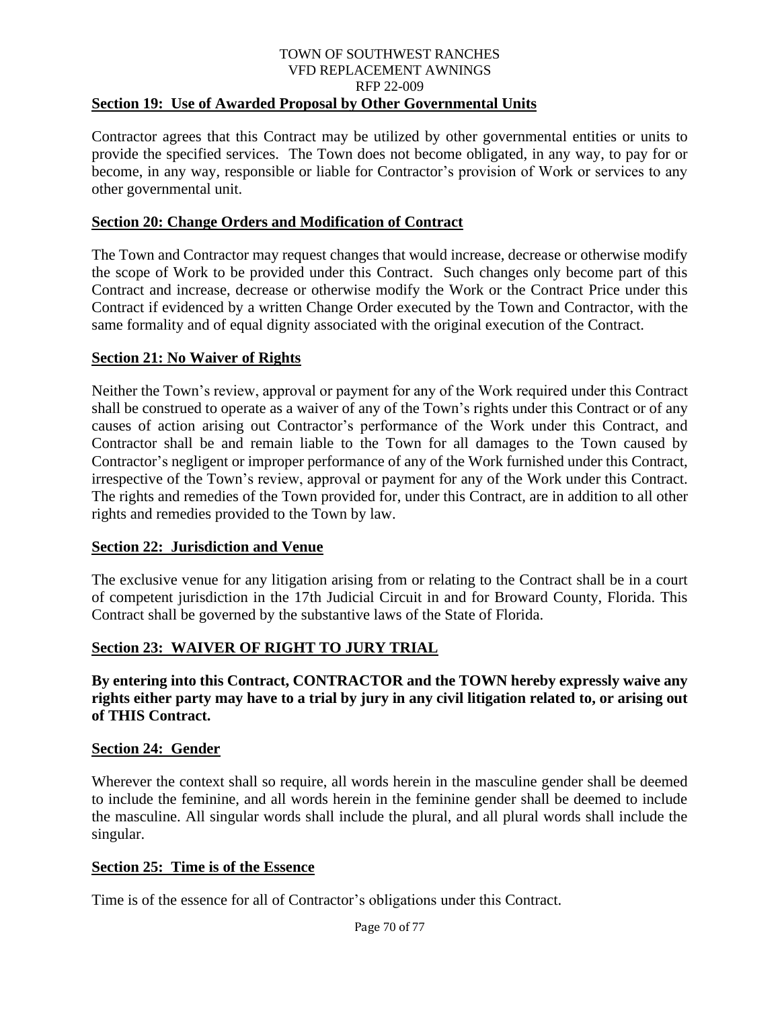#### TOWN OF SOUTHWEST RANCHES VFD REPLACEMENT AWNINGS RFP 22-009 **Section 19: Use of Awarded Proposal by Other Governmental Units**

Contractor agrees that this Contract may be utilized by other governmental entities or units to provide the specified services. The Town does not become obligated, in any way, to pay for or become, in any way, responsible or liable for Contractor's provision of Work or services to any other governmental unit.

# **Section 20: Change Orders and Modification of Contract**

The Town and Contractor may request changes that would increase, decrease or otherwise modify the scope of Work to be provided under this Contract. Such changes only become part of this Contract and increase, decrease or otherwise modify the Work or the Contract Price under this Contract if evidenced by a written Change Order executed by the Town and Contractor, with the same formality and of equal dignity associated with the original execution of the Contract.

# **Section 21: No Waiver of Rights**

Neither the Town's review, approval or payment for any of the Work required under this Contract shall be construed to operate as a waiver of any of the Town's rights under this Contract or of any causes of action arising out Contractor's performance of the Work under this Contract, and Contractor shall be and remain liable to the Town for all damages to the Town caused by Contractor's negligent or improper performance of any of the Work furnished under this Contract, irrespective of the Town's review, approval or payment for any of the Work under this Contract. The rights and remedies of the Town provided for, under this Contract, are in addition to all other rights and remedies provided to the Town by law.

# **Section 22: Jurisdiction and Venue**

The exclusive venue for any litigation arising from or relating to the Contract shall be in a court of competent jurisdiction in the 17th Judicial Circuit in and for Broward County, Florida. This Contract shall be governed by the substantive laws of the State of Florida.

## **Section 23: WAIVER OF RIGHT TO JURY TRIAL**

**By entering into this Contract, CONTRACTOR and the TOWN hereby expressly waive any rights either party may have to a trial by jury in any civil litigation related to, or arising out of THIS Contract.**

## **Section 24: Gender**

Wherever the context shall so require, all words herein in the masculine gender shall be deemed to include the feminine, and all words herein in the feminine gender shall be deemed to include the masculine. All singular words shall include the plural, and all plural words shall include the singular.

## **Section 25: Time is of the Essence**

Time is of the essence for all of Contractor's obligations under this Contract.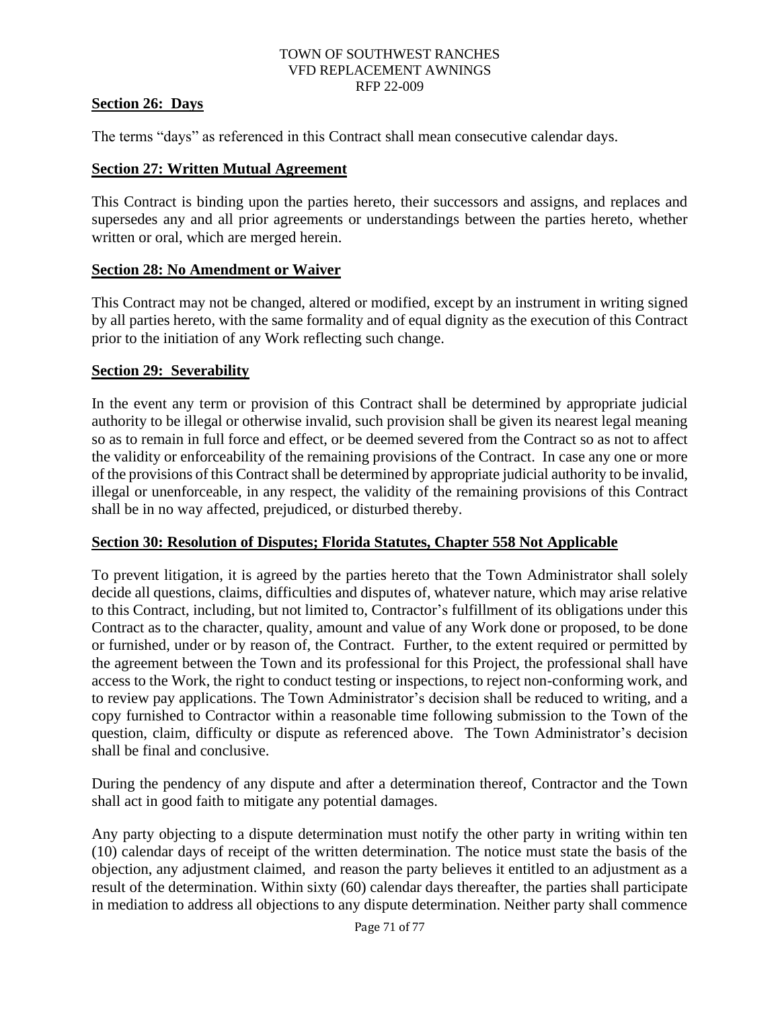# **Section 26: Days**

The terms "days" as referenced in this Contract shall mean consecutive calendar days.

## **Section 27: Written Mutual Agreement**

This Contract is binding upon the parties hereto, their successors and assigns, and replaces and supersedes any and all prior agreements or understandings between the parties hereto, whether written or oral, which are merged herein.

## **Section 28: No Amendment or Waiver**

This Contract may not be changed, altered or modified, except by an instrument in writing signed by all parties hereto, with the same formality and of equal dignity as the execution of this Contract prior to the initiation of any Work reflecting such change.

# **Section 29: Severability**

In the event any term or provision of this Contract shall be determined by appropriate judicial authority to be illegal or otherwise invalid, such provision shall be given its nearest legal meaning so as to remain in full force and effect, or be deemed severed from the Contract so as not to affect the validity or enforceability of the remaining provisions of the Contract. In case any one or more of the provisions of this Contract shall be determined by appropriate judicial authority to be invalid, illegal or unenforceable, in any respect, the validity of the remaining provisions of this Contract shall be in no way affected, prejudiced, or disturbed thereby.

# **Section 30: Resolution of Disputes; Florida Statutes, Chapter 558 Not Applicable**

To prevent litigation, it is agreed by the parties hereto that the Town Administrator shall solely decide all questions, claims, difficulties and disputes of, whatever nature, which may arise relative to this Contract, including, but not limited to, Contractor's fulfillment of its obligations under this Contract as to the character, quality, amount and value of any Work done or proposed, to be done or furnished, under or by reason of, the Contract. Further, to the extent required or permitted by the agreement between the Town and its professional for this Project, the professional shall have access to the Work, the right to conduct testing or inspections, to reject non-conforming work, and to review pay applications. The Town Administrator's decision shall be reduced to writing, and a copy furnished to Contractor within a reasonable time following submission to the Town of the question, claim, difficulty or dispute as referenced above. The Town Administrator's decision shall be final and conclusive.

During the pendency of any dispute and after a determination thereof, Contractor and the Town shall act in good faith to mitigate any potential damages.

Any party objecting to a dispute determination must notify the other party in writing within ten (10) calendar days of receipt of the written determination. The notice must state the basis of the objection, any adjustment claimed, and reason the party believes it entitled to an adjustment as a result of the determination. Within sixty (60) calendar days thereafter, the parties shall participate in mediation to address all objections to any dispute determination. Neither party shall commence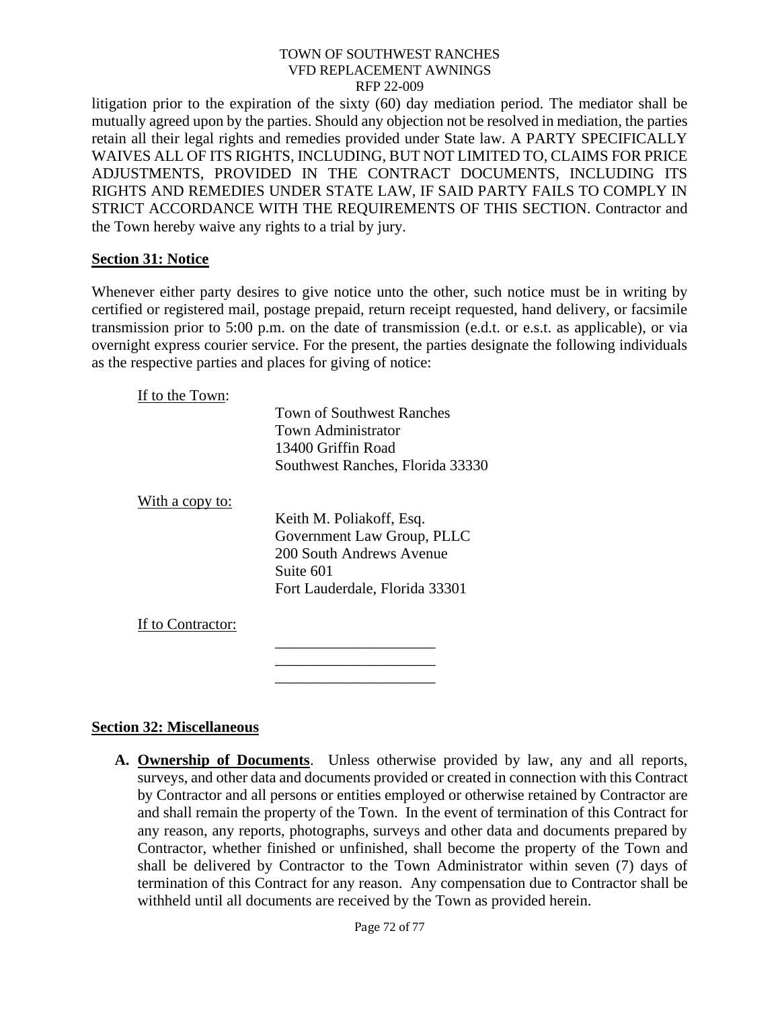litigation prior to the expiration of the sixty (60) day mediation period. The mediator shall be mutually agreed upon by the parties. Should any objection not be resolved in mediation, the parties retain all their legal rights and remedies provided under State law. A PARTY SPECIFICALLY WAIVES ALL OF ITS RIGHTS, INCLUDING, BUT NOT LIMITED TO, CLAIMS FOR PRICE ADJUSTMENTS, PROVIDED IN THE CONTRACT DOCUMENTS, INCLUDING ITS RIGHTS AND REMEDIES UNDER STATE LAW, IF SAID PARTY FAILS TO COMPLY IN STRICT ACCORDANCE WITH THE REQUIREMENTS OF THIS SECTION. Contractor and the Town hereby waive any rights to a trial by jury.

## **Section 31: Notice**

Whenever either party desires to give notice unto the other, such notice must be in writing by certified or registered mail, postage prepaid, return receipt requested, hand delivery, or facsimile transmission prior to 5:00 p.m. on the date of transmission (e.d.t. or e.s.t. as applicable), or via overnight express courier service. For the present, the parties designate the following individuals as the respective parties and places for giving of notice:

If to the Town:

|                   | <b>Town of Southwest Ranches</b> |
|-------------------|----------------------------------|
|                   | <b>Town Administrator</b>        |
|                   | 13400 Griffin Road               |
|                   | Southwest Ranches, Florida 33330 |
| With a copy to:   |                                  |
|                   | Keith M. Poliakoff, Esq.         |
|                   | Government Law Group, PLLC       |
|                   | 200 South Andrews Avenue         |
|                   | Suite 601                        |
|                   | Fort Lauderdale, Florida 33301   |
| If to Contractor: |                                  |
|                   |                                  |
|                   |                                  |

\_\_\_\_\_\_\_\_\_\_\_\_\_\_\_\_\_\_\_\_\_

## **Section 32: Miscellaneous**

**A. Ownership of Documents**. Unless otherwise provided by law, any and all reports, surveys, and other data and documents provided or created in connection with this Contract by Contractor and all persons or entities employed or otherwise retained by Contractor are and shall remain the property of the Town. In the event of termination of this Contract for any reason, any reports, photographs, surveys and other data and documents prepared by Contractor, whether finished or unfinished, shall become the property of the Town and shall be delivered by Contractor to the Town Administrator within seven (7) days of termination of this Contract for any reason. Any compensation due to Contractor shall be withheld until all documents are received by the Town as provided herein.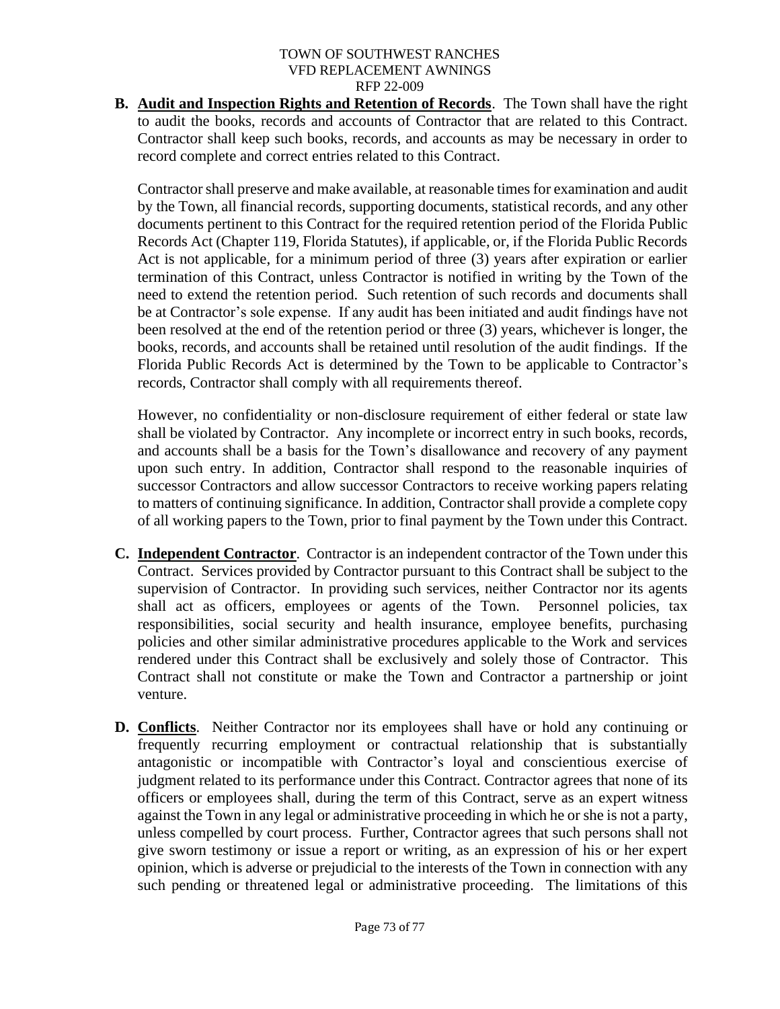**B. Audit and Inspection Rights and Retention of Records**. The Town shall have the right to audit the books, records and accounts of Contractor that are related to this Contract. Contractor shall keep such books, records, and accounts as may be necessary in order to record complete and correct entries related to this Contract.

Contractor shall preserve and make available, at reasonable times for examination and audit by the Town, all financial records, supporting documents, statistical records, and any other documents pertinent to this Contract for the required retention period of the Florida Public Records Act (Chapter 119, Florida Statutes), if applicable, or, if the Florida Public Records Act is not applicable, for a minimum period of three (3) years after expiration or earlier termination of this Contract, unless Contractor is notified in writing by the Town of the need to extend the retention period. Such retention of such records and documents shall be at Contractor's sole expense. If any audit has been initiated and audit findings have not been resolved at the end of the retention period or three (3) years, whichever is longer, the books, records, and accounts shall be retained until resolution of the audit findings. If the Florida Public Records Act is determined by the Town to be applicable to Contractor's records, Contractor shall comply with all requirements thereof.

However, no confidentiality or non-disclosure requirement of either federal or state law shall be violated by Contractor. Any incomplete or incorrect entry in such books, records, and accounts shall be a basis for the Town's disallowance and recovery of any payment upon such entry. In addition, Contractor shall respond to the reasonable inquiries of successor Contractors and allow successor Contractors to receive working papers relating to matters of continuing significance. In addition, Contractor shall provide a complete copy of all working papers to the Town, prior to final payment by the Town under this Contract.

- **C. Independent Contractor**. Contractor is an independent contractor of the Town under this Contract. Services provided by Contractor pursuant to this Contract shall be subject to the supervision of Contractor. In providing such services, neither Contractor nor its agents shall act as officers, employees or agents of the Town. Personnel policies, tax responsibilities, social security and health insurance, employee benefits, purchasing policies and other similar administrative procedures applicable to the Work and services rendered under this Contract shall be exclusively and solely those of Contractor. This Contract shall not constitute or make the Town and Contractor a partnership or joint venture.
- **D. Conflicts**. Neither Contractor nor its employees shall have or hold any continuing or frequently recurring employment or contractual relationship that is substantially antagonistic or incompatible with Contractor's loyal and conscientious exercise of judgment related to its performance under this Contract. Contractor agrees that none of its officers or employees shall, during the term of this Contract, serve as an expert witness against the Town in any legal or administrative proceeding in which he or she is not a party, unless compelled by court process. Further, Contractor agrees that such persons shall not give sworn testimony or issue a report or writing, as an expression of his or her expert opinion, which is adverse or prejudicial to the interests of the Town in connection with any such pending or threatened legal or administrative proceeding. The limitations of this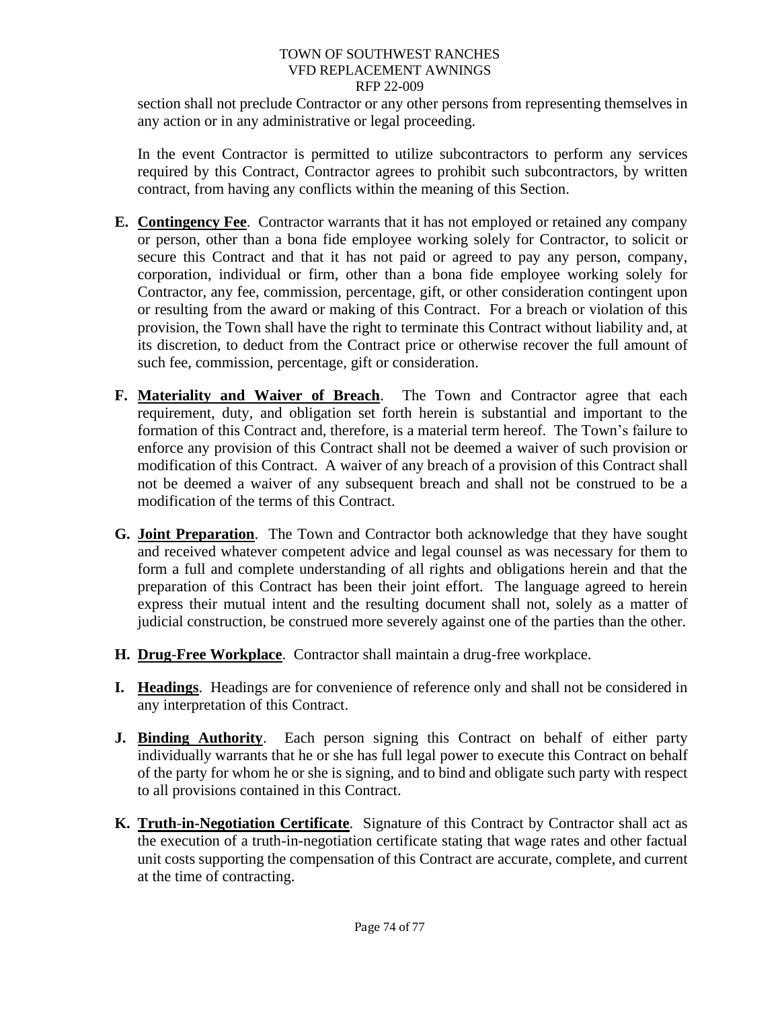section shall not preclude Contractor or any other persons from representing themselves in any action or in any administrative or legal proceeding.

In the event Contractor is permitted to utilize subcontractors to perform any services required by this Contract, Contractor agrees to prohibit such subcontractors, by written contract, from having any conflicts within the meaning of this Section.

- **E. Contingency Fee**. Contractor warrants that it has not employed or retained any company or person, other than a bona fide employee working solely for Contractor, to solicit or secure this Contract and that it has not paid or agreed to pay any person, company, corporation, individual or firm, other than a bona fide employee working solely for Contractor, any fee, commission, percentage, gift, or other consideration contingent upon or resulting from the award or making of this Contract. For a breach or violation of this provision, the Town shall have the right to terminate this Contract without liability and, at its discretion, to deduct from the Contract price or otherwise recover the full amount of such fee, commission, percentage, gift or consideration.
- **F. Materiality and Waiver of Breach**. The Town and Contractor agree that each requirement, duty, and obligation set forth herein is substantial and important to the formation of this Contract and, therefore, is a material term hereof. The Town's failure to enforce any provision of this Contract shall not be deemed a waiver of such provision or modification of this Contract. A waiver of any breach of a provision of this Contract shall not be deemed a waiver of any subsequent breach and shall not be construed to be a modification of the terms of this Contract.
- **G. Joint Preparation**. The Town and Contractor both acknowledge that they have sought and received whatever competent advice and legal counsel as was necessary for them to form a full and complete understanding of all rights and obligations herein and that the preparation of this Contract has been their joint effort. The language agreed to herein express their mutual intent and the resulting document shall not, solely as a matter of judicial construction, be construed more severely against one of the parties than the other.
- **H. Drug**-**Free Workplace**. Contractor shall maintain a drug-free workplace.
- **I. Headings**. Headings are for convenience of reference only and shall not be considered in any interpretation of this Contract.
- **J. Binding Authority**. Each person signing this Contract on behalf of either party individually warrants that he or she has full legal power to execute this Contract on behalf of the party for whom he or she is signing, and to bind and obligate such party with respect to all provisions contained in this Contract.
- **K. Truth**-**in-Negotiation Certificate**. Signature of this Contract by Contractor shall act as the execution of a truth-in-negotiation certificate stating that wage rates and other factual unit costs supporting the compensation of this Contract are accurate, complete, and current at the time of contracting.